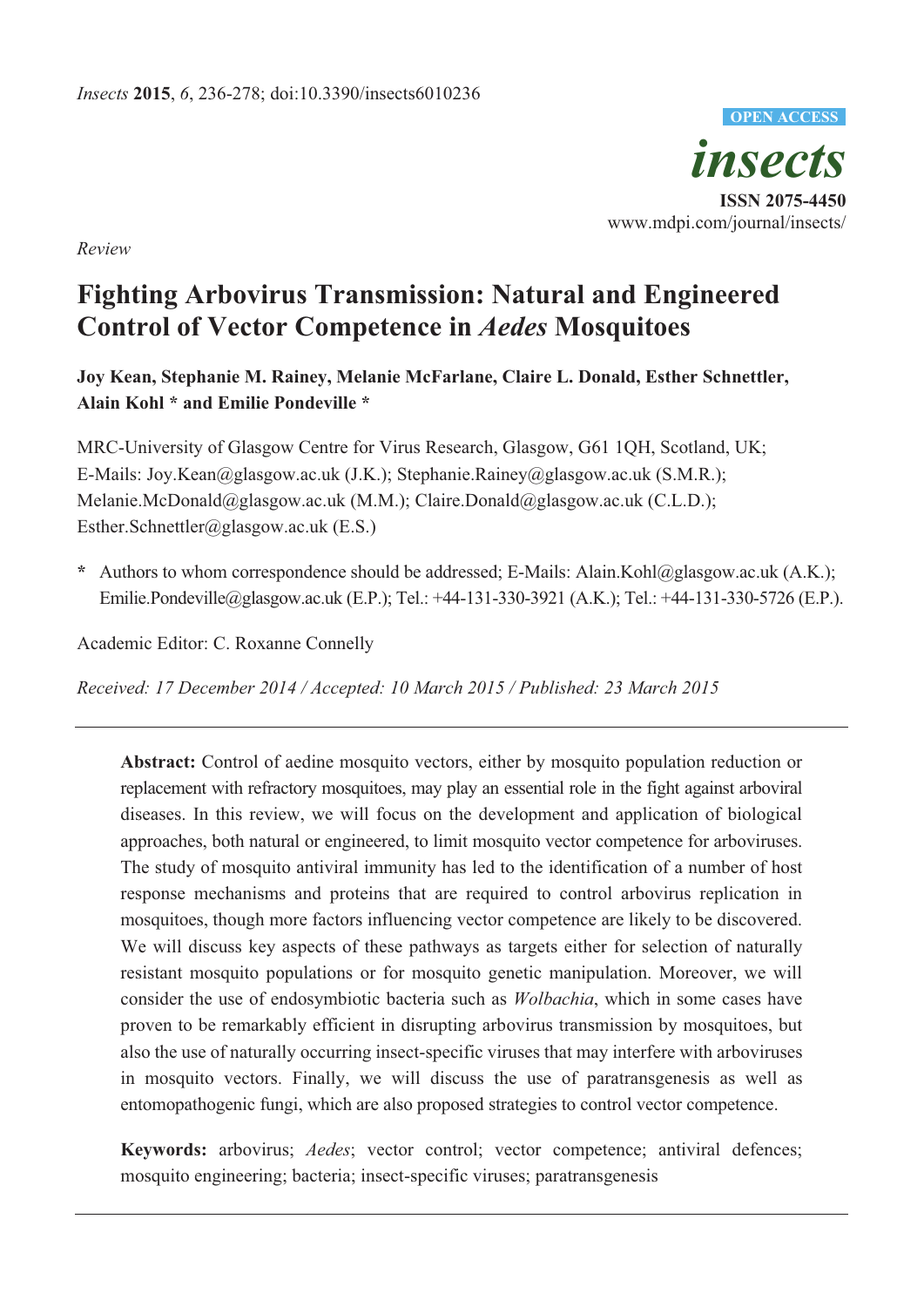

*Review* 

# **Fighting Arbovirus Transmission: Natural and Engineered Control of Vector Competence in** *Aedes* **Mosquitoes**

**Joy Kean, Stephanie M. Rainey, Melanie McFarlane, Claire L. Donald, Esther Schnettler, Alain Kohl \* and Emilie Pondeville \*** 

MRC-University of Glasgow Centre for Virus Research, Glasgow, G61 1QH, Scotland, UK; E-Mails: Joy.Kean@glasgow.ac.uk (J.K.); Stephanie.Rainey@glasgow.ac.uk (S.M.R.); Melanie.McDonald@glasgow.ac.uk (M.M.); Claire.Donald@glasgow.ac.uk (C.L.D.); Esther.Schnettler@glasgow.ac.uk (E.S.)

**\*** Authors to whom correspondence should be addressed; E-Mails: Alain.Kohl@glasgow.ac.uk (A.K.); Emilie.Pondeville@glasgow.ac.uk (E.P.); Tel.: +44-131-330-3921 (A.K.); Tel.: +44-131-330-5726 (E.P.).

Academic Editor: C. Roxanne Connelly

*Received: 17 December 2014 / Accepted: 10 March 2015 / Published: 23 March 2015* 

**Abstract:** Control of aedine mosquito vectors, either by mosquito population reduction or replacement with refractory mosquitoes, may play an essential role in the fight against arboviral diseases. In this review, we will focus on the development and application of biological approaches, both natural or engineered, to limit mosquito vector competence for arboviruses. The study of mosquito antiviral immunity has led to the identification of a number of host response mechanisms and proteins that are required to control arbovirus replication in mosquitoes, though more factors influencing vector competence are likely to be discovered. We will discuss key aspects of these pathways as targets either for selection of naturally resistant mosquito populations or for mosquito genetic manipulation. Moreover, we will consider the use of endosymbiotic bacteria such as *Wolbachia*, which in some cases have proven to be remarkably efficient in disrupting arbovirus transmission by mosquitoes, but also the use of naturally occurring insect-specific viruses that may interfere with arboviruses in mosquito vectors. Finally, we will discuss the use of paratransgenesis as well as entomopathogenic fungi, which are also proposed strategies to control vector competence.

**Keywords:** arbovirus; *Aedes*; vector control; vector competence; antiviral defences; mosquito engineering; bacteria; insect-specific viruses; paratransgenesis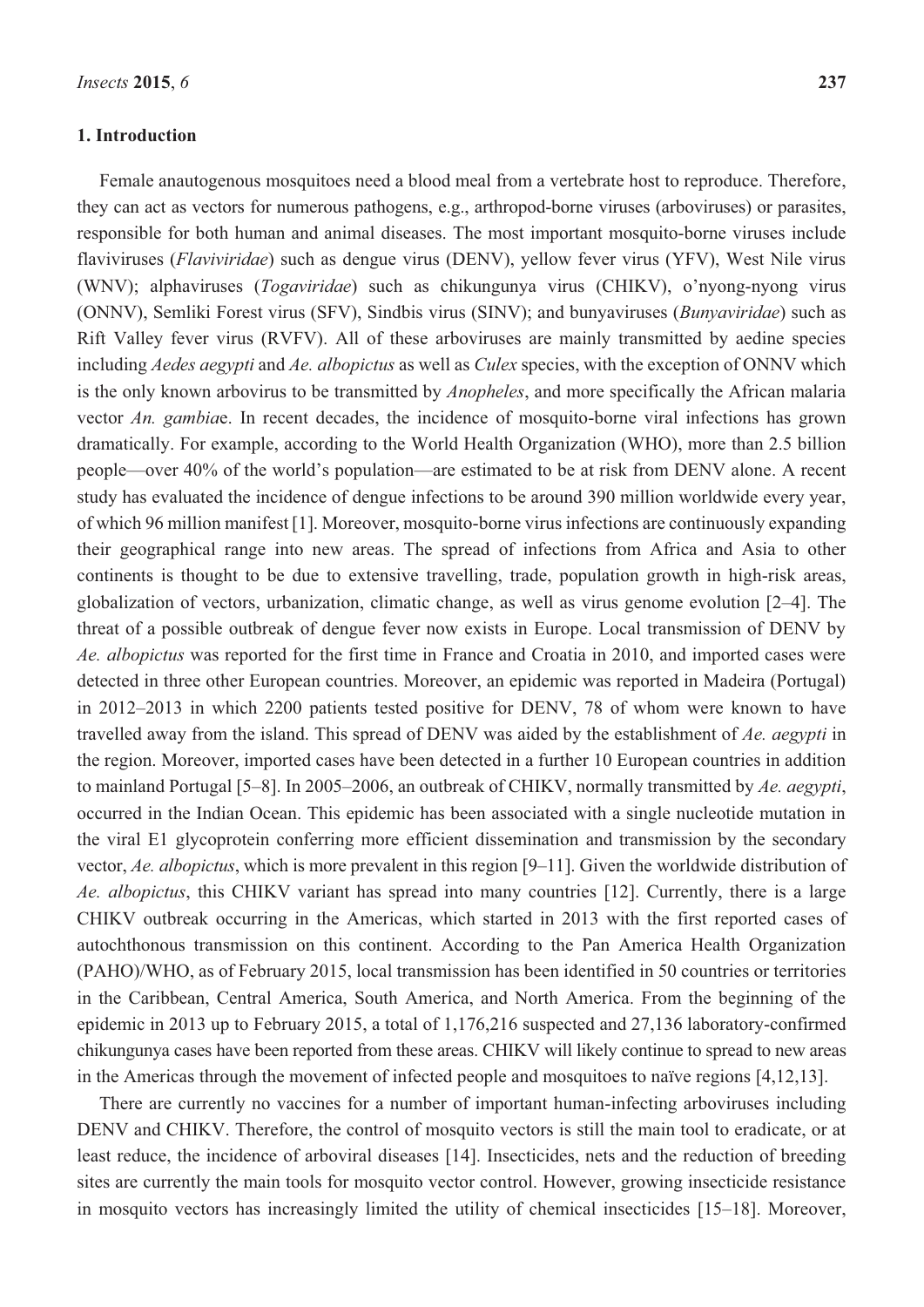#### **1. Introduction**

Female anautogenous mosquitoes need a blood meal from a vertebrate host to reproduce. Therefore, they can act as vectors for numerous pathogens, e.g., arthropod-borne viruses (arboviruses) or parasites, responsible for both human and animal diseases. The most important mosquito-borne viruses include flaviviruses (*Flaviviridae*) such as dengue virus (DENV), yellow fever virus (YFV), West Nile virus (WNV); alphaviruses (*Togaviridae*) such as chikungunya virus (CHIKV), o'nyong-nyong virus (ONNV), Semliki Forest virus (SFV), Sindbis virus (SINV); and bunyaviruses (*Bunyaviridae*) such as Rift Valley fever virus (RVFV). All of these arboviruses are mainly transmitted by aedine species including *Aedes aegypti* and *Ae. albopictus* as well as *Culex* species, with the exception of ONNV which is the only known arbovirus to be transmitted by *Anopheles*, and more specifically the African malaria vector *An. gambia*e. In recent decades, the incidence of mosquito-borne viral infections has grown dramatically. For example, according to the World Health Organization (WHO), more than 2.5 billion people—over 40% of the world's population—are estimated to be at risk from DENV alone. A recent study has evaluated the incidence of dengue infections to be around 390 million worldwide every year, of which 96 million manifest [1]. Moreover, mosquito-borne virus infections are continuously expanding their geographical range into new areas. The spread of infections from Africa and Asia to other continents is thought to be due to extensive travelling, trade, population growth in high-risk areas, globalization of vectors, urbanization, climatic change, as well as virus genome evolution [2–4]. The threat of a possible outbreak of dengue fever now exists in Europe. Local transmission of DENV by *Ae. albopictus* was reported for the first time in France and Croatia in 2010, and imported cases were detected in three other European countries. Moreover, an epidemic was reported in Madeira (Portugal) in 2012–2013 in which 2200 patients tested positive for DENV, 78 of whom were known to have travelled away from the island. This spread of DENV was aided by the establishment of *Ae. aegypti* in the region. Moreover, imported cases have been detected in a further 10 European countries in addition to mainland Portugal [5–8]. In 2005–2006, an outbreak of CHIKV, normally transmitted by *Ae. aegypti*, occurred in the Indian Ocean. This epidemic has been associated with a single nucleotide mutation in the viral E1 glycoprotein conferring more efficient dissemination and transmission by the secondary vector, *Ae. albopictus*, which is more prevalent in this region [9–11]. Given the worldwide distribution of *Ae. albopictus*, this CHIKV variant has spread into many countries [12]. Currently, there is a large CHIKV outbreak occurring in the Americas, which started in 2013 with the first reported cases of autochthonous transmission on this continent. According to the Pan America Health Organization (PAHO)/WHO, as of February 2015, local transmission has been identified in 50 countries or territories in the Caribbean, Central America, South America, and North America. From the beginning of the epidemic in 2013 up to February 2015, a total of 1,176,216 suspected and 27,136 laboratory-confirmed chikungunya cases have been reported from these areas. CHIKV will likely continue to spread to new areas in the Americas through the movement of infected people and mosquitoes to naïve regions [4,12,13].

There are currently no vaccines for a number of important human-infecting arboviruses including DENV and CHIKV. Therefore, the control of mosquito vectors is still the main tool to eradicate, or at least reduce, the incidence of arboviral diseases [14]. Insecticides, nets and the reduction of breeding sites are currently the main tools for mosquito vector control. However, growing insecticide resistance in mosquito vectors has increasingly limited the utility of chemical insecticides [15–18]. Moreover,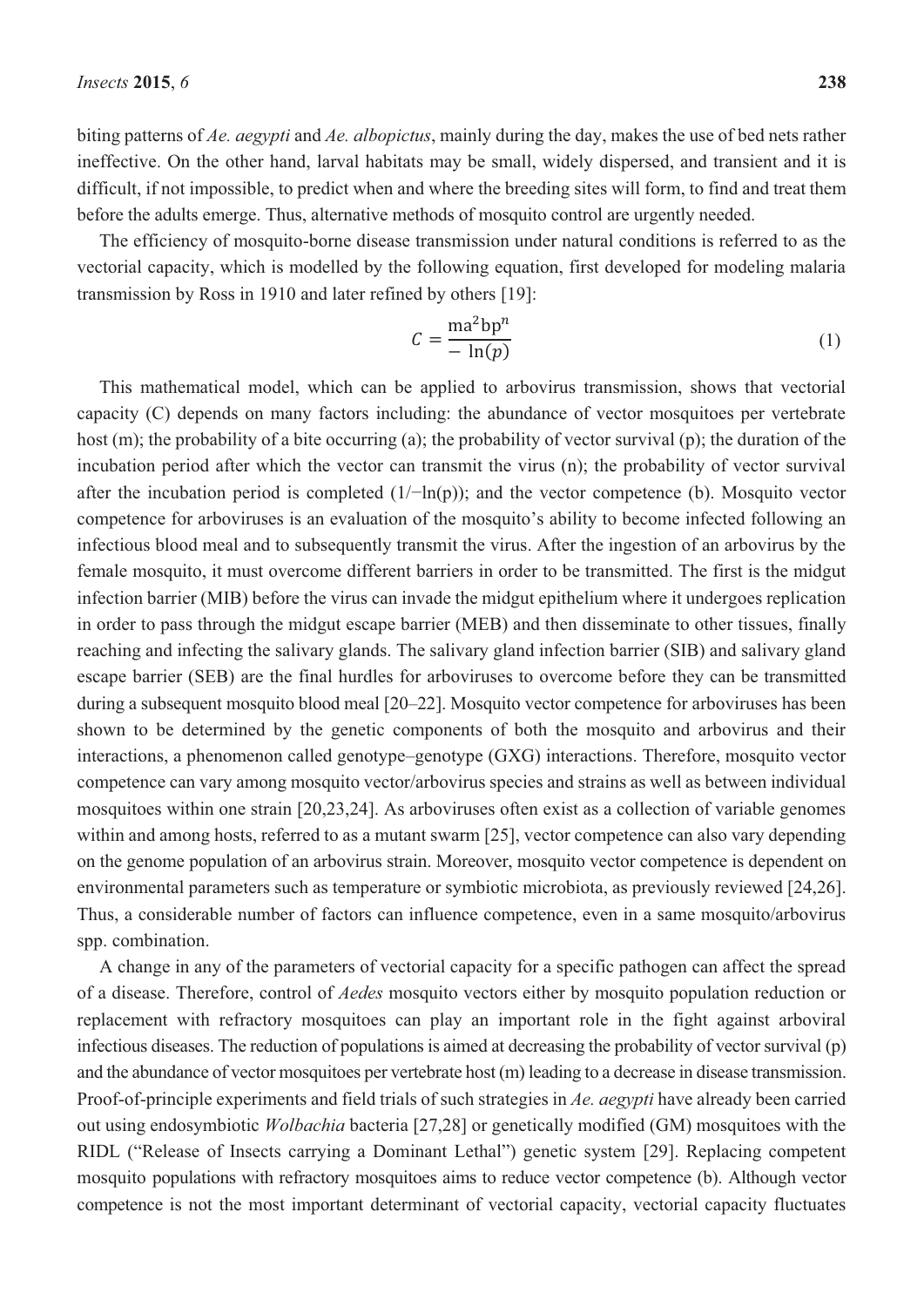The efficiency of mosquito-borne disease transmission under natural conditions is referred to as the vectorial capacity, which is modelled by the following equation, first developed for modeling malaria transmission by Ross in 1910 and later refined by others [19]:

$$
C = \frac{\text{ma}^2 \text{bp}^n}{\text{ln}(p)}\tag{1}
$$

This mathematical model, which can be applied to arbovirus transmission, shows that vectorial capacity (C) depends on many factors including: the abundance of vector mosquitoes per vertebrate host (m); the probability of a bite occurring (a); the probability of vector survival (p); the duration of the incubation period after which the vector can transmit the virus (n); the probability of vector survival after the incubation period is completed  $(1/\text{–}ln(p))$ ; and the vector competence (b). Mosquito vector competence for arboviruses is an evaluation of the mosquito's ability to become infected following an infectious blood meal and to subsequently transmit the virus. After the ingestion of an arbovirus by the female mosquito, it must overcome different barriers in order to be transmitted. The first is the midgut infection barrier (MIB) before the virus can invade the midgut epithelium where it undergoes replication in order to pass through the midgut escape barrier (MEB) and then disseminate to other tissues, finally reaching and infecting the salivary glands. The salivary gland infection barrier (SIB) and salivary gland escape barrier (SEB) are the final hurdles for arboviruses to overcome before they can be transmitted during a subsequent mosquito blood meal [20–22]. Mosquito vector competence for arboviruses has been shown to be determined by the genetic components of both the mosquito and arbovirus and their interactions, a phenomenon called genotype–genotype (GXG) interactions. Therefore, mosquito vector competence can vary among mosquito vector/arbovirus species and strains as well as between individual mosquitoes within one strain [20,23,24]. As arboviruses often exist as a collection of variable genomes within and among hosts, referred to as a mutant swarm [25], vector competence can also vary depending on the genome population of an arbovirus strain. Moreover, mosquito vector competence is dependent on environmental parameters such as temperature or symbiotic microbiota, as previously reviewed [24,26]. Thus, a considerable number of factors can influence competence, even in a same mosquito/arbovirus spp. combination.

A change in any of the parameters of vectorial capacity for a specific pathogen can affect the spread of a disease. Therefore, control of *Aedes* mosquito vectors either by mosquito population reduction or replacement with refractory mosquitoes can play an important role in the fight against arboviral infectious diseases. The reduction of populations is aimed at decreasing the probability of vector survival (p) and the abundance of vector mosquitoes per vertebrate host (m) leading to a decrease in disease transmission. Proof-of-principle experiments and field trials of such strategies in *Ae. aegypti* have already been carried out using endosymbiotic *Wolbachia* bacteria [27,28] or genetically modified (GM) mosquitoes with the RIDL ("Release of Insects carrying a Dominant Lethal") genetic system [29]. Replacing competent mosquito populations with refractory mosquitoes aims to reduce vector competence (b). Although vector competence is not the most important determinant of vectorial capacity, vectorial capacity fluctuates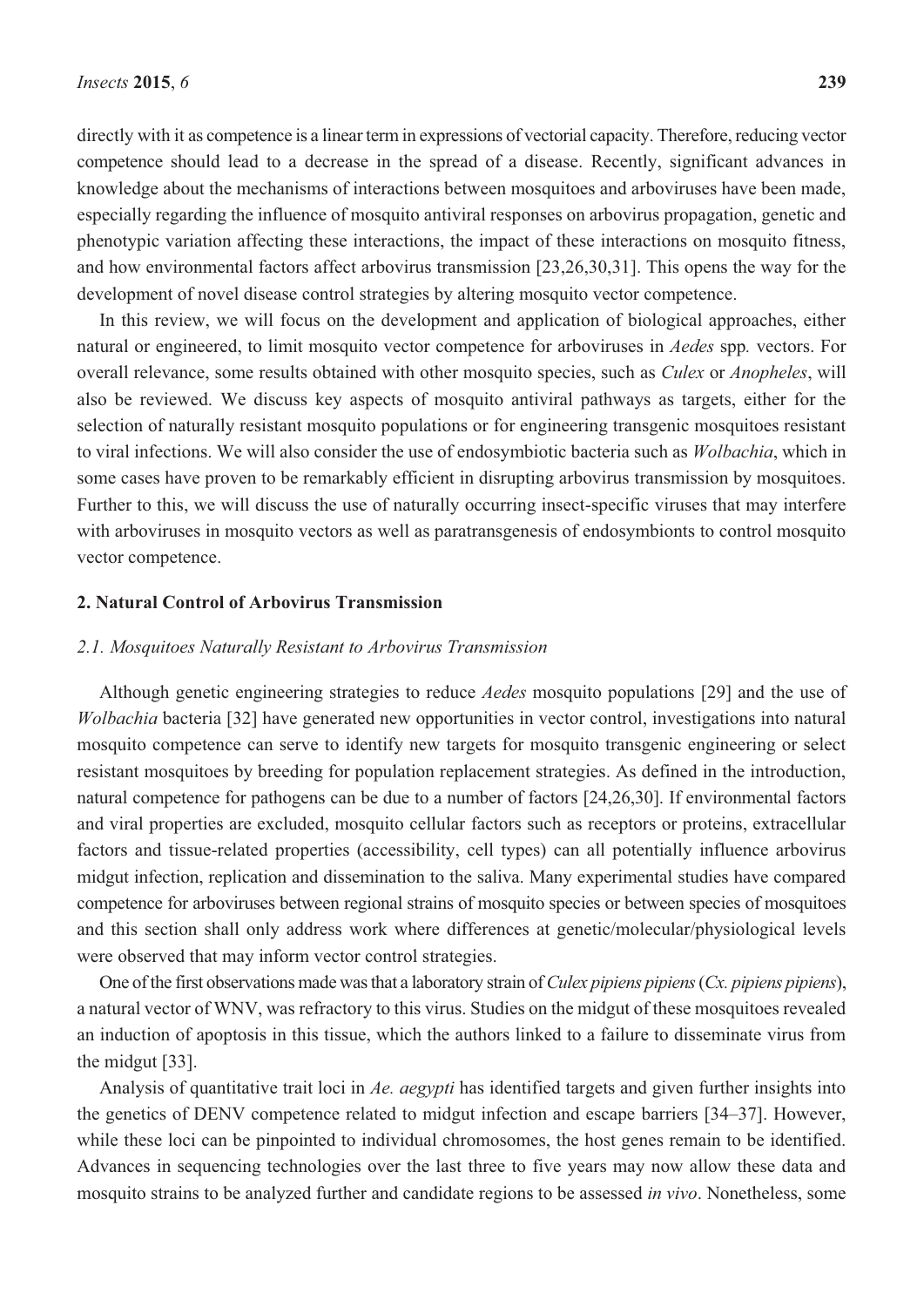directly with it as competence is a linear term in expressions of vectorial capacity. Therefore, reducing vector competence should lead to a decrease in the spread of a disease. Recently, significant advances in knowledge about the mechanisms of interactions between mosquitoes and arboviruses have been made, especially regarding the influence of mosquito antiviral responses on arbovirus propagation, genetic and phenotypic variation affecting these interactions, the impact of these interactions on mosquito fitness, and how environmental factors affect arbovirus transmission [23,26,30,31]. This opens the way for the development of novel disease control strategies by altering mosquito vector competence.

In this review, we will focus on the development and application of biological approaches, either natural or engineered, to limit mosquito vector competence for arboviruses in *Aedes* spp*.* vectors. For overall relevance, some results obtained with other mosquito species, such as *Culex* or *Anopheles*, will also be reviewed. We discuss key aspects of mosquito antiviral pathways as targets, either for the selection of naturally resistant mosquito populations or for engineering transgenic mosquitoes resistant to viral infections. We will also consider the use of endosymbiotic bacteria such as *Wolbachia*, which in some cases have proven to be remarkably efficient in disrupting arbovirus transmission by mosquitoes. Further to this, we will discuss the use of naturally occurring insect-specific viruses that may interfere with arboviruses in mosquito vectors as well as paratransgenesis of endosymbionts to control mosquito vector competence.

## **2. Natural Control of Arbovirus Transmission**

#### *2.1. Mosquitoes Naturally Resistant to Arbovirus Transmission*

Although genetic engineering strategies to reduce *Aedes* mosquito populations [29] and the use of *Wolbachia* bacteria [32] have generated new opportunities in vector control, investigations into natural mosquito competence can serve to identify new targets for mosquito transgenic engineering or select resistant mosquitoes by breeding for population replacement strategies. As defined in the introduction, natural competence for pathogens can be due to a number of factors [24,26,30]. If environmental factors and viral properties are excluded, mosquito cellular factors such as receptors or proteins, extracellular factors and tissue-related properties (accessibility, cell types) can all potentially influence arbovirus midgut infection, replication and dissemination to the saliva. Many experimental studies have compared competence for arboviruses between regional strains of mosquito species or between species of mosquitoes and this section shall only address work where differences at genetic/molecular/physiological levels were observed that may inform vector control strategies.

One of the first observations made was that a laboratory strain of *Culex pipiens pipiens* (*Cx. pipiens pipiens*), a natural vector of WNV, was refractory to this virus. Studies on the midgut of these mosquitoes revealed an induction of apoptosis in this tissue, which the authors linked to a failure to disseminate virus from the midgut [33].

Analysis of quantitative trait loci in *Ae. aegypti* has identified targets and given further insights into the genetics of DENV competence related to midgut infection and escape barriers [34–37]. However, while these loci can be pinpointed to individual chromosomes, the host genes remain to be identified. Advances in sequencing technologies over the last three to five years may now allow these data and mosquito strains to be analyzed further and candidate regions to be assessed *in vivo*. Nonetheless, some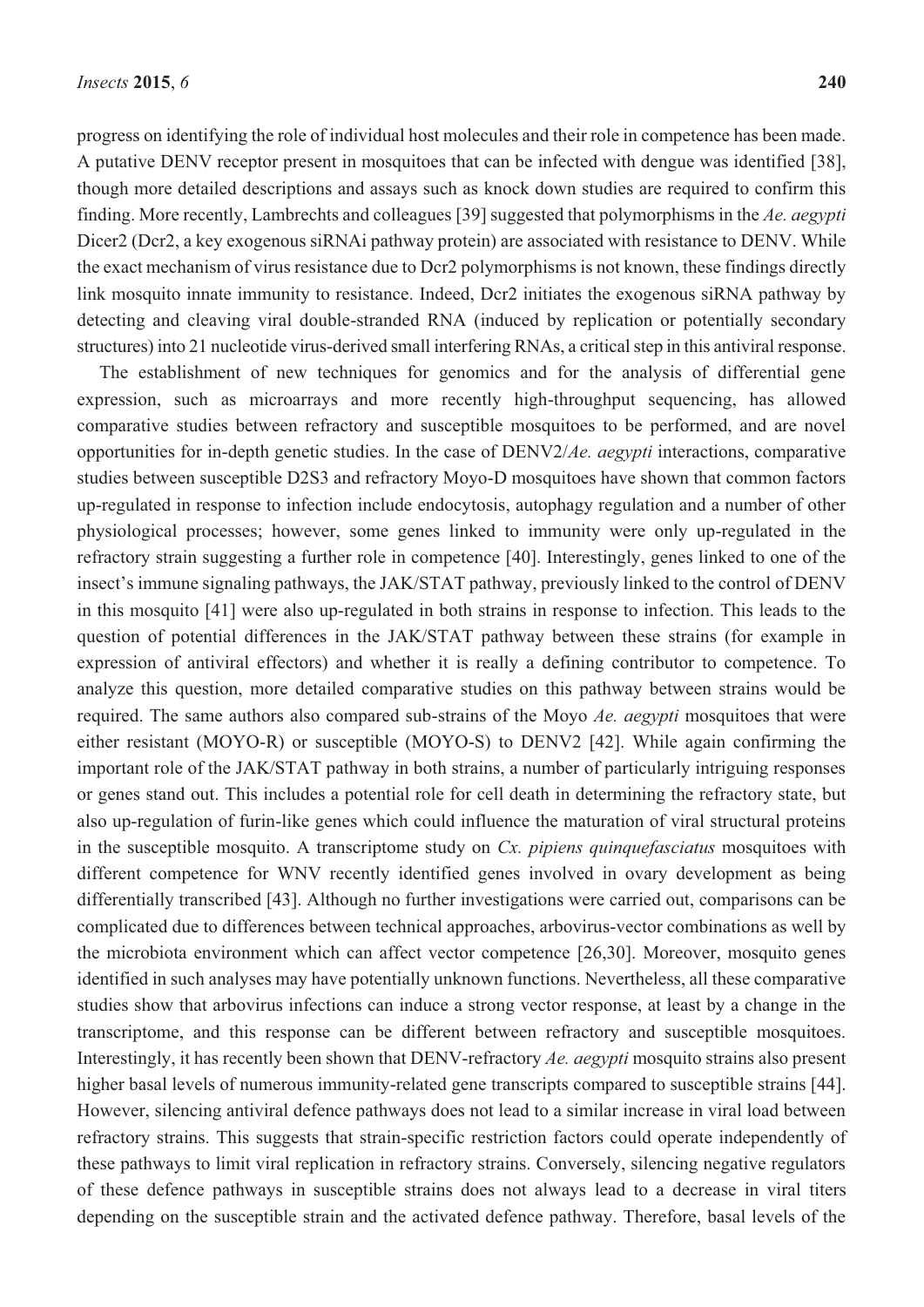progress on identifying the role of individual host molecules and their role in competence has been made. A putative DENV receptor present in mosquitoes that can be infected with dengue was identified [38], though more detailed descriptions and assays such as knock down studies are required to confirm this finding. More recently, Lambrechts and colleagues [39] suggested that polymorphisms in the *Ae. aegypti* Dicer2 (Dcr2, a key exogenous siRNAi pathway protein) are associated with resistance to DENV. While the exact mechanism of virus resistance due to Dcr2 polymorphisms is not known, these findings directly link mosquito innate immunity to resistance. Indeed, Dcr2 initiates the exogenous siRNA pathway by detecting and cleaving viral double-stranded RNA (induced by replication or potentially secondary structures) into 21 nucleotide virus-derived small interfering RNAs, a critical step in this antiviral response.

The establishment of new techniques for genomics and for the analysis of differential gene expression, such as microarrays and more recently high-throughput sequencing, has allowed comparative studies between refractory and susceptible mosquitoes to be performed, and are novel opportunities for in-depth genetic studies. In the case of DENV2/*Ae. aegypti* interactions, comparative studies between susceptible D2S3 and refractory Moyo-D mosquitoes have shown that common factors up-regulated in response to infection include endocytosis, autophagy regulation and a number of other physiological processes; however, some genes linked to immunity were only up-regulated in the refractory strain suggesting a further role in competence [40]. Interestingly, genes linked to one of the insect's immune signaling pathways, the JAK/STAT pathway, previously linked to the control of DENV in this mosquito [41] were also up-regulated in both strains in response to infection. This leads to the question of potential differences in the JAK/STAT pathway between these strains (for example in expression of antiviral effectors) and whether it is really a defining contributor to competence. To analyze this question, more detailed comparative studies on this pathway between strains would be required. The same authors also compared sub-strains of the Moyo *Ae. aegypti* mosquitoes that were either resistant (MOYO-R) or susceptible (MOYO-S) to DENV2 [42]. While again confirming the important role of the JAK/STAT pathway in both strains, a number of particularly intriguing responses or genes stand out. This includes a potential role for cell death in determining the refractory state, but also up-regulation of furin-like genes which could influence the maturation of viral structural proteins in the susceptible mosquito. A transcriptome study on *Cx. pipiens quinquefasciatus* mosquitoes with different competence for WNV recently identified genes involved in ovary development as being differentially transcribed [43]. Although no further investigations were carried out, comparisons can be complicated due to differences between technical approaches, arbovirus-vector combinations as well by the microbiota environment which can affect vector competence [26,30]. Moreover, mosquito genes identified in such analyses may have potentially unknown functions. Nevertheless, all these comparative studies show that arbovirus infections can induce a strong vector response, at least by a change in the transcriptome, and this response can be different between refractory and susceptible mosquitoes. Interestingly, it has recently been shown that DENV-refractory *Ae. aegypti* mosquito strains also present higher basal levels of numerous immunity-related gene transcripts compared to susceptible strains [44]. However, silencing antiviral defence pathways does not lead to a similar increase in viral load between refractory strains. This suggests that strain-specific restriction factors could operate independently of these pathways to limit viral replication in refractory strains. Conversely, silencing negative regulators of these defence pathways in susceptible strains does not always lead to a decrease in viral titers depending on the susceptible strain and the activated defence pathway. Therefore, basal levels of the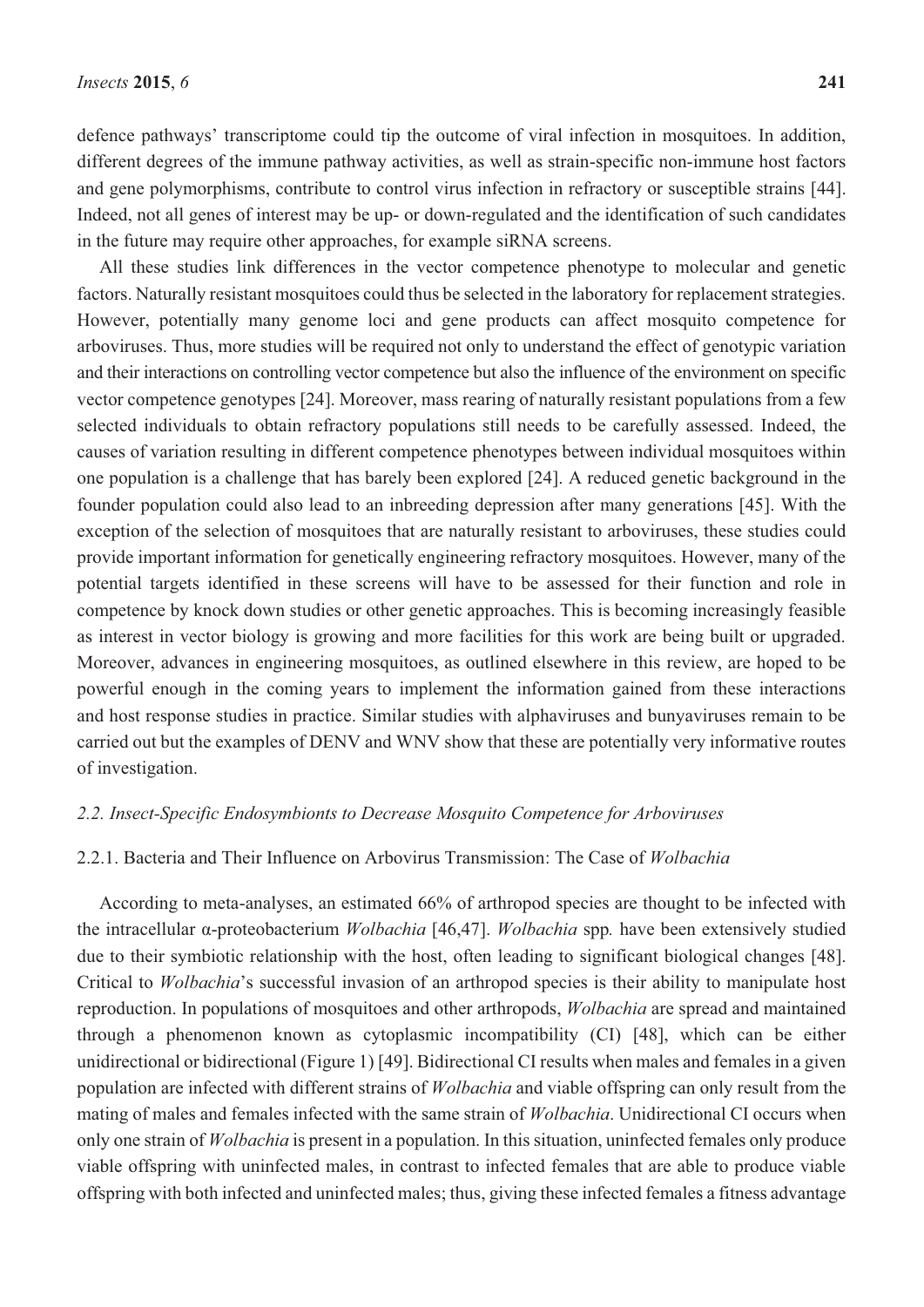defence pathways' transcriptome could tip the outcome of viral infection in mosquitoes. In addition, different degrees of the immune pathway activities, as well as strain-specific non-immune host factors and gene polymorphisms, contribute to control virus infection in refractory or susceptible strains [44]. Indeed, not all genes of interest may be up- or down-regulated and the identification of such candidates in the future may require other approaches, for example siRNA screens.

All these studies link differences in the vector competence phenotype to molecular and genetic factors. Naturally resistant mosquitoes could thus be selected in the laboratory for replacement strategies. However, potentially many genome loci and gene products can affect mosquito competence for arboviruses. Thus, more studies will be required not only to understand the effect of genotypic variation and their interactions on controlling vector competence but also the influence of the environment on specific vector competence genotypes [24]. Moreover, mass rearing of naturally resistant populations from a few selected individuals to obtain refractory populations still needs to be carefully assessed. Indeed, the causes of variation resulting in different competence phenotypes between individual mosquitoes within one population is a challenge that has barely been explored [24]. A reduced genetic background in the founder population could also lead to an inbreeding depression after many generations [45]. With the exception of the selection of mosquitoes that are naturally resistant to arboviruses, these studies could provide important information for genetically engineering refractory mosquitoes. However, many of the potential targets identified in these screens will have to be assessed for their function and role in competence by knock down studies or other genetic approaches. This is becoming increasingly feasible as interest in vector biology is growing and more facilities for this work are being built or upgraded. Moreover, advances in engineering mosquitoes, as outlined elsewhere in this review, are hoped to be powerful enough in the coming years to implement the information gained from these interactions and host response studies in practice. Similar studies with alphaviruses and bunyaviruses remain to be carried out but the examples of DENV and WNV show that these are potentially very informative routes of investigation.

## *2.2. Insect-Specific Endosymbionts to Decrease Mosquito Competence for Arboviruses*

# 2.2.1. Bacteria and Their Influence on Arbovirus Transmission: The Case of *Wolbachia*

According to meta-analyses, an estimated 66% of arthropod species are thought to be infected with the intracellular α-proteobacterium *Wolbachia* [46,47]. *Wolbachia* spp*.* have been extensively studied due to their symbiotic relationship with the host, often leading to significant biological changes [48]. Critical to *Wolbachia*'s successful invasion of an arthropod species is their ability to manipulate host reproduction. In populations of mosquitoes and other arthropods, *Wolbachia* are spread and maintained through a phenomenon known as cytoplasmic incompatibility (CI) [48], which can be either unidirectional or bidirectional (Figure 1) [49]. Bidirectional CI results when males and females in a given population are infected with different strains of *Wolbachia* and viable offspring can only result from the mating of males and females infected with the same strain of *Wolbachia*. Unidirectional CI occurs when only one strain of *Wolbachia* is present in a population. In this situation, uninfected females only produce viable offspring with uninfected males, in contrast to infected females that are able to produce viable offspring with both infected and uninfected males; thus, giving these infected females a fitness advantage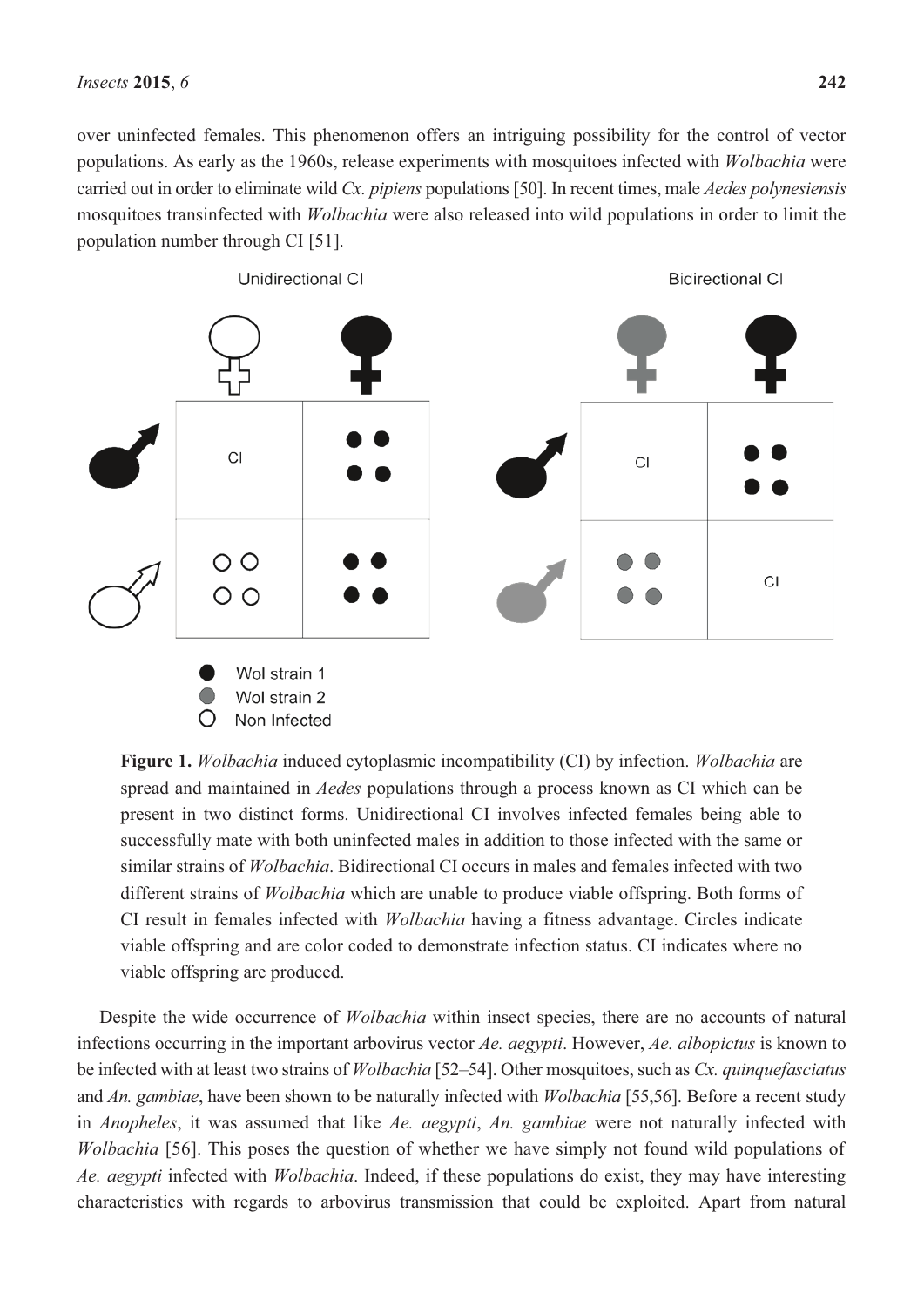over uninfected females. This phenomenon offers an intriguing possibility for the control of vector populations. As early as the 1960s, release experiments with mosquitoes infected with *Wolbachia* were carried out in order to eliminate wild *Cx. pipiens* populations [50]. In recent times, male *Aedes polynesiensis* mosquitoes transinfected with *Wolbachia* were also released into wild populations in order to limit the population number through CI [51].



**Figure 1.** *Wolbachia* induced cytoplasmic incompatibility (CI) by infection. *Wolbachia* are spread and maintained in *Aedes* populations through a process known as CI which can be present in two distinct forms. Unidirectional CI involves infected females being able to successfully mate with both uninfected males in addition to those infected with the same or similar strains of *Wolbachia*. Bidirectional CI occurs in males and females infected with two different strains of *Wolbachia* which are unable to produce viable offspring. Both forms of CI result in females infected with *Wolbachia* having a fitness advantage. Circles indicate viable offspring and are color coded to demonstrate infection status. CI indicates where no viable offspring are produced.

Despite the wide occurrence of *Wolbachia* within insect species, there are no accounts of natural infections occurring in the important arbovirus vector *Ae. aegypti*. However, *Ae. albopictus* is known to be infected with at least two strains of *Wolbachia* [52–54]. Other mosquitoes, such as *Cx. quinquefasciatus* and *An. gambiae*, have been shown to be naturally infected with *Wolbachia* [55,56]. Before a recent study in *Anopheles*, it was assumed that like *Ae. aegypti*, *An. gambiae* were not naturally infected with *Wolbachia* [56]. This poses the question of whether we have simply not found wild populations of *Ae. aegypti* infected with *Wolbachia*. Indeed, if these populations do exist, they may have interesting characteristics with regards to arbovirus transmission that could be exploited. Apart from natural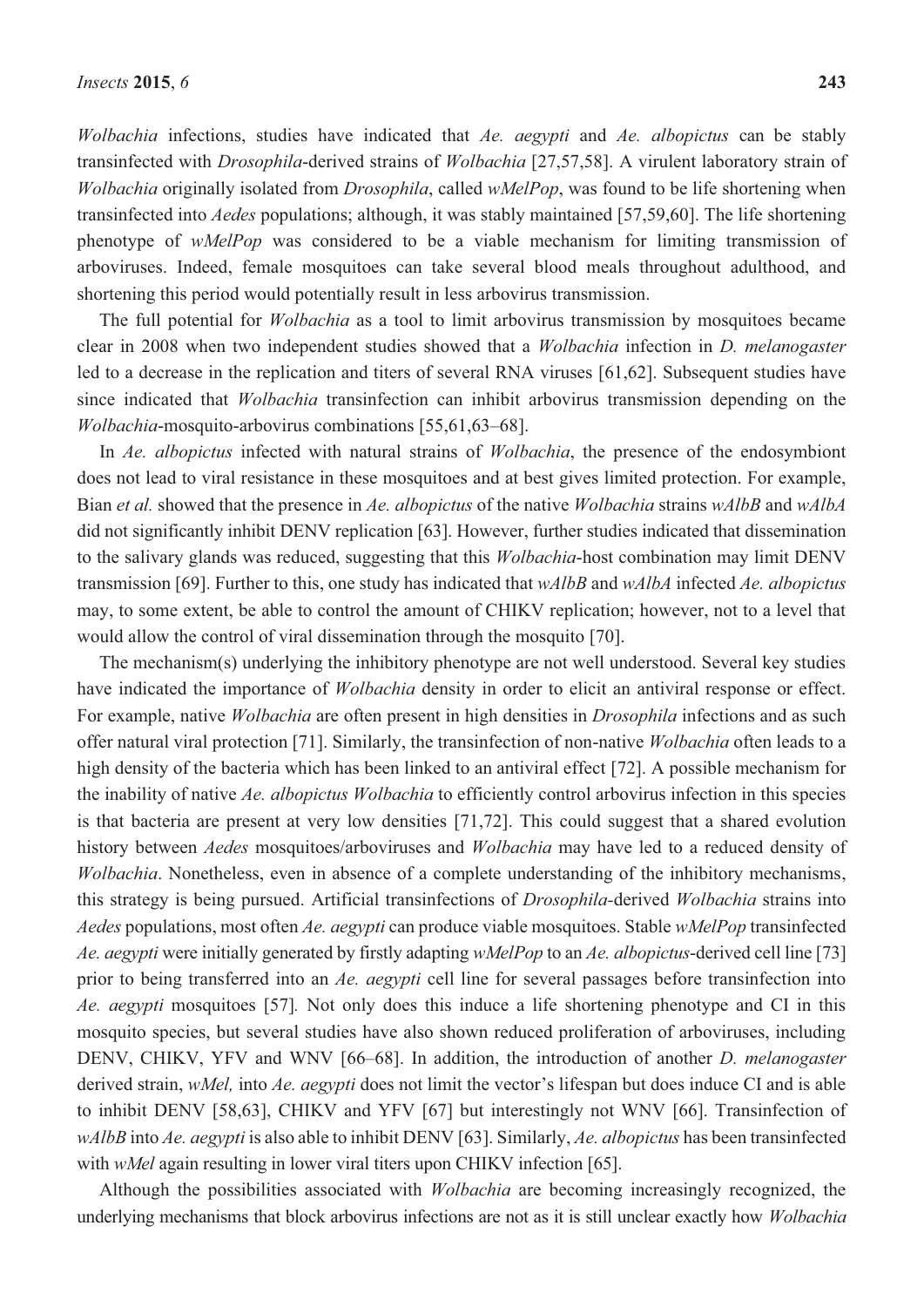*Wolbachia* infections, studies have indicated that *Ae. aegypti* and *Ae. albopictus* can be stably transinfected with *Drosophila*-derived strains of *Wolbachia* [27,57,58]. A virulent laboratory strain of *Wolbachia* originally isolated from *Drosophila*, called *wMelPop*, was found to be life shortening when transinfected into *Aedes* populations; although, it was stably maintained [57,59,60]. The life shortening phenotype of *wMelPop* was considered to be a viable mechanism for limiting transmission of arboviruses. Indeed, female mosquitoes can take several blood meals throughout adulthood, and shortening this period would potentially result in less arbovirus transmission.

The full potential for *Wolbachia* as a tool to limit arbovirus transmission by mosquitoes became clear in 2008 when two independent studies showed that a *Wolbachia* infection in *D. melanogaster* led to a decrease in the replication and titers of several RNA viruses [61,62]. Subsequent studies have since indicated that *Wolbachia* transinfection can inhibit arbovirus transmission depending on the *Wolbachia*-mosquito-arbovirus combinations [55,61,63–68].

In *Ae. albopictus* infected with natural strains of *Wolbachia*, the presence of the endosymbiont does not lead to viral resistance in these mosquitoes and at best gives limited protection. For example, Bian *et al.* showed that the presence in *Ae. albopictus* of the native *Wolbachia* strains *wAlbB* and *wAlbA*  did not significantly inhibit DENV replication [63]. However, further studies indicated that dissemination to the salivary glands was reduced, suggesting that this *Wolbachia*-host combination may limit DENV transmission [69]. Further to this, one study has indicated that *wAlbB* and *wAlbA* infected *Ae. albopictus* may, to some extent, be able to control the amount of CHIKV replication; however, not to a level that would allow the control of viral dissemination through the mosquito [70].

The mechanism(s) underlying the inhibitory phenotype are not well understood. Several key studies have indicated the importance of *Wolbachia* density in order to elicit an antiviral response or effect. For example, native *Wolbachia* are often present in high densities in *Drosophila* infections and as such offer natural viral protection [71]. Similarly, the transinfection of non-native *Wolbachia* often leads to a high density of the bacteria which has been linked to an antiviral effect [72]. A possible mechanism for the inability of native *Ae. albopictus Wolbachia* to efficiently control arbovirus infection in this species is that bacteria are present at very low densities [71,72]. This could suggest that a shared evolution history between *Aedes* mosquitoes/arboviruses and *Wolbachia* may have led to a reduced density of *Wolbachia*. Nonetheless, even in absence of a complete understanding of the inhibitory mechanisms, this strategy is being pursued. Artificial transinfections of *Drosophila-*derived *Wolbachia* strains into *Aedes* populations, most often *Ae. aegypti* can produce viable mosquitoes. Stable *wMelPop* transinfected *Ae. aegypti* were initially generated by firstly adapting *wMelPop* to an *Ae. albopictus*-derived cell line [73] prior to being transferred into an *Ae. aegypti* cell line for several passages before transinfection into *Ae. aegypti* mosquitoes [57]*.* Not only does this induce a life shortening phenotype and CI in this mosquito species, but several studies have also shown reduced proliferation of arboviruses, including DENV, CHIKV, YFV and WNV [66–68]. In addition, the introduction of another *D. melanogaster* derived strain, *wMel,* into *Ae. aegypti* does not limit the vector's lifespan but does induce CI and is able to inhibit DENV [58,63], CHIKV and YFV [67] but interestingly not WNV [66]. Transinfection of *wAlbB* into *Ae. aegypti* is also able to inhibit DENV [63]. Similarly, *Ae. albopictus* has been transinfected with *wMel* again resulting in lower viral titers upon CHIKV infection [65].

Although the possibilities associated with *Wolbachia* are becoming increasingly recognized, the underlying mechanisms that block arbovirus infections are not as it is still unclear exactly how *Wolbachia*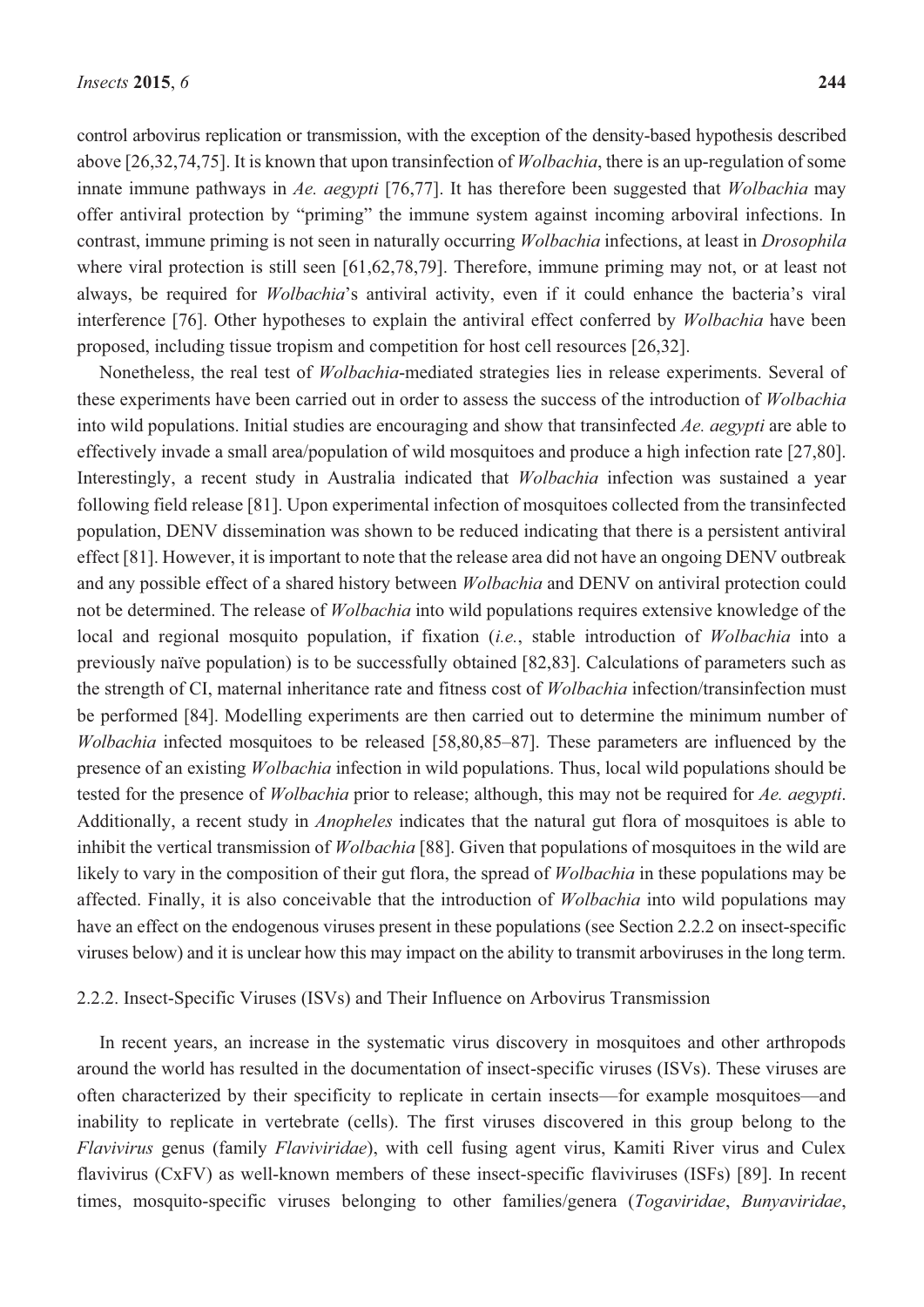control arbovirus replication or transmission, with the exception of the density-based hypothesis described above [26,32,74,75]. It is known that upon transinfection of *Wolbachia*, there is an up-regulation of some innate immune pathways in *Ae. aegypti* [76,77]. It has therefore been suggested that *Wolbachia* may offer antiviral protection by "priming" the immune system against incoming arboviral infections. In contrast, immune priming is not seen in naturally occurring *Wolbachia* infections, at least in *Drosophila*  where viral protection is still seen [61,62,78,79]. Therefore, immune priming may not, or at least not always, be required for *Wolbachia*'s antiviral activity, even if it could enhance the bacteria's viral interference [76]. Other hypotheses to explain the antiviral effect conferred by *Wolbachia* have been proposed, including tissue tropism and competition for host cell resources [26,32].

Nonetheless, the real test of *Wolbachia*-mediated strategies lies in release experiments. Several of these experiments have been carried out in order to assess the success of the introduction of *Wolbachia* into wild populations. Initial studies are encouraging and show that transinfected *Ae. aegypti* are able to effectively invade a small area/population of wild mosquitoes and produce a high infection rate [27,80]. Interestingly, a recent study in Australia indicated that *Wolbachia* infection was sustained a year following field release [81]. Upon experimental infection of mosquitoes collected from the transinfected population, DENV dissemination was shown to be reduced indicating that there is a persistent antiviral effect [81]. However, it is important to note that the release area did not have an ongoing DENV outbreak and any possible effect of a shared history between *Wolbachia* and DENV on antiviral protection could not be determined. The release of *Wolbachia* into wild populations requires extensive knowledge of the local and regional mosquito population, if fixation (*i.e.*, stable introduction of *Wolbachia* into a previously naïve population) is to be successfully obtained [82,83]. Calculations of parameters such as the strength of CI, maternal inheritance rate and fitness cost of *Wolbachia* infection/transinfection must be performed [84]. Modelling experiments are then carried out to determine the minimum number of *Wolbachia* infected mosquitoes to be released [58,80,85–87]. These parameters are influenced by the presence of an existing *Wolbachia* infection in wild populations. Thus, local wild populations should be tested for the presence of *Wolbachia* prior to release; although, this may not be required for *Ae. aegypti*. Additionally, a recent study in *Anopheles* indicates that the natural gut flora of mosquitoes is able to inhibit the vertical transmission of *Wolbachia* [88]. Given that populations of mosquitoes in the wild are likely to vary in the composition of their gut flora, the spread of *Wolbachia* in these populations may be affected. Finally, it is also conceivable that the introduction of *Wolbachia* into wild populations may have an effect on the endogenous viruses present in these populations (see Section 2.2.2 on insect-specific viruses below) and it is unclear how this may impact on the ability to transmit arboviruses in the long term.

#### 2.2.2. Insect-Specific Viruses (ISVs) and Their Influence on Arbovirus Transmission

In recent years, an increase in the systematic virus discovery in mosquitoes and other arthropods around the world has resulted in the documentation of insect-specific viruses (ISVs). These viruses are often characterized by their specificity to replicate in certain insects—for example mosquitoes—and inability to replicate in vertebrate (cells). The first viruses discovered in this group belong to the *Flavivirus* genus (family *Flaviviridae*), with cell fusing agent virus, Kamiti River virus and Culex flavivirus (CxFV) as well-known members of these insect-specific flaviviruses (ISFs) [89]. In recent times, mosquito-specific viruses belonging to other families/genera (*Togaviridae*, *Bunyaviridae*,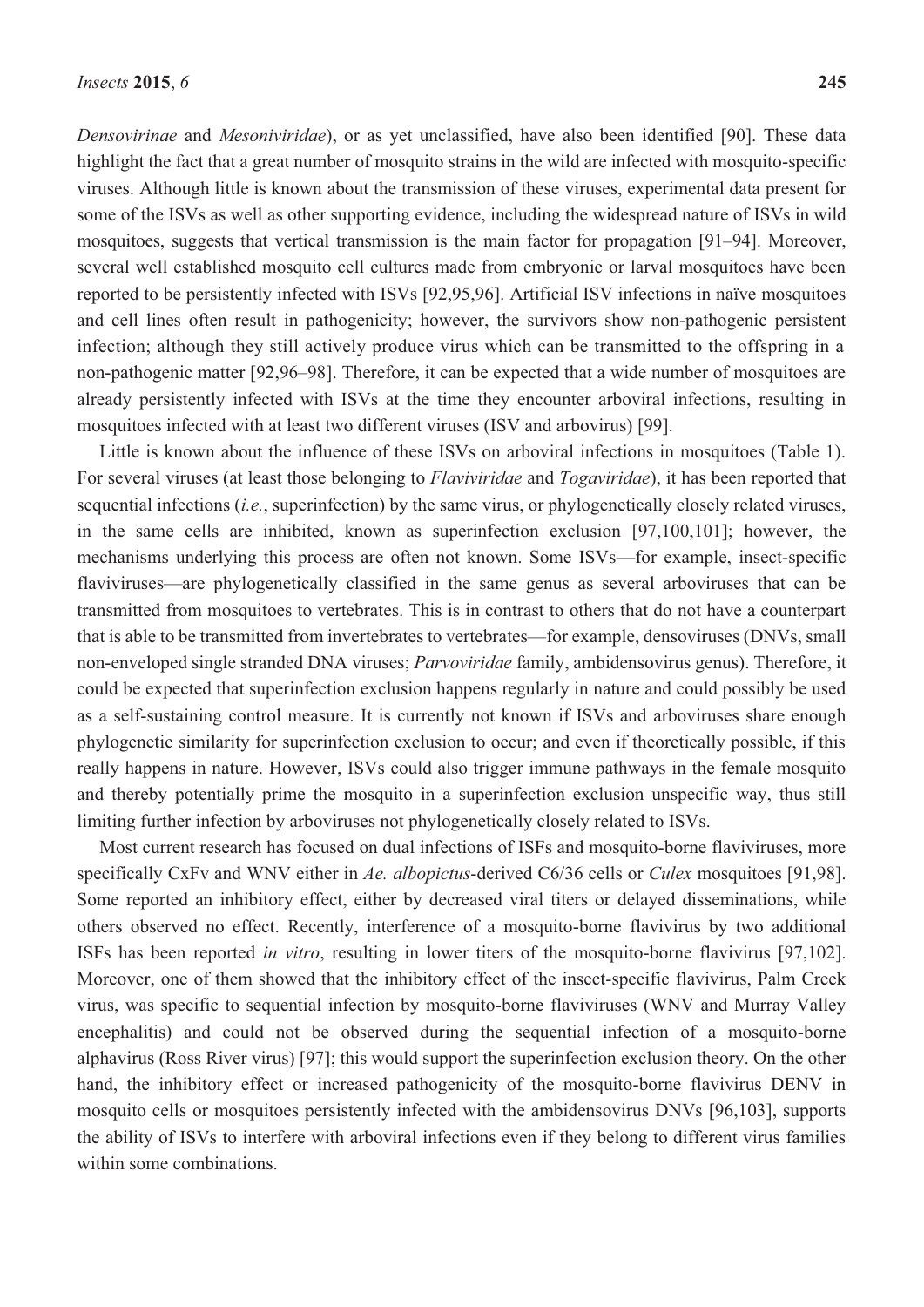*Densovirinae* and *Mesoniviridae*), or as yet unclassified, have also been identified [90]. These data highlight the fact that a great number of mosquito strains in the wild are infected with mosquito-specific viruses. Although little is known about the transmission of these viruses, experimental data present for some of the ISVs as well as other supporting evidence, including the widespread nature of ISVs in wild mosquitoes, suggests that vertical transmission is the main factor for propagation [91–94]. Moreover, several well established mosquito cell cultures made from embryonic or larval mosquitoes have been reported to be persistently infected with ISVs [92,95,96]. Artificial ISV infections in naïve mosquitoes and cell lines often result in pathogenicity; however, the survivors show non-pathogenic persistent infection; although they still actively produce virus which can be transmitted to the offspring in a non-pathogenic matter [92,96–98]. Therefore, it can be expected that a wide number of mosquitoes are already persistently infected with ISVs at the time they encounter arboviral infections, resulting in mosquitoes infected with at least two different viruses (ISV and arbovirus) [99].

Little is known about the influence of these ISVs on arboviral infections in mosquitoes (Table 1). For several viruses (at least those belonging to *Flaviviridae* and *Togaviridae*), it has been reported that sequential infections (*i.e.*, superinfection) by the same virus, or phylogenetically closely related viruses, in the same cells are inhibited, known as superinfection exclusion [97,100,101]; however, the mechanisms underlying this process are often not known. Some ISVs—for example, insect-specific flaviviruses—are phylogenetically classified in the same genus as several arboviruses that can be transmitted from mosquitoes to vertebrates. This is in contrast to others that do not have a counterpart that is able to be transmitted from invertebrates to vertebrates—for example, densoviruses (DNVs, small non-enveloped single stranded DNA viruses; *Parvoviridae* family, ambidensovirus genus). Therefore, it could be expected that superinfection exclusion happens regularly in nature and could possibly be used as a self-sustaining control measure. It is currently not known if ISVs and arboviruses share enough phylogenetic similarity for superinfection exclusion to occur; and even if theoretically possible, if this really happens in nature. However, ISVs could also trigger immune pathways in the female mosquito and thereby potentially prime the mosquito in a superinfection exclusion unspecific way, thus still limiting further infection by arboviruses not phylogenetically closely related to ISVs.

Most current research has focused on dual infections of ISFs and mosquito-borne flaviviruses, more specifically CxFv and WNV either in *Ae. albopictus*-derived C6/36 cells or *Culex* mosquitoes [91,98]. Some reported an inhibitory effect, either by decreased viral titers or delayed disseminations, while others observed no effect. Recently, interference of a mosquito-borne flavivirus by two additional ISFs has been reported *in vitro*, resulting in lower titers of the mosquito-borne flavivirus [97,102]. Moreover, one of them showed that the inhibitory effect of the insect-specific flavivirus, Palm Creek virus, was specific to sequential infection by mosquito-borne flaviviruses (WNV and Murray Valley encephalitis) and could not be observed during the sequential infection of a mosquito-borne alphavirus (Ross River virus) [97]; this would support the superinfection exclusion theory. On the other hand, the inhibitory effect or increased pathogenicity of the mosquito-borne flavivirus DENV in mosquito cells or mosquitoes persistently infected with the ambidensovirus DNVs [96,103], supports the ability of ISVs to interfere with arboviral infections even if they belong to different virus families within some combinations.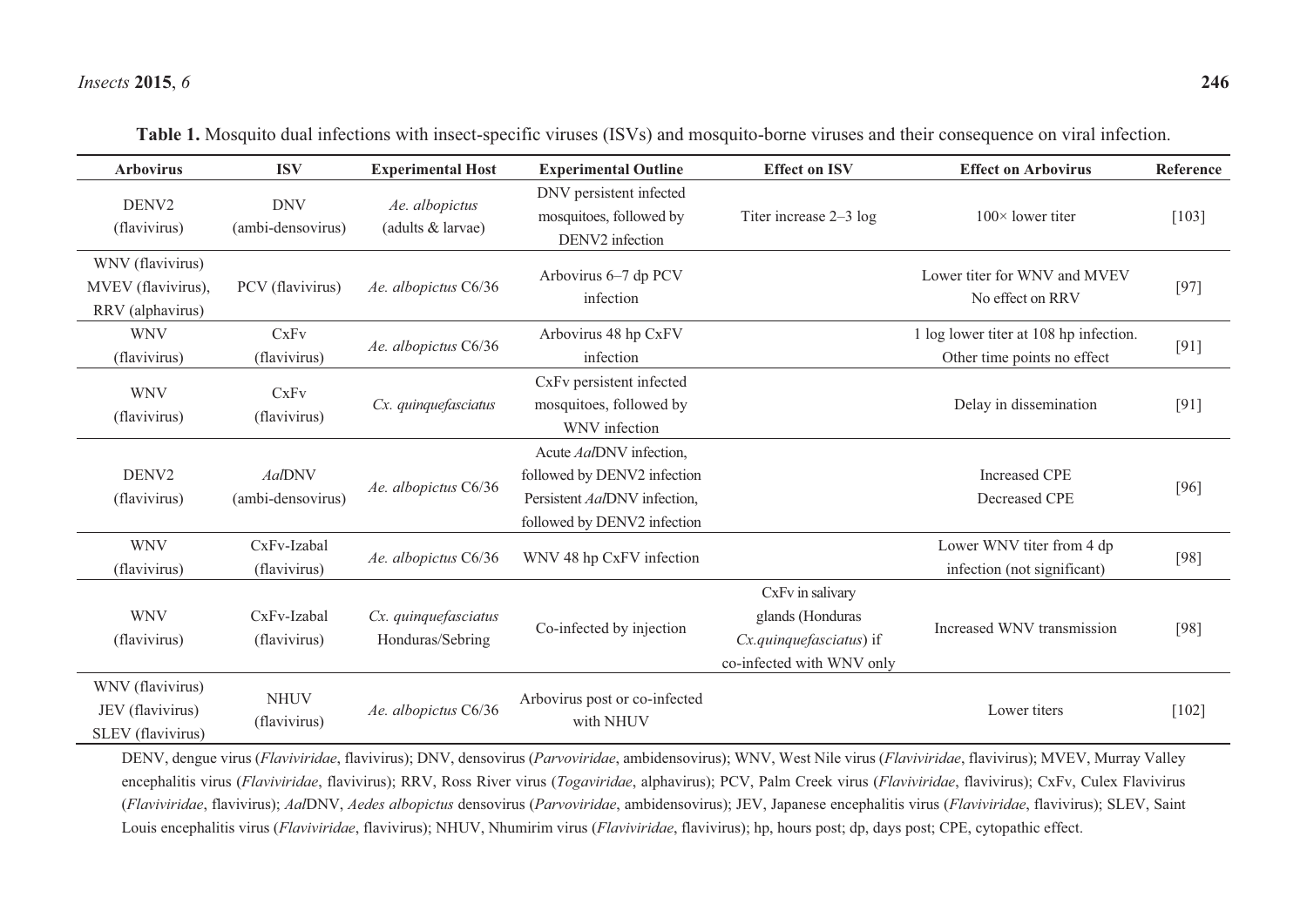#### *Insects* **2015**, *6* **246**

| <b>Arbovirus</b>                                           | <b>ISV</b>                         | <b>Experimental Host</b>                 | <b>Experimental Outline</b>                                                                                           | <b>Effect on ISV</b>                                                                         | <b>Effect on Arbovirus</b>                                            | Reference |
|------------------------------------------------------------|------------------------------------|------------------------------------------|-----------------------------------------------------------------------------------------------------------------------|----------------------------------------------------------------------------------------------|-----------------------------------------------------------------------|-----------|
| DENV <sub>2</sub><br>(flavivirus)                          | <b>DNV</b><br>(ambi-densovirus)    | Ae. albopictus<br>(adults & larvae)      | DNV persistent infected<br>mosquitoes, followed by<br>DENV2 infection                                                 | Titer increase 2–3 log                                                                       | $100 \times$ lower titer                                              | [103]     |
| WNV (flavivirus)<br>MVEV (flavivirus),<br>RRV (alphavirus) | PCV (flavivirus)                   | Ae. albopictus C6/36                     | Arbovirus 6-7 dp PCV<br>infection                                                                                     |                                                                                              | Lower titer for WNV and MVEV<br>No effect on RRV                      | $[97]$    |
| <b>WNV</b><br>(flavivirus)                                 | CxFv<br>(flavivirus)               | Ae. albopictus C6/36                     | Arbovirus 48 hp CxFV<br>infection                                                                                     |                                                                                              | 1 log lower titer at 108 hp infection.<br>Other time points no effect | $[91]$    |
| <b>WNV</b><br>(flavivirus)                                 | <b>CxFv</b><br>(flavivirus)        | Cx. quinquefasciatus                     | CxFv persistent infected<br>mosquitoes, followed by<br>WNV infection                                                  |                                                                                              | Delay in dissemination                                                | $[91]$    |
| DENV2<br>(flavivirus)                                      | <b>AalDNV</b><br>(ambi-densovirus) | Ae. albopictus C6/36                     | Acute AalDNV infection,<br>followed by DENV2 infection<br>Persistent AalDNV infection,<br>followed by DENV2 infection |                                                                                              | <b>Increased CPE</b><br>Decreased CPE                                 | [96]      |
| <b>WNV</b><br>(flavivirus)                                 | CxFv-Izabal<br>(flavivirus)        | Ae. albopictus C6/36                     | WNV 48 hp CxFV infection                                                                                              |                                                                                              | Lower WNV titer from 4 dp<br>infection (not significant)              | $[98]$    |
| <b>WNV</b><br>(flavivirus)                                 | CxFv-Izabal<br>(flavivirus)        | Cx. quinquefasciatus<br>Honduras/Sebring | Co-infected by injection                                                                                              | CxFv in salivary<br>glands (Honduras<br>Cx.quinquefasciatus) if<br>co-infected with WNV only | Increased WNV transmission                                            | [98]      |
| WNV (flavivirus)<br>JEV (flavivirus)<br>SLEV (flavivirus)  | <b>NHUV</b><br>(flavivirus)        | Ae. albopictus C6/36                     | Arbovirus post or co-infected<br>with NHUV                                                                            |                                                                                              | Lower titers                                                          | $[102]$   |

**Table 1.** Mosquito dual infections with insect-specific viruses (ISVs) and mosquito-borne viruses and their consequence on viral infection.

DENV, dengue virus (*Flaviviridae*, flavivirus); DNV, densovirus (*Parvoviridae*, ambidensovirus); WNV, West Nile virus (*Flaviviridae*, flavivirus); MVEV, Murray Valley encephalitis virus (*Flaviviridae*, flavivirus); RRV, Ross River virus (*Togaviridae*, alphavirus); PCV, Palm Creek virus (*Flaviviridae*, flavivirus); CxFv, Culex Flavivirus (*Flaviviridae*, flavivirus); *Aal*DNV, *Aedes albopictus* densovirus (*Parvoviridae*, ambidensovirus); JEV, Japanese encephalitis virus (*Flaviviridae*, flavivirus); SLEV, Saint Louis encephalitis virus (*Flaviviridae*, flavivirus); NHUV, Nhumirim virus (*Flaviviridae*, flavivirus); hp, hours post; dp, days post; CPE, cytopathic effect.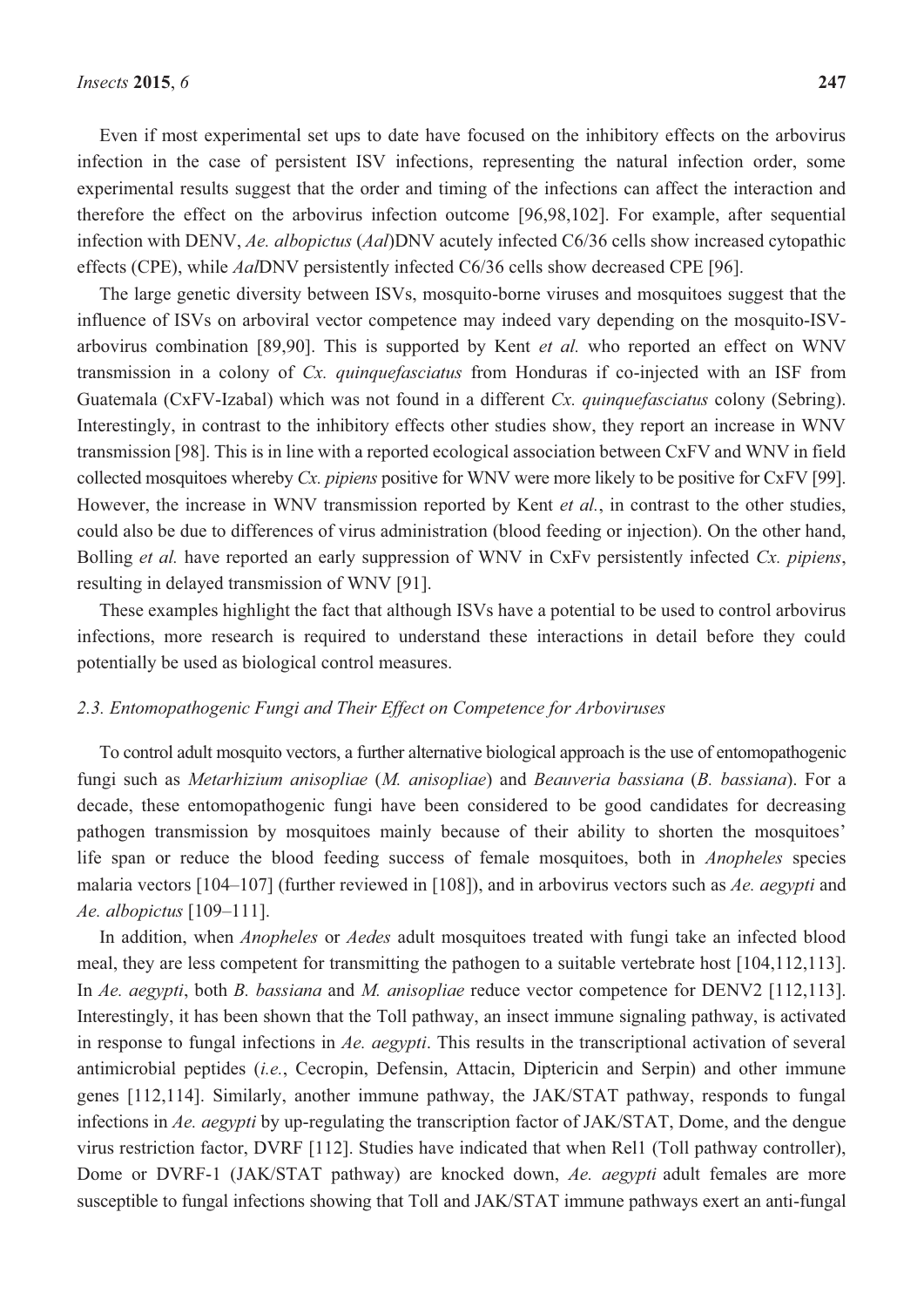Even if most experimental set ups to date have focused on the inhibitory effects on the arbovirus infection in the case of persistent ISV infections, representing the natural infection order, some experimental results suggest that the order and timing of the infections can affect the interaction and therefore the effect on the arbovirus infection outcome [96,98,102]. For example, after sequential infection with DENV, *Ae. albopictus* (*Aal*)DNV acutely infected C6/36 cells show increased cytopathic effects (CPE), while *Aal*DNV persistently infected C6/36 cells show decreased CPE [96].

The large genetic diversity between ISVs, mosquito-borne viruses and mosquitoes suggest that the influence of ISVs on arboviral vector competence may indeed vary depending on the mosquito-ISVarbovirus combination [89,90]. This is supported by Kent *et al.* who reported an effect on WNV transmission in a colony of *Cx. quinquefasciatus* from Honduras if co-injected with an ISF from Guatemala (CxFV-Izabal) which was not found in a different *Cx. quinquefasciatus* colony (Sebring). Interestingly, in contrast to the inhibitory effects other studies show, they report an increase in WNV transmission [98]. This is in line with a reported ecological association between CxFV and WNV in field collected mosquitoes whereby *Cx. pipiens* positive for WNV were more likely to be positive for CxFV [99]. However, the increase in WNV transmission reported by Kent *et al.*, in contrast to the other studies, could also be due to differences of virus administration (blood feeding or injection). On the other hand, Bolling *et al.* have reported an early suppression of WNV in CxFv persistently infected *Cx. pipiens*, resulting in delayed transmission of WNV [91].

These examples highlight the fact that although ISVs have a potential to be used to control arbovirus infections, more research is required to understand these interactions in detail before they could potentially be used as biological control measures.

# *2.3. Entomopathogenic Fungi and Their Effect on Competence for Arboviruses*

To control adult mosquito vectors, a further alternative biological approach is the use of entomopathogenic fungi such as *Metarhizium anisopliae* (*M. anisopliae*) and *Beauveria bassiana* (*B. bassiana*). For a decade, these entomopathogenic fungi have been considered to be good candidates for decreasing pathogen transmission by mosquitoes mainly because of their ability to shorten the mosquitoes' life span or reduce the blood feeding success of female mosquitoes, both in *Anopheles* species malaria vectors [104–107] (further reviewed in [108]), and in arbovirus vectors such as *Ae. aegypti* and *Ae. albopictus* [109–111].

In addition, when *Anopheles* or *Aedes* adult mosquitoes treated with fungi take an infected blood meal, they are less competent for transmitting the pathogen to a suitable vertebrate host [104,112,113]. In *Ae. aegypti*, both *B. bassiana* and *M. anisopliae* reduce vector competence for DENV2 [112,113]. Interestingly, it has been shown that the Toll pathway, an insect immune signaling pathway, is activated in response to fungal infections in *Ae. aegypti*. This results in the transcriptional activation of several antimicrobial peptides (*i.e.*, Cecropin, Defensin, Attacin, Diptericin and Serpin) and other immune genes [112,114]. Similarly, another immune pathway, the JAK/STAT pathway, responds to fungal infections in *Ae. aegypti* by up-regulating the transcription factor of JAK/STAT, Dome, and the dengue virus restriction factor, DVRF [112]. Studies have indicated that when Rel1 (Toll pathway controller), Dome or DVRF-1 (JAK/STAT pathway) are knocked down, *Ae. aegypti* adult females are more susceptible to fungal infections showing that Toll and JAK/STAT immune pathways exert an anti-fungal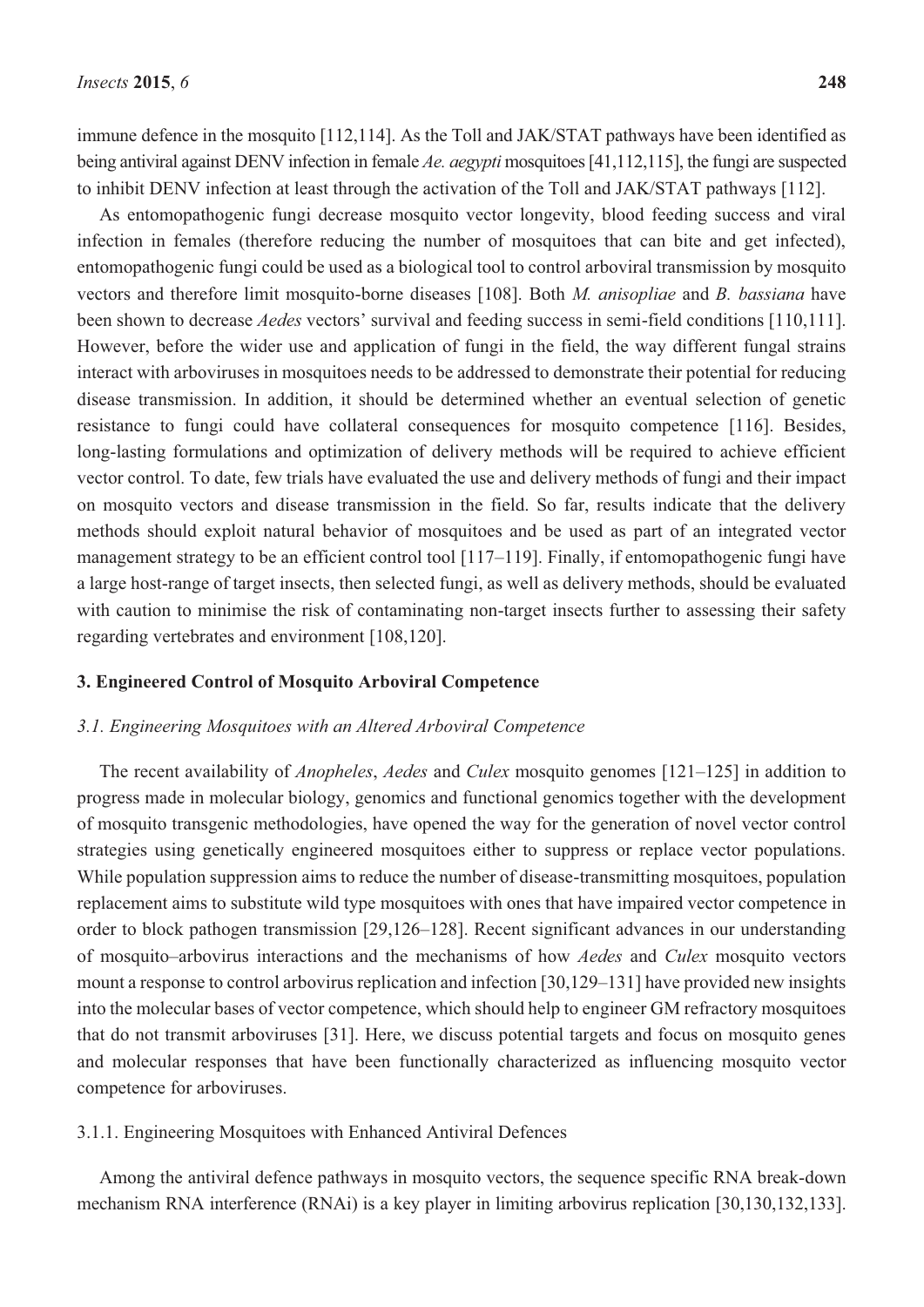immune defence in the mosquito [112,114]. As the Toll and JAK/STAT pathways have been identified as being antiviral against DENV infection in female *Ae. aegypti* mosquitoes [41,112,115], the fungi are suspected to inhibit DENV infection at least through the activation of the Toll and JAK/STAT pathways [112].

As entomopathogenic fungi decrease mosquito vector longevity, blood feeding success and viral infection in females (therefore reducing the number of mosquitoes that can bite and get infected), entomopathogenic fungi could be used as a biological tool to control arboviral transmission by mosquito vectors and therefore limit mosquito-borne diseases [108]. Both *M. anisopliae* and *B. bassiana* have been shown to decrease *Aedes* vectors' survival and feeding success in semi-field conditions [110,111]. However, before the wider use and application of fungi in the field, the way different fungal strains interact with arboviruses in mosquitoes needs to be addressed to demonstrate their potential for reducing disease transmission. In addition, it should be determined whether an eventual selection of genetic resistance to fungi could have collateral consequences for mosquito competence [116]. Besides, long-lasting formulations and optimization of delivery methods will be required to achieve efficient vector control. To date, few trials have evaluated the use and delivery methods of fungi and their impact on mosquito vectors and disease transmission in the field. So far, results indicate that the delivery methods should exploit natural behavior of mosquitoes and be used as part of an integrated vector management strategy to be an efficient control tool [117–119]. Finally, if entomopathogenic fungi have a large host-range of target insects, then selected fungi, as well as delivery methods, should be evaluated with caution to minimise the risk of contaminating non-target insects further to assessing their safety regarding vertebrates and environment [108,120].

#### **3. Engineered Control of Mosquito Arboviral Competence**

#### *3.1. Engineering Mosquitoes with an Altered Arboviral Competence*

The recent availability of *Anopheles*, *Aedes* and *Culex* mosquito genomes [121–125] in addition to progress made in molecular biology, genomics and functional genomics together with the development of mosquito transgenic methodologies, have opened the way for the generation of novel vector control strategies using genetically engineered mosquitoes either to suppress or replace vector populations. While population suppression aims to reduce the number of disease-transmitting mosquitoes, population replacement aims to substitute wild type mosquitoes with ones that have impaired vector competence in order to block pathogen transmission [29,126–128]. Recent significant advances in our understanding of mosquito–arbovirus interactions and the mechanisms of how *Aedes* and *Culex* mosquito vectors mount a response to control arbovirus replication and infection [30,129–131] have provided new insights into the molecular bases of vector competence, which should help to engineer GM refractory mosquitoes that do not transmit arboviruses [31]. Here, we discuss potential targets and focus on mosquito genes and molecular responses that have been functionally characterized as influencing mosquito vector competence for arboviruses.

#### 3.1.1. Engineering Mosquitoes with Enhanced Antiviral Defences

Among the antiviral defence pathways in mosquito vectors, the sequence specific RNA break-down mechanism RNA interference (RNAi) is a key player in limiting arbovirus replication [30,130,132,133].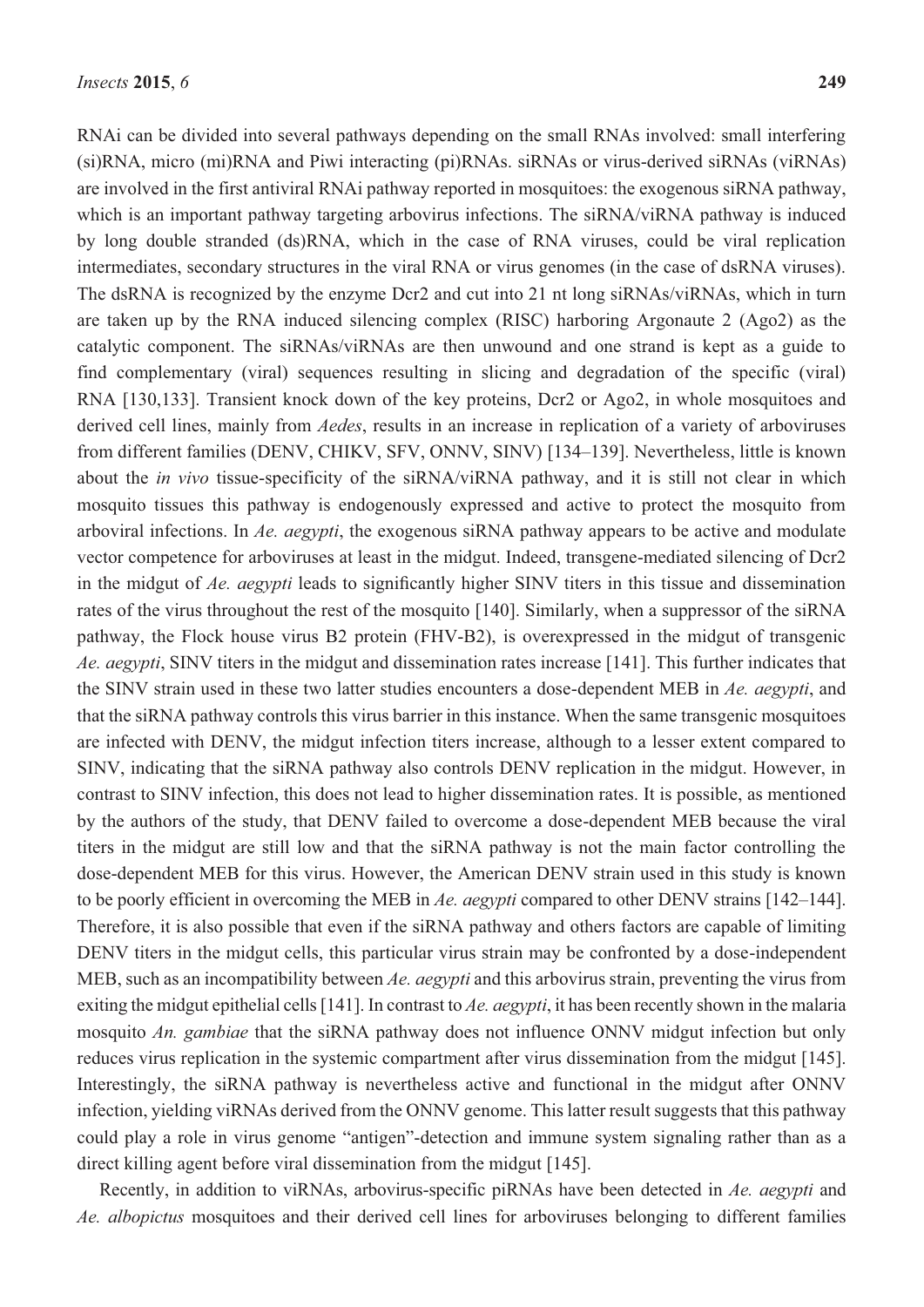RNAi can be divided into several pathways depending on the small RNAs involved: small interfering (si)RNA, micro (mi)RNA and Piwi interacting (pi)RNAs. siRNAs or virus-derived siRNAs (viRNAs) are involved in the first antiviral RNAi pathway reported in mosquitoes: the exogenous siRNA pathway, which is an important pathway targeting arbovirus infections. The siRNA/viRNA pathway is induced by long double stranded (ds)RNA, which in the case of RNA viruses, could be viral replication intermediates, secondary structures in the viral RNA or virus genomes (in the case of dsRNA viruses). The dsRNA is recognized by the enzyme Dcr2 and cut into 21 nt long siRNAs/viRNAs, which in turn are taken up by the RNA induced silencing complex (RISC) harboring Argonaute 2 (Ago2) as the catalytic component. The siRNAs/viRNAs are then unwound and one strand is kept as a guide to find complementary (viral) sequences resulting in slicing and degradation of the specific (viral) RNA [130,133]. Transient knock down of the key proteins, Dcr2 or Ago2, in whole mosquitoes and derived cell lines, mainly from *Aedes*, results in an increase in replication of a variety of arboviruses from different families (DENV, CHIKV, SFV, ONNV, SINV) [134–139]. Nevertheless, little is known about the *in vivo* tissue-specificity of the siRNA/viRNA pathway, and it is still not clear in which mosquito tissues this pathway is endogenously expressed and active to protect the mosquito from arboviral infections. In *Ae. aegypti*, the exogenous siRNA pathway appears to be active and modulate vector competence for arboviruses at least in the midgut. Indeed, transgene-mediated silencing of Dcr2 in the midgut of *Ae. aegypti* leads to significantly higher SINV titers in this tissue and dissemination rates of the virus throughout the rest of the mosquito [140]. Similarly, when a suppressor of the siRNA pathway, the Flock house virus B2 protein (FHV-B2), is overexpressed in the midgut of transgenic *Ae. aegypti*, SINV titers in the midgut and dissemination rates increase [141]. This further indicates that the SINV strain used in these two latter studies encounters a dose-dependent MEB in *Ae. aegypti*, and that the siRNA pathway controls this virus barrier in this instance. When the same transgenic mosquitoes are infected with DENV, the midgut infection titers increase, although to a lesser extent compared to SINV, indicating that the siRNA pathway also controls DENV replication in the midgut. However, in contrast to SINV infection, this does not lead to higher dissemination rates. It is possible, as mentioned by the authors of the study, that DENV failed to overcome a dose-dependent MEB because the viral titers in the midgut are still low and that the siRNA pathway is not the main factor controlling the dose-dependent MEB for this virus. However, the American DENV strain used in this study is known to be poorly efficient in overcoming the MEB in *Ae. aegypti* compared to other DENV strains [142–144]. Therefore, it is also possible that even if the siRNA pathway and others factors are capable of limiting DENV titers in the midgut cells, this particular virus strain may be confronted by a dose-independent MEB, such as an incompatibility between *Ae. aegypti* and this arbovirus strain, preventing the virus from exiting the midgut epithelial cells [141]. In contrast to *Ae. aegypti*, it has been recently shown in the malaria mosquito *An. gambiae* that the siRNA pathway does not influence ONNV midgut infection but only reduces virus replication in the systemic compartment after virus dissemination from the midgut [145]. Interestingly, the siRNA pathway is nevertheless active and functional in the midgut after ONNV infection, yielding viRNAs derived from the ONNV genome. This latter result suggests that this pathway could play a role in virus genome "antigen"-detection and immune system signaling rather than as a direct killing agent before viral dissemination from the midgut [145].

Recently, in addition to viRNAs, arbovirus-specific piRNAs have been detected in *Ae. aegypti* and *Ae. albopictus* mosquitoes and their derived cell lines for arboviruses belonging to different families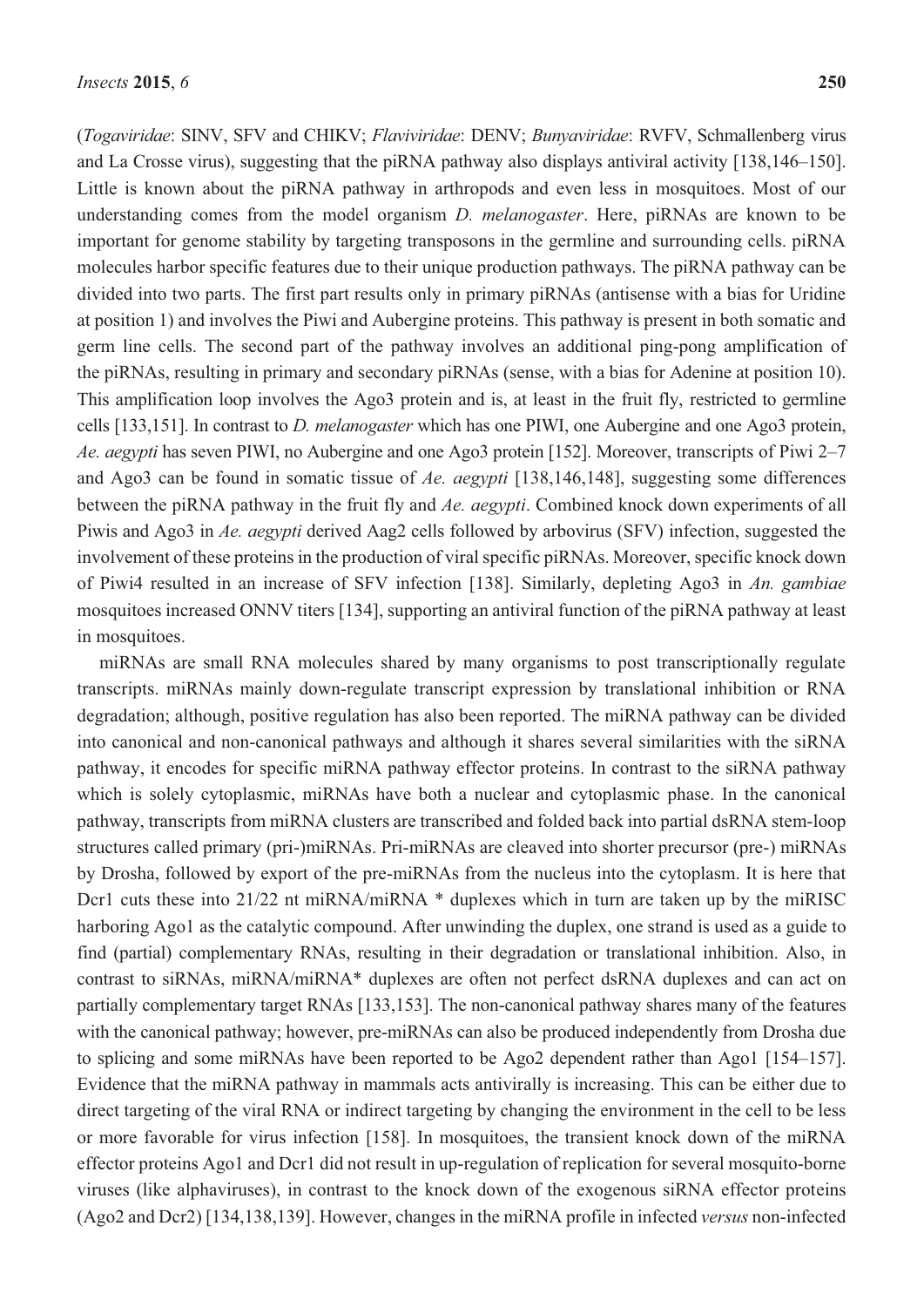(*Togaviridae*: SINV, SFV and CHIKV; *Flaviviridae*: DENV; *Bunyaviridae*: RVFV, Schmallenberg virus and La Crosse virus), suggesting that the piRNA pathway also displays antiviral activity [138,146–150]. Little is known about the piRNA pathway in arthropods and even less in mosquitoes. Most of our understanding comes from the model organism *D. melanogaster*. Here, piRNAs are known to be important for genome stability by targeting transposons in the germline and surrounding cells. piRNA molecules harbor specific features due to their unique production pathways. The piRNA pathway can be divided into two parts. The first part results only in primary piRNAs (antisense with a bias for Uridine at position 1) and involves the Piwi and Aubergine proteins. This pathway is present in both somatic and germ line cells. The second part of the pathway involves an additional ping-pong amplification of the piRNAs, resulting in primary and secondary piRNAs (sense, with a bias for Adenine at position 10). This amplification loop involves the Ago3 protein and is, at least in the fruit fly, restricted to germline cells [133,151]. In contrast to *D. melanogaster* which has one PIWI, one Aubergine and one Ago3 protein, *Ae. aegypti* has seven PIWI, no Aubergine and one Ago3 protein [152]. Moreover, transcripts of Piwi 2–7 and Ago3 can be found in somatic tissue of *Ae. aegypti* [138,146,148], suggesting some differences between the piRNA pathway in the fruit fly and *Ae. aegypti*. Combined knock down experiments of all Piwis and Ago3 in *Ae. aegypti* derived Aag2 cells followed by arbovirus (SFV) infection, suggested the involvement of these proteins in the production of viral specific piRNAs. Moreover, specific knock down of Piwi4 resulted in an increase of SFV infection [138]. Similarly, depleting Ago3 in *An. gambiae* mosquitoes increased ONNV titers [134], supporting an antiviral function of the piRNA pathway at least in mosquitoes.

miRNAs are small RNA molecules shared by many organisms to post transcriptionally regulate transcripts. miRNAs mainly down-regulate transcript expression by translational inhibition or RNA degradation; although, positive regulation has also been reported. The miRNA pathway can be divided into canonical and non-canonical pathways and although it shares several similarities with the siRNA pathway, it encodes for specific miRNA pathway effector proteins. In contrast to the siRNA pathway which is solely cytoplasmic, miRNAs have both a nuclear and cytoplasmic phase. In the canonical pathway, transcripts from miRNA clusters are transcribed and folded back into partial dsRNA stem-loop structures called primary (pri-)miRNAs. Pri-miRNAs are cleaved into shorter precursor (pre-) miRNAs by Drosha, followed by export of the pre-miRNAs from the nucleus into the cytoplasm. It is here that Dcr1 cuts these into 21/22 nt miRNA/miRNA \* duplexes which in turn are taken up by the miRISC harboring Ago1 as the catalytic compound. After unwinding the duplex, one strand is used as a guide to find (partial) complementary RNAs, resulting in their degradation or translational inhibition. Also, in contrast to siRNAs, miRNA/miRNA\* duplexes are often not perfect dsRNA duplexes and can act on partially complementary target RNAs [133,153]. The non-canonical pathway shares many of the features with the canonical pathway; however, pre-miRNAs can also be produced independently from Drosha due to splicing and some miRNAs have been reported to be Ago2 dependent rather than Ago1 [154–157]. Evidence that the miRNA pathway in mammals acts antivirally is increasing. This can be either due to direct targeting of the viral RNA or indirect targeting by changing the environment in the cell to be less or more favorable for virus infection [158]. In mosquitoes, the transient knock down of the miRNA effector proteins Ago1 and Dcr1 did not result in up-regulation of replication for several mosquito-borne viruses (like alphaviruses), in contrast to the knock down of the exogenous siRNA effector proteins (Ago2 and Dcr2) [134,138,139]. However, changes in the miRNA profile in infected *versus* non-infected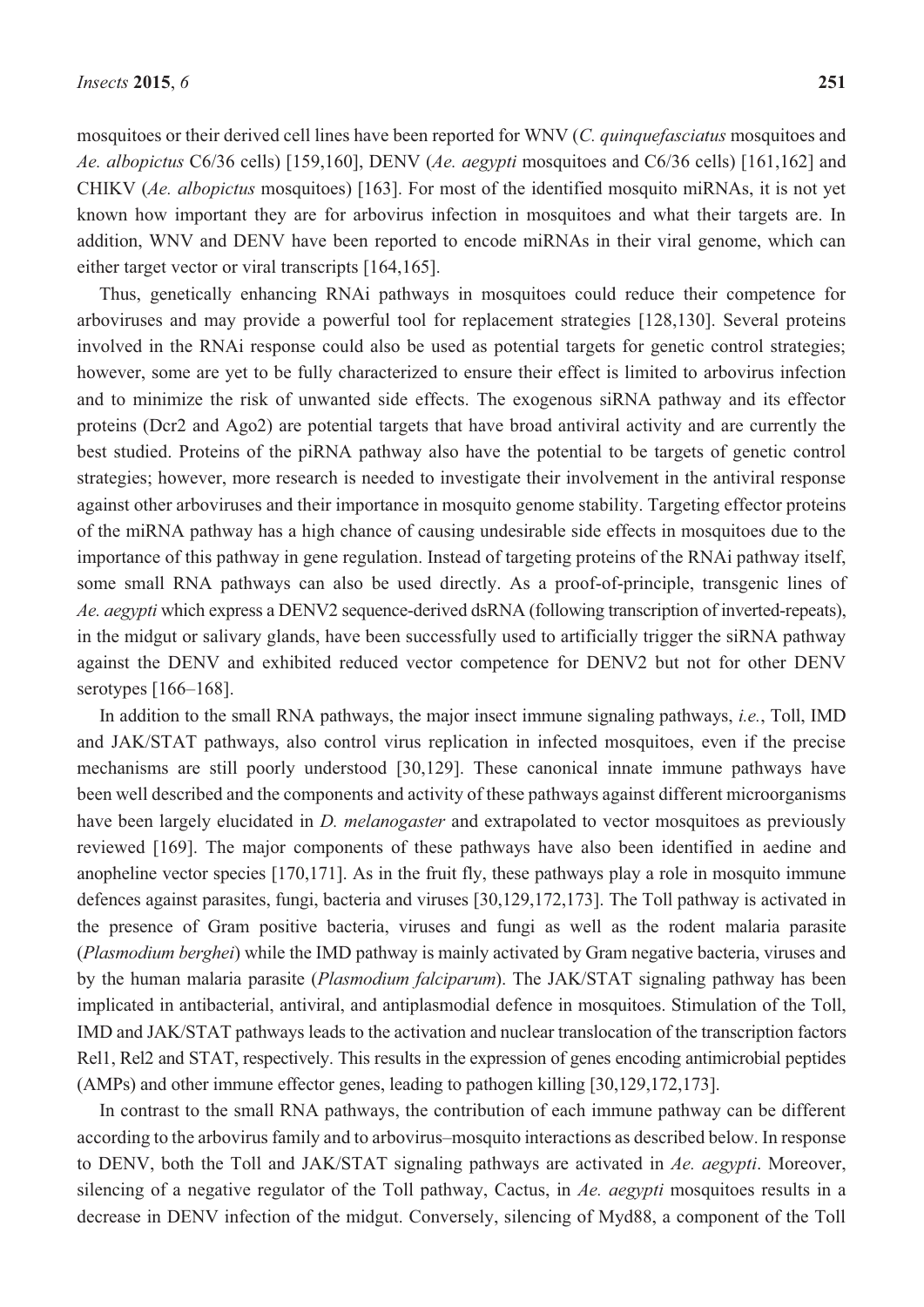mosquitoes or their derived cell lines have been reported for WNV (*C. quinquefasciatus* mosquitoes and *Ae. albopictus* C6/36 cells) [159,160], DENV (*Ae. aegypti* mosquitoes and C6/36 cells) [161,162] and CHIKV (*Ae. albopictus* mosquitoes) [163]. For most of the identified mosquito miRNAs, it is not yet known how important they are for arbovirus infection in mosquitoes and what their targets are. In addition, WNV and DENV have been reported to encode miRNAs in their viral genome, which can either target vector or viral transcripts [164,165].

Thus, genetically enhancing RNAi pathways in mosquitoes could reduce their competence for arboviruses and may provide a powerful tool for replacement strategies [128,130]. Several proteins involved in the RNAi response could also be used as potential targets for genetic control strategies; however, some are yet to be fully characterized to ensure their effect is limited to arbovirus infection and to minimize the risk of unwanted side effects. The exogenous siRNA pathway and its effector proteins (Dcr2 and Ago2) are potential targets that have broad antiviral activity and are currently the best studied. Proteins of the piRNA pathway also have the potential to be targets of genetic control strategies; however, more research is needed to investigate their involvement in the antiviral response against other arboviruses and their importance in mosquito genome stability. Targeting effector proteins of the miRNA pathway has a high chance of causing undesirable side effects in mosquitoes due to the importance of this pathway in gene regulation. Instead of targeting proteins of the RNAi pathway itself, some small RNA pathways can also be used directly. As a proof-of-principle, transgenic lines of *Ae. aegypti* which express a DENV2 sequence-derived dsRNA (following transcription of inverted-repeats), in the midgut or salivary glands, have been successfully used to artificially trigger the siRNA pathway against the DENV and exhibited reduced vector competence for DENV2 but not for other DENV serotypes [166–168].

In addition to the small RNA pathways, the major insect immune signaling pathways, *i.e.*, Toll, IMD and JAK/STAT pathways, also control virus replication in infected mosquitoes, even if the precise mechanisms are still poorly understood [30,129]. These canonical innate immune pathways have been well described and the components and activity of these pathways against different microorganisms have been largely elucidated in *D. melanogaster* and extrapolated to vector mosquitoes as previously reviewed [169]. The major components of these pathways have also been identified in aedine and anopheline vector species [170,171]. As in the fruit fly, these pathways play a role in mosquito immune defences against parasites, fungi, bacteria and viruses [30,129,172,173]. The Toll pathway is activated in the presence of Gram positive bacteria, viruses and fungi as well as the rodent malaria parasite (*Plasmodium berghei*) while the IMD pathway is mainly activated by Gram negative bacteria, viruses and by the human malaria parasite (*Plasmodium falciparum*). The JAK/STAT signaling pathway has been implicated in antibacterial, antiviral, and antiplasmodial defence in mosquitoes. Stimulation of the Toll, IMD and JAK/STAT pathways leads to the activation and nuclear translocation of the transcription factors Rel1, Rel2 and STAT, respectively. This results in the expression of genes encoding antimicrobial peptides (AMPs) and other immune effector genes, leading to pathogen killing [30,129,172,173].

In contrast to the small RNA pathways, the contribution of each immune pathway can be different according to the arbovirus family and to arbovirus–mosquito interactions as described below. In response to DENV, both the Toll and JAK/STAT signaling pathways are activated in *Ae. aegypti*. Moreover, silencing of a negative regulator of the Toll pathway, Cactus, in *Ae. aegypti* mosquitoes results in a decrease in DENV infection of the midgut. Conversely, silencing of Myd88, a component of the Toll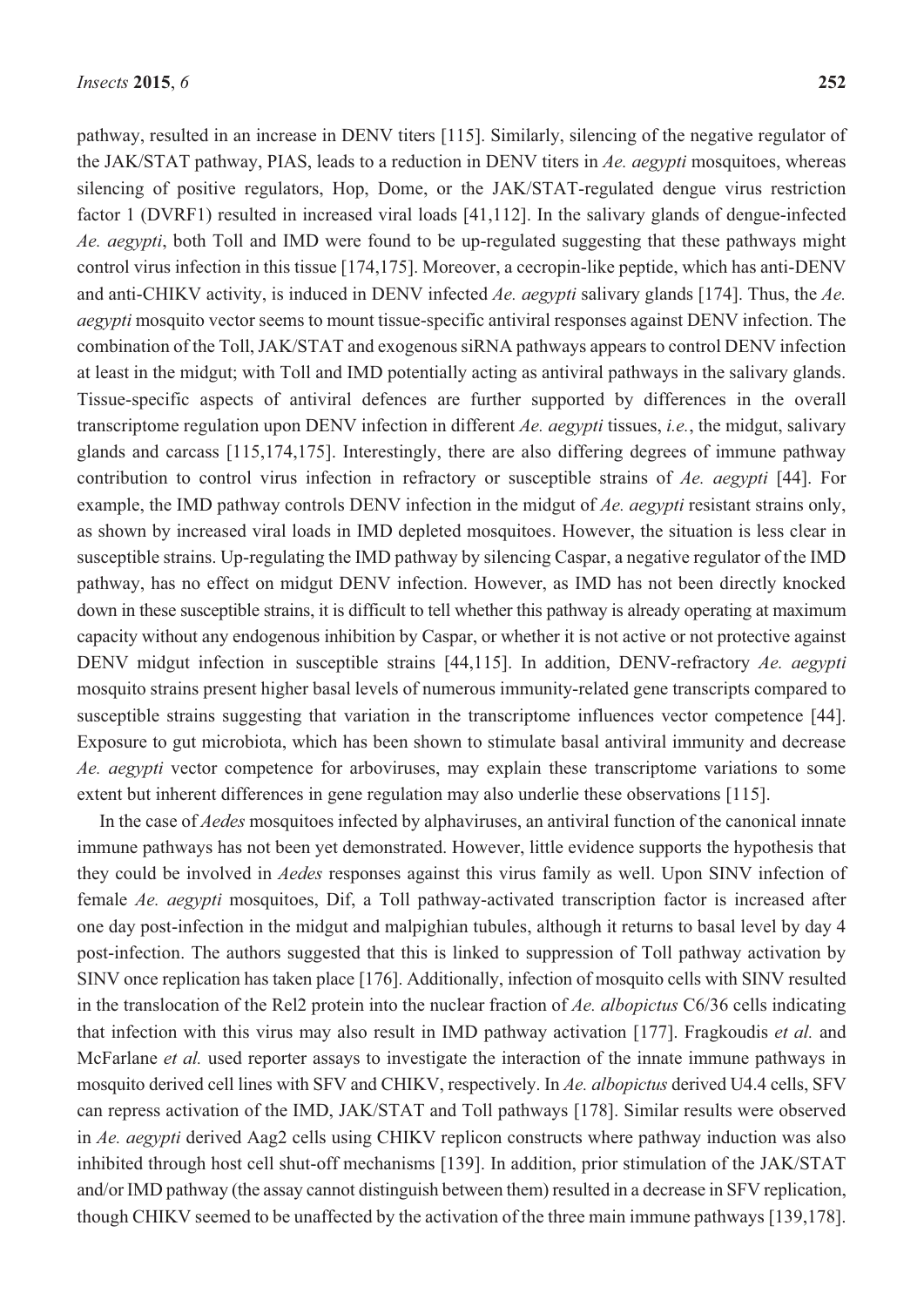pathway, resulted in an increase in DENV titers [115]. Similarly, silencing of the negative regulator of the JAK/STAT pathway, PIAS, leads to a reduction in DENV titers in *Ae. aegypti* mosquitoes, whereas silencing of positive regulators, Hop, Dome, or the JAK/STAT-regulated dengue virus restriction factor 1 (DVRF1) resulted in increased viral loads [41,112]. In the salivary glands of dengue-infected *Ae. aegypti*, both Toll and IMD were found to be up-regulated suggesting that these pathways might control virus infection in this tissue [174,175]. Moreover, a cecropin-like peptide, which has anti-DENV and anti-CHIKV activity, is induced in DENV infected *Ae. aegypti* salivary glands [174]. Thus, the *Ae. aegypti* mosquito vector seems to mount tissue-specific antiviral responses against DENV infection. The combination of the Toll, JAK/STAT and exogenous siRNA pathways appears to control DENV infection at least in the midgut; with Toll and IMD potentially acting as antiviral pathways in the salivary glands. Tissue-specific aspects of antiviral defences are further supported by differences in the overall transcriptome regulation upon DENV infection in different *Ae. aegypti* tissues, *i.e.*, the midgut, salivary glands and carcass [115,174,175]. Interestingly, there are also differing degrees of immune pathway contribution to control virus infection in refractory or susceptible strains of *Ae. aegypti* [44]. For example, the IMD pathway controls DENV infection in the midgut of *Ae. aegypti* resistant strains only, as shown by increased viral loads in IMD depleted mosquitoes. However, the situation is less clear in susceptible strains. Up-regulating the IMD pathway by silencing Caspar, a negative regulator of the IMD pathway, has no effect on midgut DENV infection. However, as IMD has not been directly knocked down in these susceptible strains, it is difficult to tell whether this pathway is already operating at maximum capacity without any endogenous inhibition by Caspar, or whether it is not active or not protective against DENV midgut infection in susceptible strains [44,115]. In addition, DENV-refractory *Ae. aegypti* mosquito strains present higher basal levels of numerous immunity-related gene transcripts compared to susceptible strains suggesting that variation in the transcriptome influences vector competence [44]. Exposure to gut microbiota, which has been shown to stimulate basal antiviral immunity and decrease *Ae. aegypti* vector competence for arboviruses, may explain these transcriptome variations to some extent but inherent differences in gene regulation may also underlie these observations [115].

In the case of *Aedes* mosquitoes infected by alphaviruses, an antiviral function of the canonical innate immune pathways has not been yet demonstrated. However, little evidence supports the hypothesis that they could be involved in *Aedes* responses against this virus family as well. Upon SINV infection of female *Ae. aegypti* mosquitoes, Dif, a Toll pathway-activated transcription factor is increased after one day post-infection in the midgut and malpighian tubules, although it returns to basal level by day 4 post-infection. The authors suggested that this is linked to suppression of Toll pathway activation by SINV once replication has taken place [176]. Additionally, infection of mosquito cells with SINV resulted in the translocation of the Rel2 protein into the nuclear fraction of *Ae. albopictus* C6/36 cells indicating that infection with this virus may also result in IMD pathway activation [177]. Fragkoudis *et al.* and McFarlane *et al.* used reporter assays to investigate the interaction of the innate immune pathways in mosquito derived cell lines with SFV and CHIKV, respectively. In *Ae. albopictus* derived U4.4 cells, SFV can repress activation of the IMD, JAK/STAT and Toll pathways [178]. Similar results were observed in *Ae. aegypti* derived Aag2 cells using CHIKV replicon constructs where pathway induction was also inhibited through host cell shut-off mechanisms [139]. In addition, prior stimulation of the JAK/STAT and/or IMD pathway (the assay cannot distinguish between them) resulted in a decrease in SFV replication, though CHIKV seemed to be unaffected by the activation of the three main immune pathways [139,178].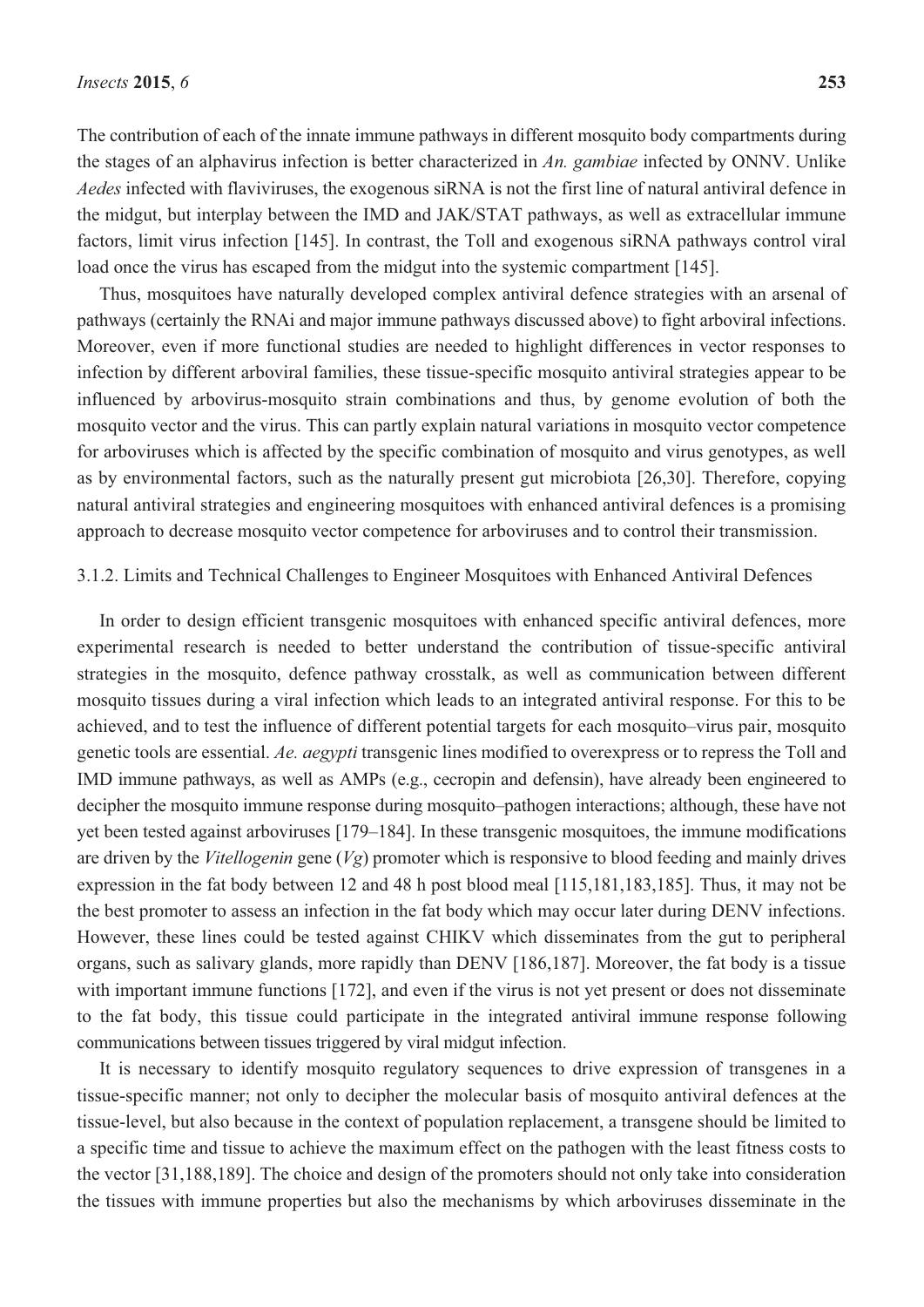The contribution of each of the innate immune pathways in different mosquito body compartments during the stages of an alphavirus infection is better characterized in *An. gambiae* infected by ONNV. Unlike *Aedes* infected with flaviviruses, the exogenous siRNA is not the first line of natural antiviral defence in the midgut, but interplay between the IMD and JAK/STAT pathways, as well as extracellular immune factors, limit virus infection [145]. In contrast, the Toll and exogenous siRNA pathways control viral load once the virus has escaped from the midgut into the systemic compartment [145].

Thus, mosquitoes have naturally developed complex antiviral defence strategies with an arsenal of pathways (certainly the RNAi and major immune pathways discussed above) to fight arboviral infections. Moreover, even if more functional studies are needed to highlight differences in vector responses to infection by different arboviral families, these tissue-specific mosquito antiviral strategies appear to be influenced by arbovirus-mosquito strain combinations and thus, by genome evolution of both the mosquito vector and the virus. This can partly explain natural variations in mosquito vector competence for arboviruses which is affected by the specific combination of mosquito and virus genotypes, as well as by environmental factors, such as the naturally present gut microbiota [26,30]. Therefore, copying natural antiviral strategies and engineering mosquitoes with enhanced antiviral defences is a promising approach to decrease mosquito vector competence for arboviruses and to control their transmission.

#### 3.1.2. Limits and Technical Challenges to Engineer Mosquitoes with Enhanced Antiviral Defences

In order to design efficient transgenic mosquitoes with enhanced specific antiviral defences, more experimental research is needed to better understand the contribution of tissue-specific antiviral strategies in the mosquito, defence pathway crosstalk, as well as communication between different mosquito tissues during a viral infection which leads to an integrated antiviral response. For this to be achieved, and to test the influence of different potential targets for each mosquito–virus pair, mosquito genetic tools are essential. *Ae. aegypti* transgenic lines modified to overexpress or to repress the Toll and IMD immune pathways, as well as AMPs (e.g., cecropin and defensin), have already been engineered to decipher the mosquito immune response during mosquito–pathogen interactions; although, these have not yet been tested against arboviruses [179–184]. In these transgenic mosquitoes, the immune modifications are driven by the *Vitellogenin* gene (*Vg*) promoter which is responsive to blood feeding and mainly drives expression in the fat body between 12 and 48 h post blood meal [115,181,183,185]. Thus, it may not be the best promoter to assess an infection in the fat body which may occur later during DENV infections. However, these lines could be tested against CHIKV which disseminates from the gut to peripheral organs, such as salivary glands, more rapidly than DENV [186,187]. Moreover, the fat body is a tissue with important immune functions [172], and even if the virus is not yet present or does not disseminate to the fat body, this tissue could participate in the integrated antiviral immune response following communications between tissues triggered by viral midgut infection.

It is necessary to identify mosquito regulatory sequences to drive expression of transgenes in a tissue-specific manner; not only to decipher the molecular basis of mosquito antiviral defences at the tissue-level, but also because in the context of population replacement, a transgene should be limited to a specific time and tissue to achieve the maximum effect on the pathogen with the least fitness costs to the vector [31,188,189]. The choice and design of the promoters should not only take into consideration the tissues with immune properties but also the mechanisms by which arboviruses disseminate in the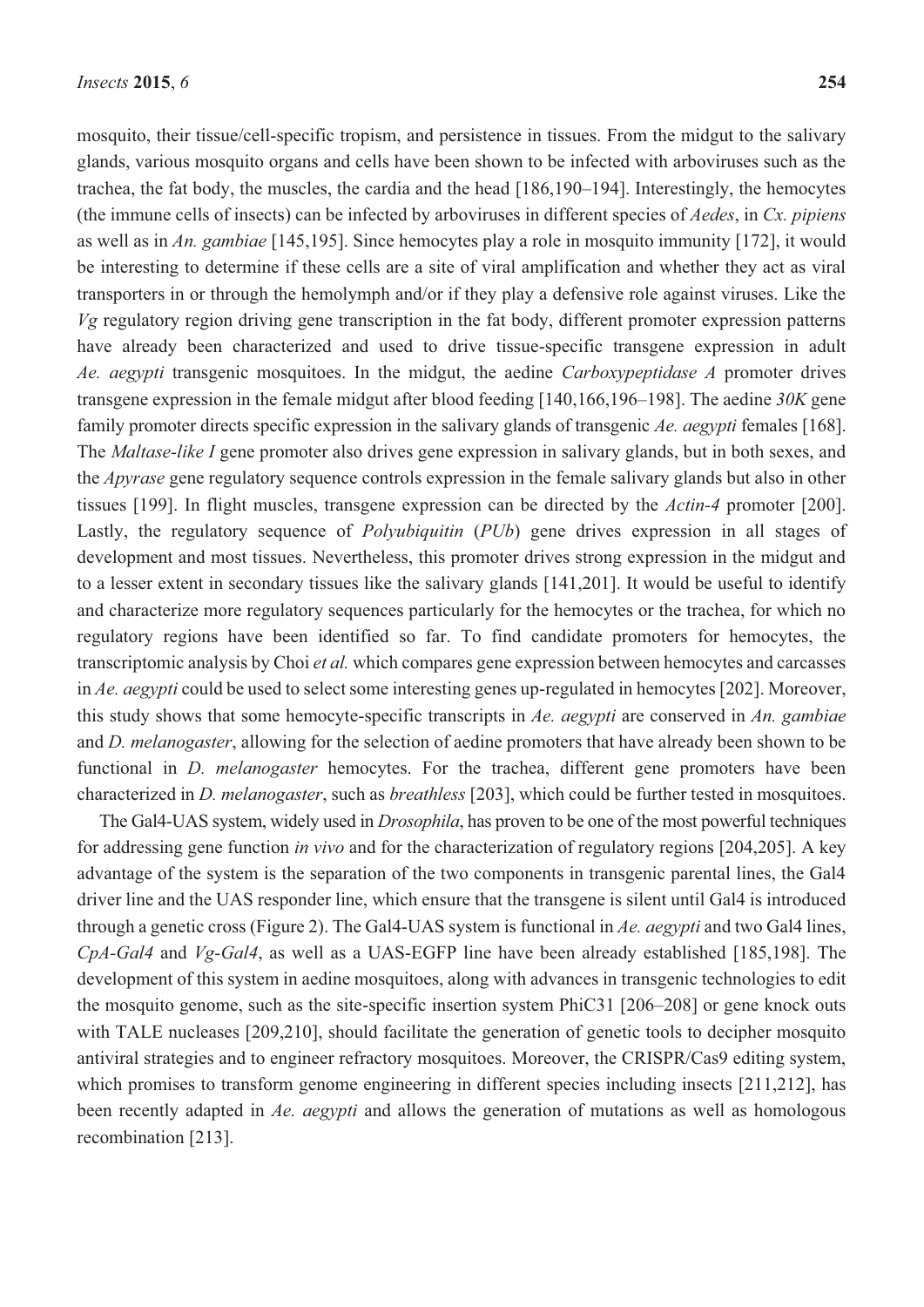mosquito, their tissue/cell-specific tropism, and persistence in tissues. From the midgut to the salivary glands, various mosquito organs and cells have been shown to be infected with arboviruses such as the trachea, the fat body, the muscles, the cardia and the head [186,190–194]. Interestingly, the hemocytes (the immune cells of insects) can be infected by arboviruses in different species of *Aedes*, in *Cx. pipiens* as well as in *An. gambiae* [145,195]. Since hemocytes play a role in mosquito immunity [172], it would be interesting to determine if these cells are a site of viral amplification and whether they act as viral transporters in or through the hemolymph and/or if they play a defensive role against viruses. Like the *Vg* regulatory region driving gene transcription in the fat body, different promoter expression patterns have already been characterized and used to drive tissue-specific transgene expression in adult *Ae. aegypti* transgenic mosquitoes. In the midgut, the aedine *Carboxypeptidase A* promoter drives transgene expression in the female midgut after blood feeding [140,166,196–198]. The aedine *30K* gene family promoter directs specific expression in the salivary glands of transgenic *Ae. aegypti* females [168]. The *Maltase-like I* gene promoter also drives gene expression in salivary glands, but in both sexes, and the *Apyrase* gene regulatory sequence controls expression in the female salivary glands but also in other tissues [199]. In flight muscles, transgene expression can be directed by the *Actin-4* promoter [200]. Lastly, the regulatory sequence of *Polyubiquitin* (*PUb*) gene drives expression in all stages of development and most tissues. Nevertheless, this promoter drives strong expression in the midgut and to a lesser extent in secondary tissues like the salivary glands [141,201]. It would be useful to identify and characterize more regulatory sequences particularly for the hemocytes or the trachea, for which no regulatory regions have been identified so far. To find candidate promoters for hemocytes, the transcriptomic analysis by Choi *et al.* which compares gene expression between hemocytes and carcasses in *Ae. aegypti* could be used to select some interesting genes up-regulated in hemocytes [202]. Moreover, this study shows that some hemocyte-specific transcripts in *Ae. aegypti* are conserved in *An. gambiae* and *D. melanogaster*, allowing for the selection of aedine promoters that have already been shown to be functional in *D. melanogaster* hemocytes. For the trachea, different gene promoters have been characterized in *D. melanogaster*, such as *breathless* [203], which could be further tested in mosquitoes.

The Gal4-UAS system, widely used in *Drosophila*, has proven to be one of the most powerful techniques for addressing gene function *in vivo* and for the characterization of regulatory regions [204,205]. A key advantage of the system is the separation of the two components in transgenic parental lines, the Gal4 driver line and the UAS responder line, which ensure that the transgene is silent until Gal4 is introduced through a genetic cross (Figure 2). The Gal4-UAS system is functional in *Ae. aegypti* and two Gal4 lines, *CpA-Gal4* and *Vg-Gal4*, as well as a UAS-EGFP line have been already established [185,198]. The development of this system in aedine mosquitoes, along with advances in transgenic technologies to edit the mosquito genome, such as the site-specific insertion system PhiC31 [206–208] or gene knock outs with TALE nucleases [209,210], should facilitate the generation of genetic tools to decipher mosquito antiviral strategies and to engineer refractory mosquitoes. Moreover, the CRISPR/Cas9 editing system, which promises to transform genome engineering in different species including insects [211,212], has been recently adapted in *Ae. aegypti* and allows the generation of mutations as well as homologous recombination [213].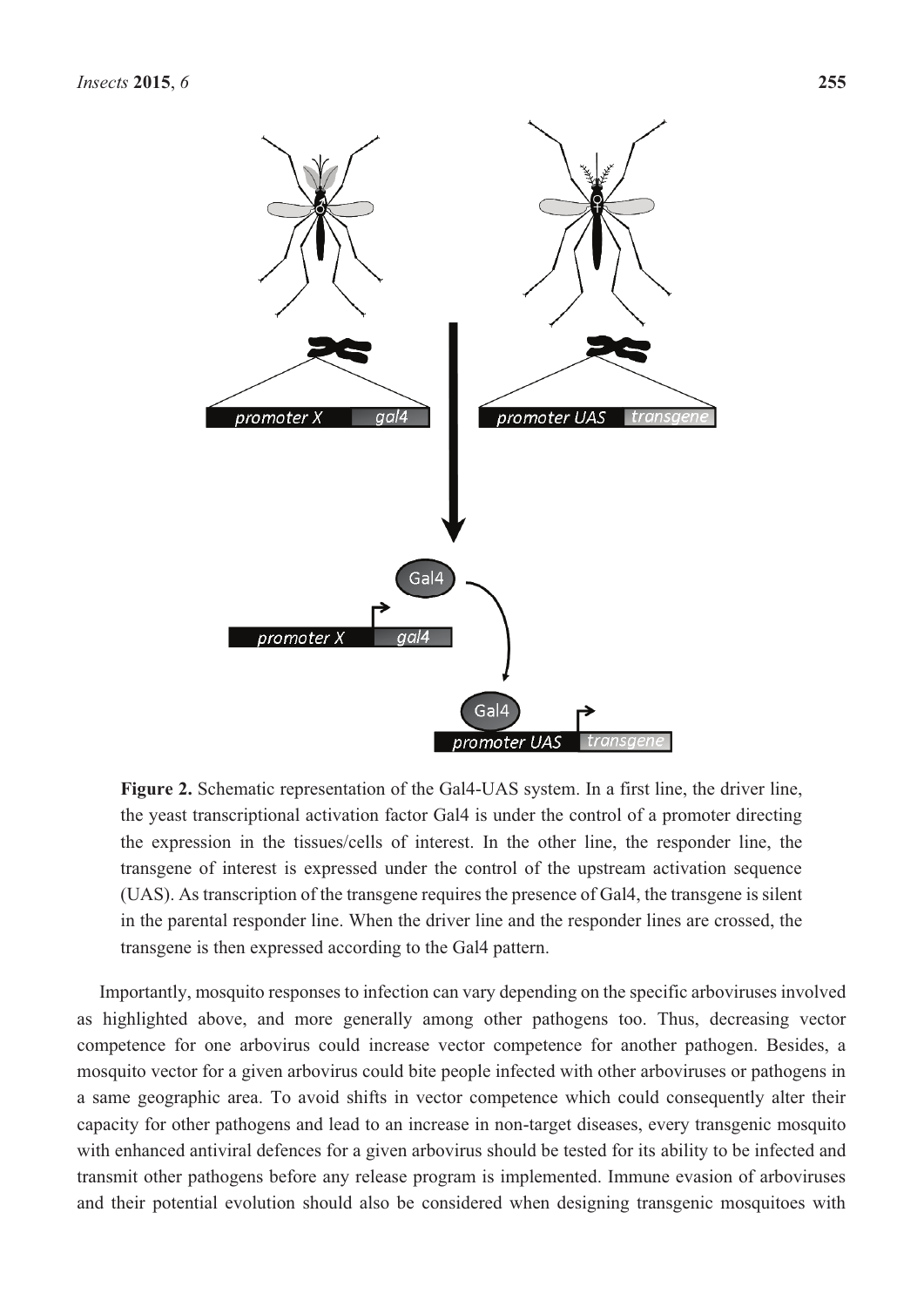

**Figure 2.** Schematic representation of the Gal4-UAS system. In a first line, the driver line, the yeast transcriptional activation factor Gal4 is under the control of a promoter directing the expression in the tissues/cells of interest. In the other line, the responder line, the transgene of interest is expressed under the control of the upstream activation sequence (UAS). As transcription of the transgene requires the presence of Gal4, the transgene is silent in the parental responder line. When the driver line and the responder lines are crossed, the transgene is then expressed according to the Gal4 pattern.

Importantly, mosquito responses to infection can vary depending on the specific arboviruses involved as highlighted above, and more generally among other pathogens too. Thus, decreasing vector competence for one arbovirus could increase vector competence for another pathogen. Besides, a mosquito vector for a given arbovirus could bite people infected with other arboviruses or pathogens in a same geographic area. To avoid shifts in vector competence which could consequently alter their capacity for other pathogens and lead to an increase in non-target diseases, every transgenic mosquito with enhanced antiviral defences for a given arbovirus should be tested for its ability to be infected and transmit other pathogens before any release program is implemented. Immune evasion of arboviruses and their potential evolution should also be considered when designing transgenic mosquitoes with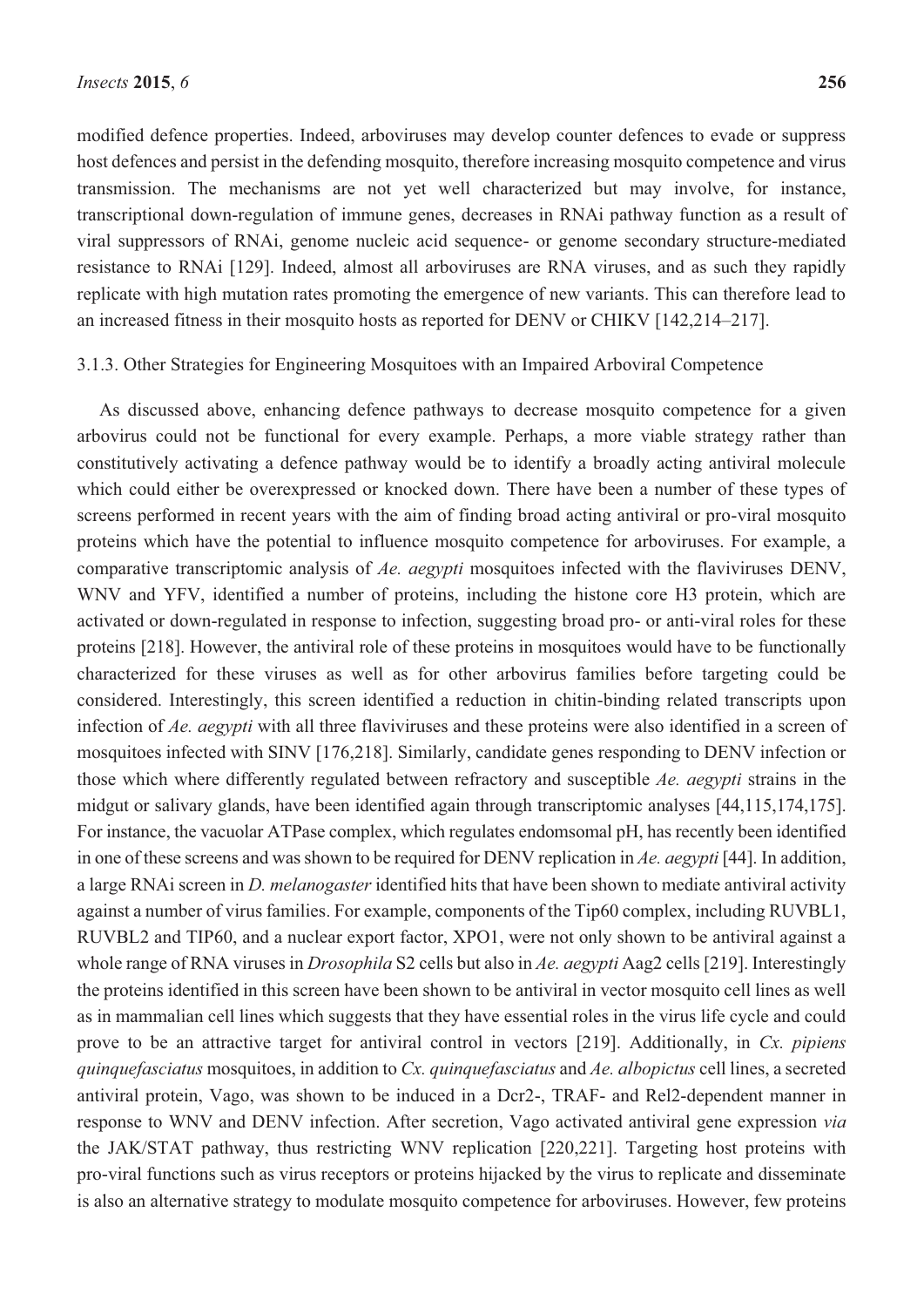modified defence properties. Indeed, arboviruses may develop counter defences to evade or suppress host defences and persist in the defending mosquito, therefore increasing mosquito competence and virus transmission. The mechanisms are not yet well characterized but may involve, for instance, transcriptional down-regulation of immune genes, decreases in RNAi pathway function as a result of viral suppressors of RNAi, genome nucleic acid sequence- or genome secondary structure-mediated resistance to RNAi [129]. Indeed, almost all arboviruses are RNA viruses, and as such they rapidly replicate with high mutation rates promoting the emergence of new variants. This can therefore lead to an increased fitness in their mosquito hosts as reported for DENV or CHIKV [142,214–217].

#### 3.1.3. Other Strategies for Engineering Mosquitoes with an Impaired Arboviral Competence

As discussed above, enhancing defence pathways to decrease mosquito competence for a given arbovirus could not be functional for every example. Perhaps, a more viable strategy rather than constitutively activating a defence pathway would be to identify a broadly acting antiviral molecule which could either be overexpressed or knocked down. There have been a number of these types of screens performed in recent years with the aim of finding broad acting antiviral or pro-viral mosquito proteins which have the potential to influence mosquito competence for arboviruses. For example, a comparative transcriptomic analysis of *Ae. aegypti* mosquitoes infected with the flaviviruses DENV, WNV and YFV, identified a number of proteins, including the histone core H3 protein, which are activated or down-regulated in response to infection, suggesting broad pro- or anti-viral roles for these proteins [218]. However, the antiviral role of these proteins in mosquitoes would have to be functionally characterized for these viruses as well as for other arbovirus families before targeting could be considered. Interestingly, this screen identified a reduction in chitin-binding related transcripts upon infection of *Ae. aegypti* with all three flaviviruses and these proteins were also identified in a screen of mosquitoes infected with SINV [176,218]. Similarly, candidate genes responding to DENV infection or those which where differently regulated between refractory and susceptible *Ae. aegypti* strains in the midgut or salivary glands, have been identified again through transcriptomic analyses [44,115,174,175]. For instance, the vacuolar ATPase complex, which regulates endomsomal pH, has recently been identified in one of these screens and was shown to be required for DENV replication in *Ae. aegypti* [44]. In addition, a large RNAi screen in *D. melanogaster* identified hits that have been shown to mediate antiviral activity against a number of virus families. For example, components of the Tip60 complex, including RUVBL1, RUVBL2 and TIP60, and a nuclear export factor, XPO1, were not only shown to be antiviral against a whole range of RNA viruses in *Drosophila* S2 cells but also in *Ae. aegypti* Aag2 cells [219]. Interestingly the proteins identified in this screen have been shown to be antiviral in vector mosquito cell lines as well as in mammalian cell lines which suggests that they have essential roles in the virus life cycle and could prove to be an attractive target for antiviral control in vectors [219]. Additionally, in *Cx. pipiens quinquefasciatus* mosquitoes, in addition to *Cx. quinquefasciatus* and *Ae. albopictus* cell lines, a secreted antiviral protein, Vago, was shown to be induced in a Dcr2-, TRAF- and Rel2-dependent manner in response to WNV and DENV infection. After secretion, Vago activated antiviral gene expression *via* the JAK/STAT pathway, thus restricting WNV replication [220,221]. Targeting host proteins with pro-viral functions such as virus receptors or proteins hijacked by the virus to replicate and disseminate is also an alternative strategy to modulate mosquito competence for arboviruses. However, few proteins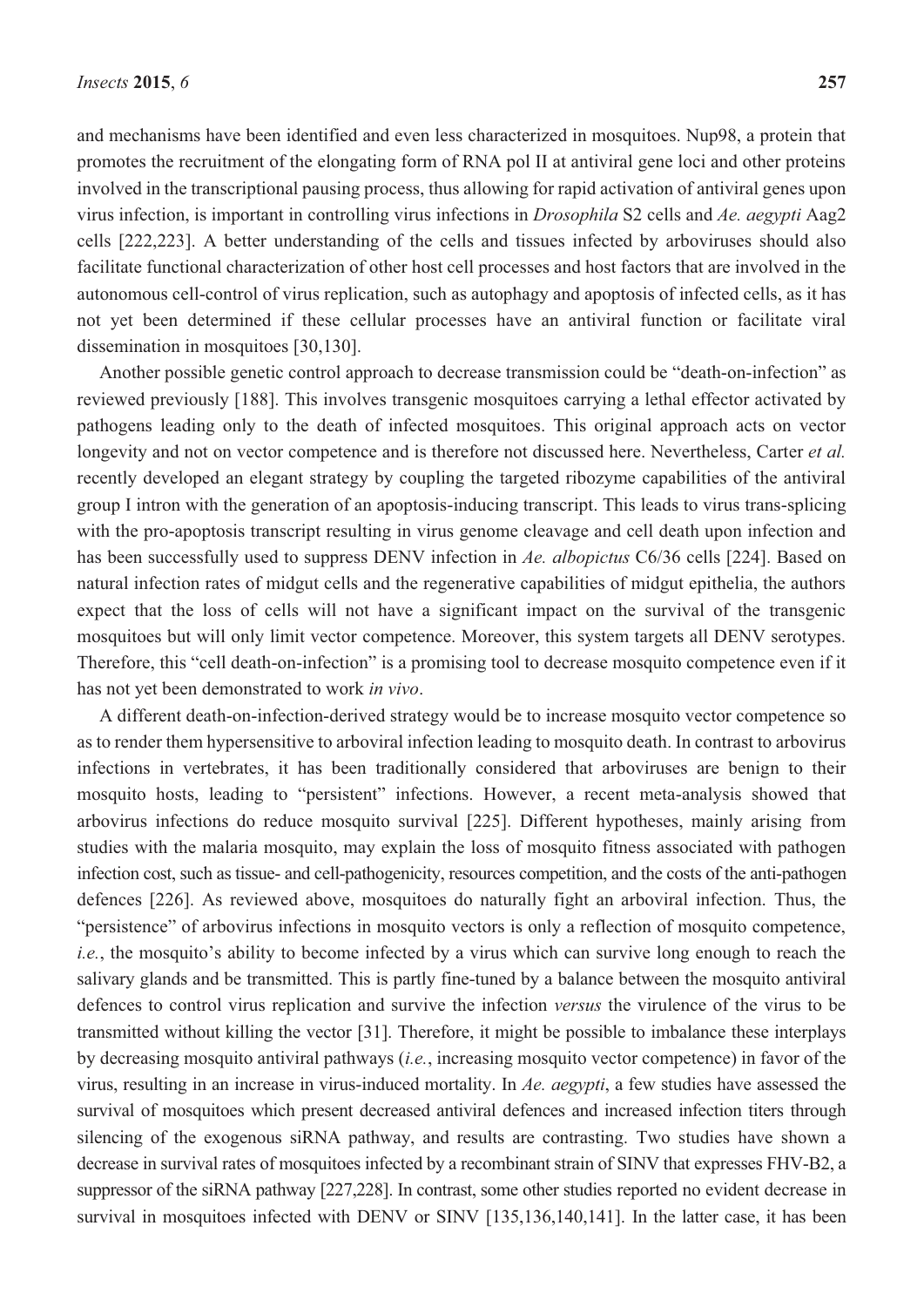and mechanisms have been identified and even less characterized in mosquitoes. Nup98, a protein that promotes the recruitment of the elongating form of RNA pol II at antiviral gene loci and other proteins involved in the transcriptional pausing process, thus allowing for rapid activation of antiviral genes upon virus infection, is important in controlling virus infections in *Drosophila* S2 cells and *Ae. aegypti* Aag2 cells [222,223]. A better understanding of the cells and tissues infected by arboviruses should also facilitate functional characterization of other host cell processes and host factors that are involved in the autonomous cell-control of virus replication, such as autophagy and apoptosis of infected cells, as it has not yet been determined if these cellular processes have an antiviral function or facilitate viral dissemination in mosquitoes [30,130].

Another possible genetic control approach to decrease transmission could be "death-on-infection" as reviewed previously [188]. This involves transgenic mosquitoes carrying a lethal effector activated by pathogens leading only to the death of infected mosquitoes. This original approach acts on vector longevity and not on vector competence and is therefore not discussed here. Nevertheless, Carter *et al.* recently developed an elegant strategy by coupling the targeted ribozyme capabilities of the antiviral group I intron with the generation of an apoptosis-inducing transcript. This leads to virus trans-splicing with the pro-apoptosis transcript resulting in virus genome cleavage and cell death upon infection and has been successfully used to suppress DENV infection in *Ae. albopictus* C6/36 cells [224]. Based on natural infection rates of midgut cells and the regenerative capabilities of midgut epithelia, the authors expect that the loss of cells will not have a significant impact on the survival of the transgenic mosquitoes but will only limit vector competence. Moreover, this system targets all DENV serotypes. Therefore, this "cell death-on-infection" is a promising tool to decrease mosquito competence even if it has not yet been demonstrated to work *in vivo*.

A different death-on-infection-derived strategy would be to increase mosquito vector competence so as to render them hypersensitive to arboviral infection leading to mosquito death. In contrast to arbovirus infections in vertebrates, it has been traditionally considered that arboviruses are benign to their mosquito hosts, leading to "persistent" infections. However, a recent meta-analysis showed that arbovirus infections do reduce mosquito survival [225]. Different hypotheses, mainly arising from studies with the malaria mosquito, may explain the loss of mosquito fitness associated with pathogen infection cost, such as tissue- and cell-pathogenicity, resources competition, and the costs of the anti-pathogen defences [226]. As reviewed above, mosquitoes do naturally fight an arboviral infection. Thus, the "persistence" of arbovirus infections in mosquito vectors is only a reflection of mosquito competence, *i.e.*, the mosquito's ability to become infected by a virus which can survive long enough to reach the salivary glands and be transmitted. This is partly fine-tuned by a balance between the mosquito antiviral defences to control virus replication and survive the infection *versus* the virulence of the virus to be transmitted without killing the vector [31]. Therefore, it might be possible to imbalance these interplays by decreasing mosquito antiviral pathways (*i.e.*, increasing mosquito vector competence) in favor of the virus, resulting in an increase in virus-induced mortality. In *Ae. aegypti*, a few studies have assessed the survival of mosquitoes which present decreased antiviral defences and increased infection titers through silencing of the exogenous siRNA pathway, and results are contrasting. Two studies have shown a decrease in survival rates of mosquitoes infected by a recombinant strain of SINV that expresses FHV-B2, a suppressor of the siRNA pathway [227,228]. In contrast, some other studies reported no evident decrease in survival in mosquitoes infected with DENV or SINV [135,136,140,141]. In the latter case, it has been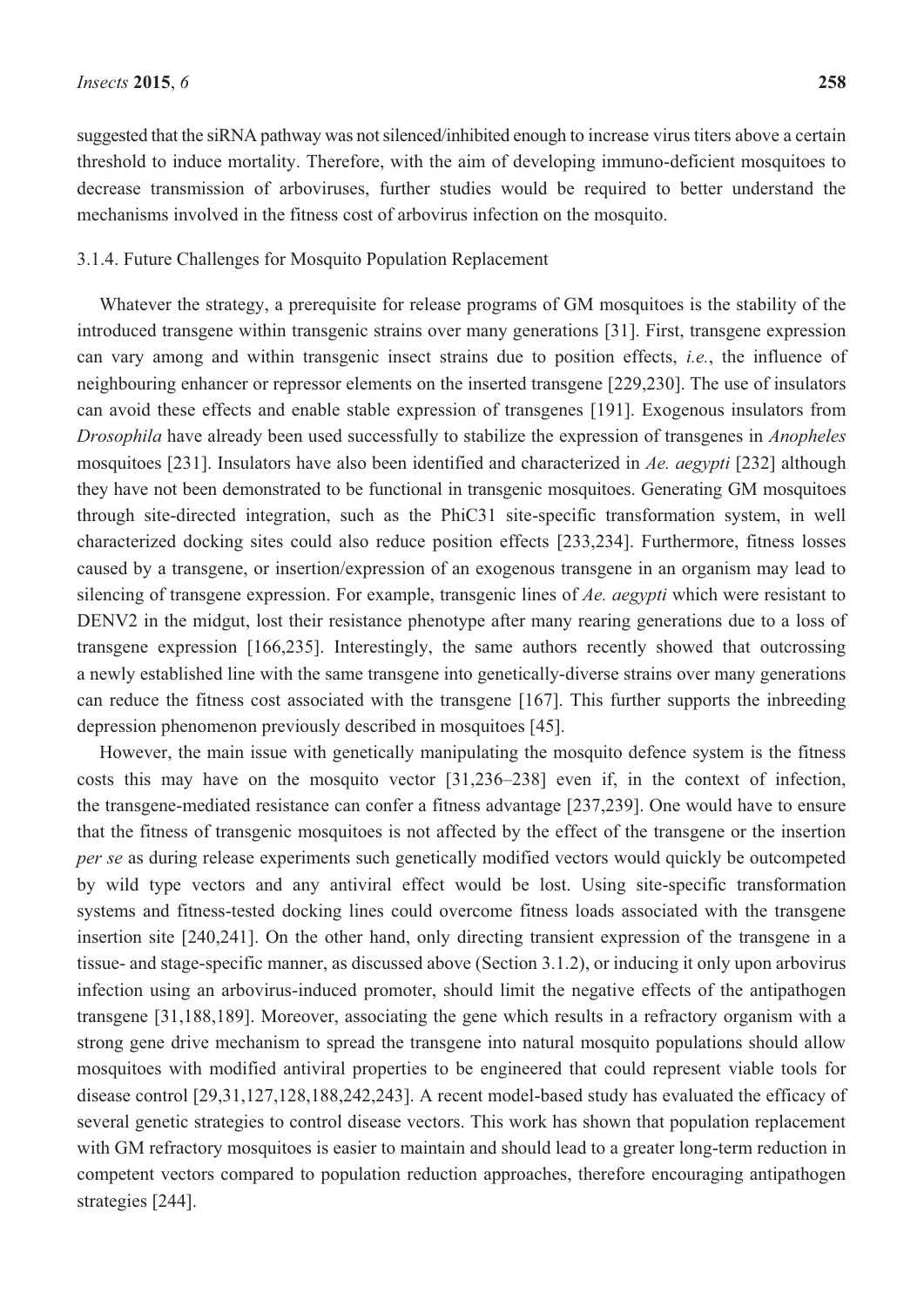suggested that the siRNA pathway was not silenced/inhibited enough to increase virus titers above a certain threshold to induce mortality. Therefore, with the aim of developing immuno-deficient mosquitoes to decrease transmission of arboviruses, further studies would be required to better understand the mechanisms involved in the fitness cost of arbovirus infection on the mosquito.

#### 3.1.4. Future Challenges for Mosquito Population Replacement

Whatever the strategy, a prerequisite for release programs of GM mosquitoes is the stability of the introduced transgene within transgenic strains over many generations [31]. First, transgene expression can vary among and within transgenic insect strains due to position effects, *i.e.*, the influence of neighbouring enhancer or repressor elements on the inserted transgene [229,230]. The use of insulators can avoid these effects and enable stable expression of transgenes [191]. Exogenous insulators from *Drosophila* have already been used successfully to stabilize the expression of transgenes in *Anopheles* mosquitoes [231]. Insulators have also been identified and characterized in *Ae. aegypti* [232] although they have not been demonstrated to be functional in transgenic mosquitoes. Generating GM mosquitoes through site-directed integration, such as the PhiC31 site-specific transformation system, in well characterized docking sites could also reduce position effects [233,234]. Furthermore, fitness losses caused by a transgene, or insertion/expression of an exogenous transgene in an organism may lead to silencing of transgene expression. For example, transgenic lines of *Ae. aegypti* which were resistant to DENV2 in the midgut, lost their resistance phenotype after many rearing generations due to a loss of transgene expression [166,235]. Interestingly, the same authors recently showed that outcrossing a newly established line with the same transgene into genetically-diverse strains over many generations can reduce the fitness cost associated with the transgene [167]. This further supports the inbreeding depression phenomenon previously described in mosquitoes [45].

However, the main issue with genetically manipulating the mosquito defence system is the fitness costs this may have on the mosquito vector [31,236–238] even if, in the context of infection, the transgene-mediated resistance can confer a fitness advantage [237,239]. One would have to ensure that the fitness of transgenic mosquitoes is not affected by the effect of the transgene or the insertion *per se* as during release experiments such genetically modified vectors would quickly be outcompeted by wild type vectors and any antiviral effect would be lost. Using site-specific transformation systems and fitness-tested docking lines could overcome fitness loads associated with the transgene insertion site [240,241]. On the other hand, only directing transient expression of the transgene in a tissue- and stage-specific manner, as discussed above (Section 3.1.2), or inducing it only upon arbovirus infection using an arbovirus-induced promoter, should limit the negative effects of the antipathogen transgene [31,188,189]. Moreover, associating the gene which results in a refractory organism with a strong gene drive mechanism to spread the transgene into natural mosquito populations should allow mosquitoes with modified antiviral properties to be engineered that could represent viable tools for disease control [29,31,127,128,188,242,243]. A recent model-based study has evaluated the efficacy of several genetic strategies to control disease vectors. This work has shown that population replacement with GM refractory mosquitoes is easier to maintain and should lead to a greater long-term reduction in competent vectors compared to population reduction approaches, therefore encouraging antipathogen strategies [244].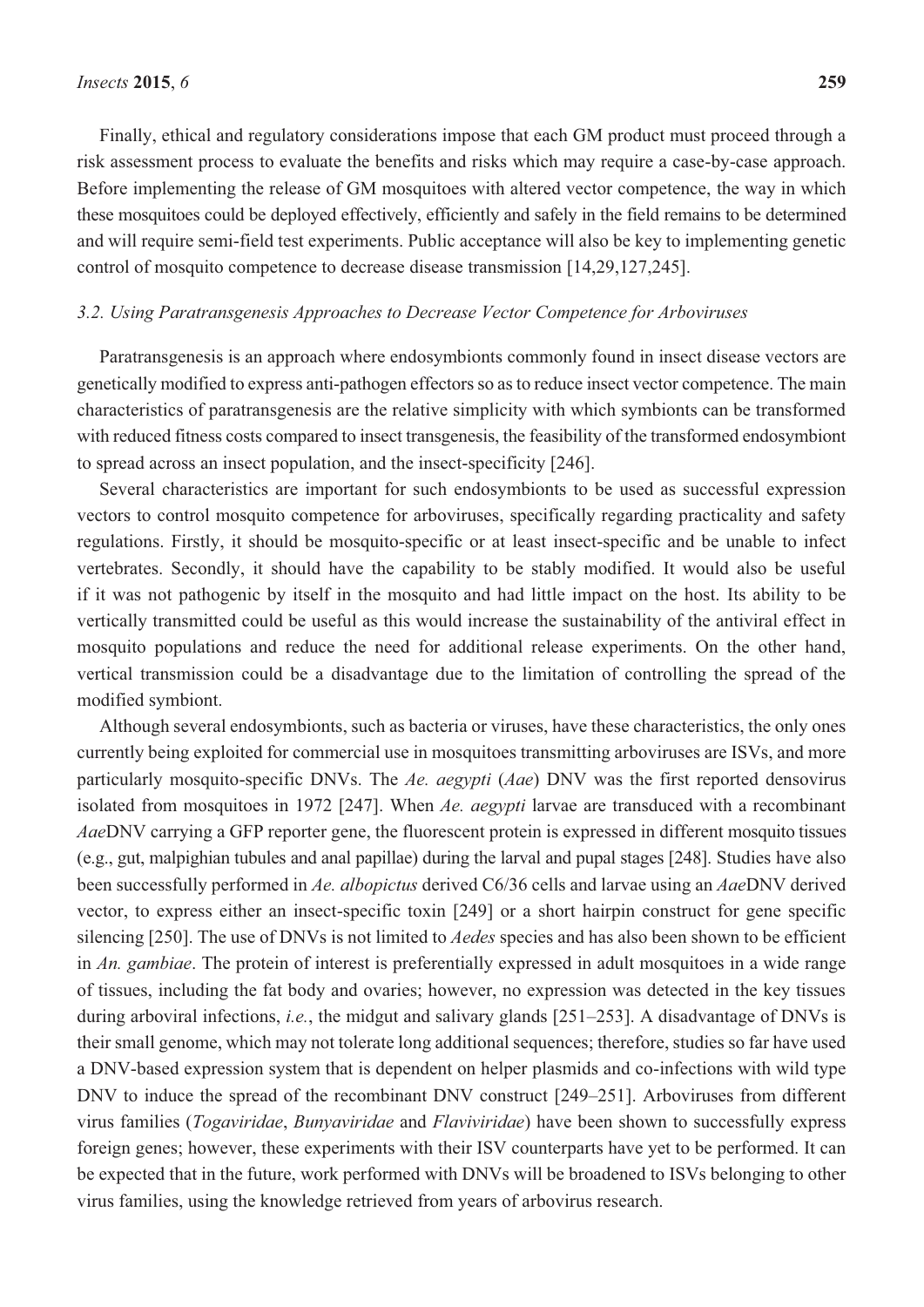Finally, ethical and regulatory considerations impose that each GM product must proceed through a risk assessment process to evaluate the benefits and risks which may require a case-by-case approach. Before implementing the release of GM mosquitoes with altered vector competence, the way in which these mosquitoes could be deployed effectively, efficiently and safely in the field remains to be determined and will require semi-field test experiments. Public acceptance will also be key to implementing genetic control of mosquito competence to decrease disease transmission [14,29,127,245].

#### *3.2. Using Paratransgenesis Approaches to Decrease Vector Competence for Arboviruses*

Paratransgenesis is an approach where endosymbionts commonly found in insect disease vectors are genetically modified to express anti-pathogen effectors so as to reduce insect vector competence. The main characteristics of paratransgenesis are the relative simplicity with which symbionts can be transformed with reduced fitness costs compared to insect transgenesis, the feasibility of the transformed endosymbiont to spread across an insect population, and the insect-specificity [246].

Several characteristics are important for such endosymbionts to be used as successful expression vectors to control mosquito competence for arboviruses, specifically regarding practicality and safety regulations. Firstly, it should be mosquito-specific or at least insect-specific and be unable to infect vertebrates. Secondly, it should have the capability to be stably modified. It would also be useful if it was not pathogenic by itself in the mosquito and had little impact on the host. Its ability to be vertically transmitted could be useful as this would increase the sustainability of the antiviral effect in mosquito populations and reduce the need for additional release experiments. On the other hand, vertical transmission could be a disadvantage due to the limitation of controlling the spread of the modified symbiont.

Although several endosymbionts, such as bacteria or viruses, have these characteristics, the only ones currently being exploited for commercial use in mosquitoes transmitting arboviruses are ISVs, and more particularly mosquito-specific DNVs. The *Ae. aegypti* (*Aae*) DNV was the first reported densovirus isolated from mosquitoes in 1972 [247]. When *Ae. aegypti* larvae are transduced with a recombinant *Aae*DNV carrying a GFP reporter gene, the fluorescent protein is expressed in different mosquito tissues (e.g., gut, malpighian tubules and anal papillae) during the larval and pupal stages [248]. Studies have also been successfully performed in *Ae. albopictus* derived C6/36 cells and larvae using an *Aae*DNV derived vector, to express either an insect-specific toxin [249] or a short hairpin construct for gene specific silencing [250]. The use of DNVs is not limited to *Aedes* species and has also been shown to be efficient in *An. gambiae*. The protein of interest is preferentially expressed in adult mosquitoes in a wide range of tissues, including the fat body and ovaries; however, no expression was detected in the key tissues during arboviral infections, *i.e.*, the midgut and salivary glands [251–253]. A disadvantage of DNVs is their small genome, which may not tolerate long additional sequences; therefore, studies so far have used a DNV-based expression system that is dependent on helper plasmids and co-infections with wild type DNV to induce the spread of the recombinant DNV construct [249–251]. Arboviruses from different virus families (*Togaviridae*, *Bunyaviridae* and *Flaviviridae*) have been shown to successfully express foreign genes; however, these experiments with their ISV counterparts have yet to be performed. It can be expected that in the future, work performed with DNVs will be broadened to ISVs belonging to other virus families, using the knowledge retrieved from years of arbovirus research.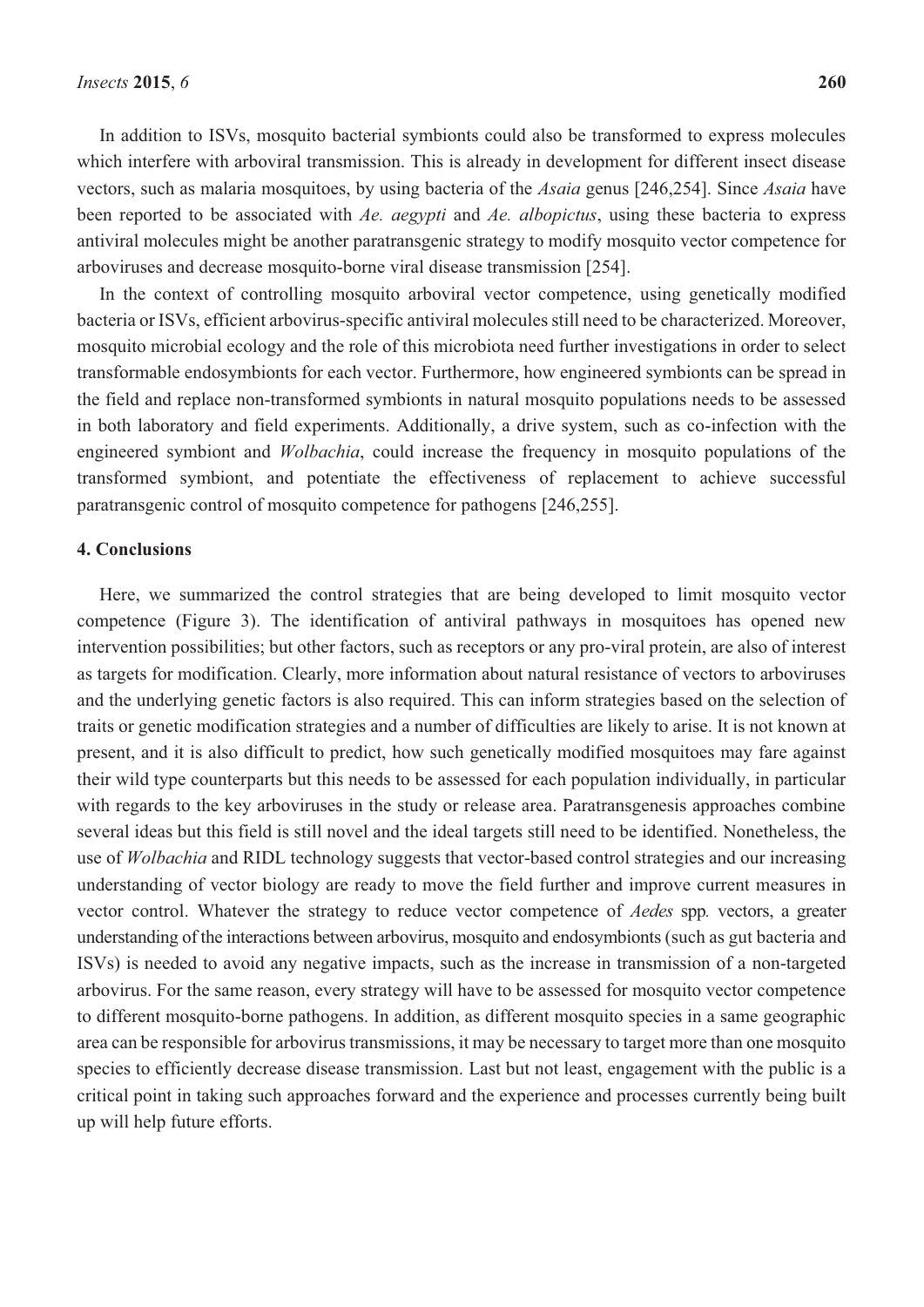In addition to ISVs, mosquito bacterial symbionts could also be transformed to express molecules which interfere with arboviral transmission. This is already in development for different insect disease vectors, such as malaria mosquitoes, by using bacteria of the *Asaia* genus [246,254]. Since *Asaia* have been reported to be associated with *Ae. aegypti* and *Ae. albopictus*, using these bacteria to express antiviral molecules might be another paratransgenic strategy to modify mosquito vector competence for arboviruses and decrease mosquito-borne viral disease transmission [254].

In the context of controlling mosquito arboviral vector competence, using genetically modified bacteria or ISVs, efficient arbovirus-specific antiviral molecules still need to be characterized. Moreover, mosquito microbial ecology and the role of this microbiota need further investigations in order to select transformable endosymbionts for each vector. Furthermore, how engineered symbionts can be spread in the field and replace non-transformed symbionts in natural mosquito populations needs to be assessed in both laboratory and field experiments. Additionally, a drive system, such as co-infection with the engineered symbiont and *Wolbachia*, could increase the frequency in mosquito populations of the transformed symbiont, and potentiate the effectiveness of replacement to achieve successful paratransgenic control of mosquito competence for pathogens [246,255].

#### **4. Conclusions**

Here, we summarized the control strategies that are being developed to limit mosquito vector competence (Figure 3). The identification of antiviral pathways in mosquitoes has opened new intervention possibilities; but other factors, such as receptors or any pro-viral protein, are also of interest as targets for modification. Clearly, more information about natural resistance of vectors to arboviruses and the underlying genetic factors is also required. This can inform strategies based on the selection of traits or genetic modification strategies and a number of difficulties are likely to arise. It is not known at present, and it is also difficult to predict, how such genetically modified mosquitoes may fare against their wild type counterparts but this needs to be assessed for each population individually, in particular with regards to the key arboviruses in the study or release area. Paratransgenesis approaches combine several ideas but this field is still novel and the ideal targets still need to be identified. Nonetheless, the use of *Wolbachia* and RIDL technology suggests that vector-based control strategies and our increasing understanding of vector biology are ready to move the field further and improve current measures in vector control. Whatever the strategy to reduce vector competence of *Aedes* spp*.* vectors, a greater understanding of the interactions between arbovirus, mosquito and endosymbionts (such as gut bacteria and ISVs) is needed to avoid any negative impacts, such as the increase in transmission of a non-targeted arbovirus. For the same reason, every strategy will have to be assessed for mosquito vector competence to different mosquito-borne pathogens. In addition, as different mosquito species in a same geographic area can be responsible for arbovirus transmissions, it may be necessary to target more than one mosquito species to efficiently decrease disease transmission. Last but not least, engagement with the public is a critical point in taking such approaches forward and the experience and processes currently being built up will help future efforts.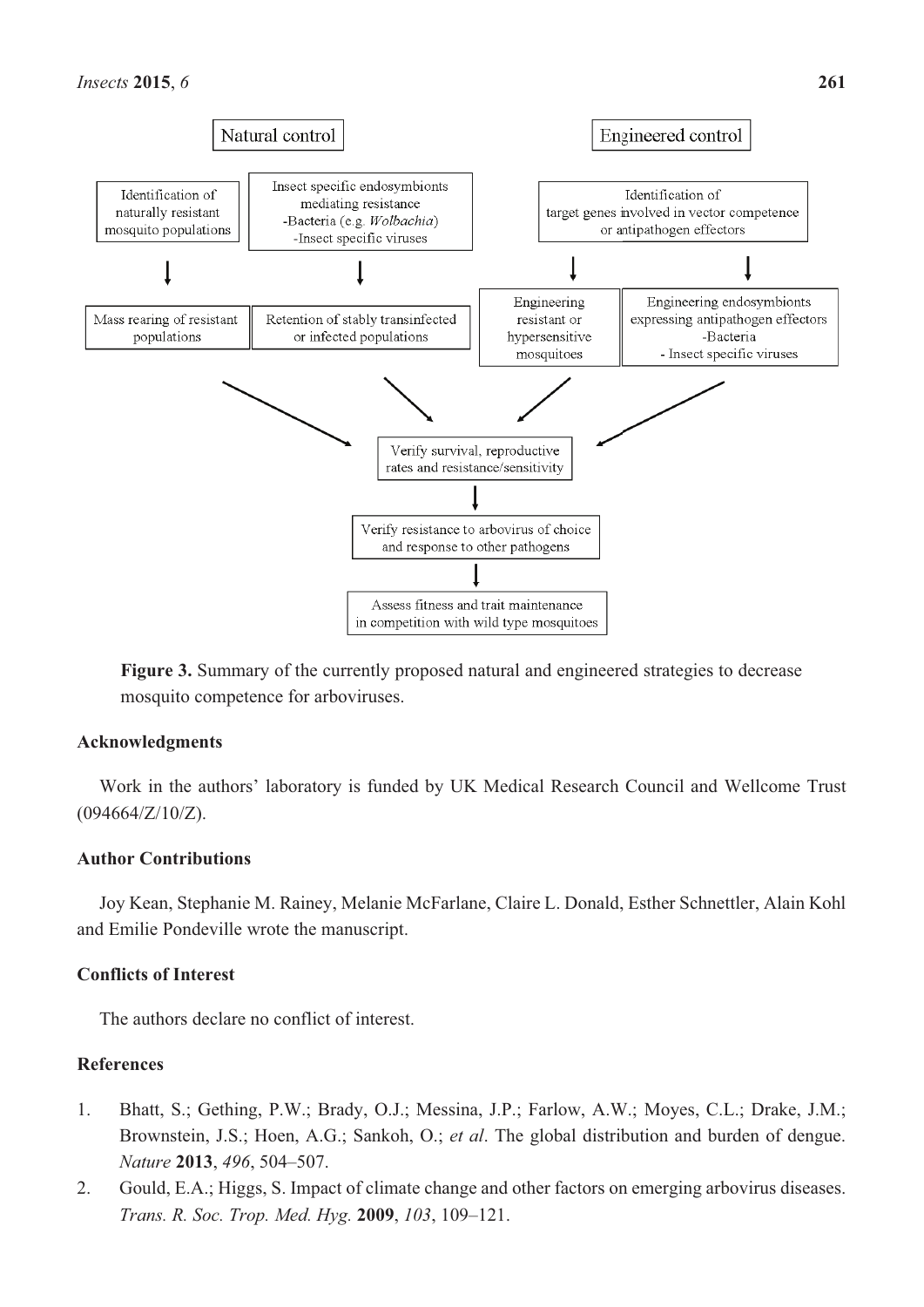

**Figure 3.** Summary of the currently proposed natural and engineered strategies to decrease mosquito competence for arboviruses.

## **Acknowledgments**

Work in the authors' laboratory is funded by UK Medical Research Council and Wellcome Trust (094664/Z/10/Z).

## **Author Contributions**

Joy Kean, Stephanie M. Rainey, Melanie McFarlane, Claire L. Donald, Esther Schnettler, Alain Kohl and Emilie Pondeville wrote the manuscript.

## **Conflicts of Interest**

The authors declare no conflict of interest.

# **References**

- 1. Bhatt, S.; Gething, P.W.; Brady, O.J.; Messina, J.P.; Farlow, A.W.; Moyes, C.L.; Drake, J.M.; Brownstein, J.S.; Hoen, A.G.; Sankoh, O.; *et al*. The global distribution and burden of dengue. *Nature* **2013**, *496*, 504–507.
- 2. Gould, E.A.; Higgs, S. Impact of climate change and other factors on emerging arbovirus diseases. *Trans. R. Soc. Trop. Med. Hyg.* **2009**, *103*, 109–121.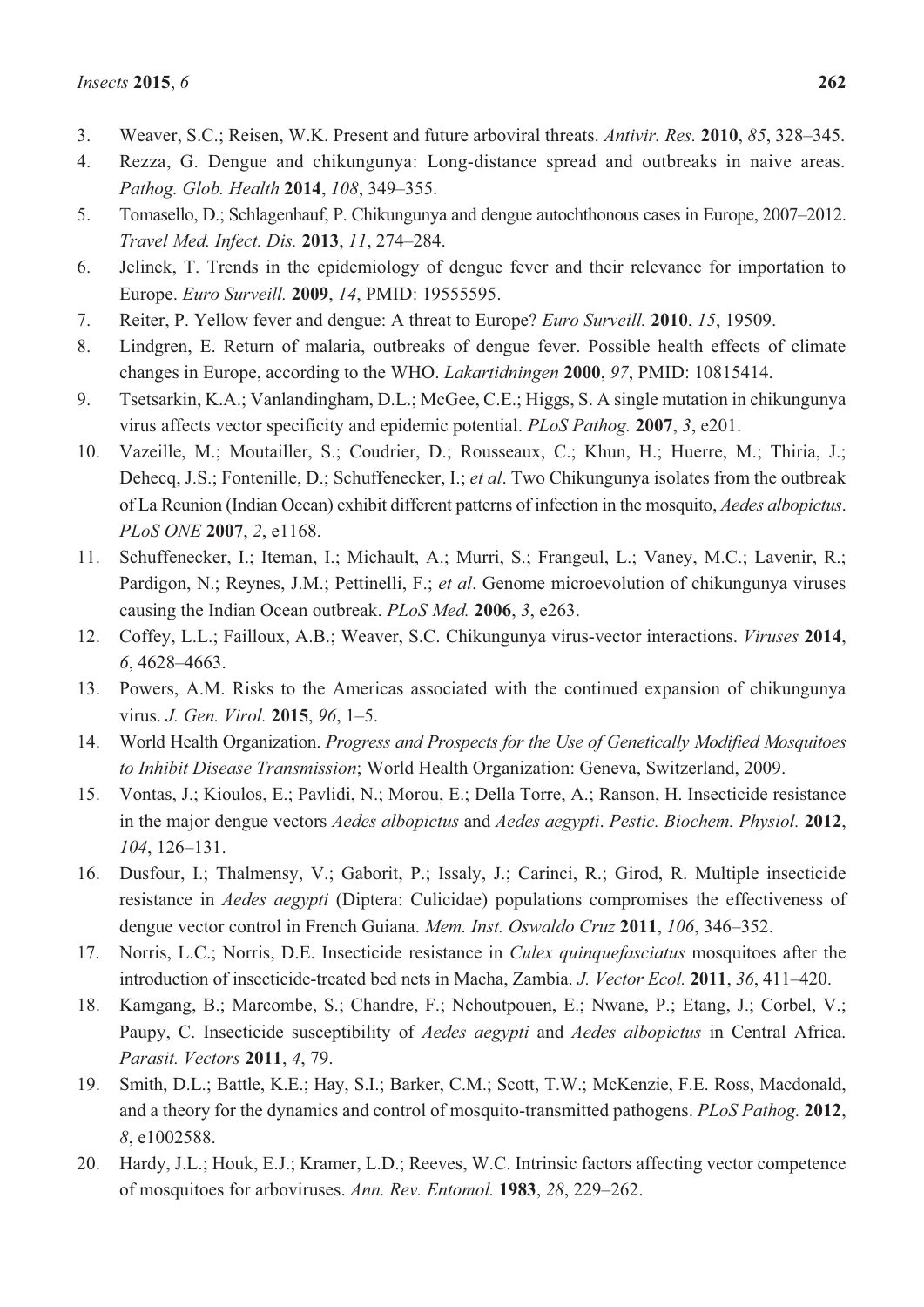- 3. Weaver, S.C.; Reisen, W.K. Present and future arboviral threats. *Antivir. Res.* **2010**, *85*, 328–345.
- 4. Rezza, G. Dengue and chikungunya: Long-distance spread and outbreaks in naive areas. *Pathog. Glob. Health* **2014**, *108*, 349–355.
- 5. Tomasello, D.; Schlagenhauf, P. Chikungunya and dengue autochthonous cases in Europe, 2007–2012. *Travel Med. Infect. Dis.* **2013**, *11*, 274–284.
- 6. Jelinek, T. Trends in the epidemiology of dengue fever and their relevance for importation to Europe. *Euro Surveill.* **2009**, *14*, PMID: 19555595.
- 7. Reiter, P. Yellow fever and dengue: A threat to Europe? *Euro Surveill.* **2010**, *15*, 19509.
- 8. Lindgren, E. Return of malaria, outbreaks of dengue fever. Possible health effects of climate changes in Europe, according to the WHO. *Lakartidningen* **2000**, *97*, PMID: 10815414.
- 9. Tsetsarkin, K.A.; Vanlandingham, D.L.; McGee, C.E.; Higgs, S. A single mutation in chikungunya virus affects vector specificity and epidemic potential. *PLoS Pathog.* **2007**, *3*, e201.
- 10. Vazeille, M.; Moutailler, S.; Coudrier, D.; Rousseaux, C.; Khun, H.; Huerre, M.; Thiria, J.; Dehecq, J.S.; Fontenille, D.; Schuffenecker, I.; *et al*. Two Chikungunya isolates from the outbreak of La Reunion (Indian Ocean) exhibit different patterns of infection in the mosquito, *Aedes albopictus*. *PLoS ONE* **2007**, *2*, e1168.
- 11. Schuffenecker, I.; Iteman, I.; Michault, A.; Murri, S.; Frangeul, L.; Vaney, M.C.; Lavenir, R.; Pardigon, N.; Reynes, J.M.; Pettinelli, F.; *et al*. Genome microevolution of chikungunya viruses causing the Indian Ocean outbreak. *PLoS Med.* **2006**, *3*, e263.
- 12. Coffey, L.L.; Failloux, A.B.; Weaver, S.C. Chikungunya virus-vector interactions. *Viruses* **2014**, *6*, 4628–4663.
- 13. Powers, A.M. Risks to the Americas associated with the continued expansion of chikungunya virus. *J. Gen. Virol.* **2015**, *96*, 1–5.
- 14. World Health Organization. *Progress and Prospects for the Use of Genetically Modified Mosquitoes to Inhibit Disease Transmission*; World Health Organization: Geneva, Switzerland, 2009.
- 15. Vontas, J.; Kioulos, E.; Pavlidi, N.; Morou, E.; Della Torre, A.; Ranson, H. Insecticide resistance in the major dengue vectors *Aedes albopictus* and *Aedes aegypti*. *Pestic. Biochem. Physiol.* **2012**, *104*, 126–131.
- 16. Dusfour, I.; Thalmensy, V.; Gaborit, P.; Issaly, J.; Carinci, R.; Girod, R. Multiple insecticide resistance in *Aedes aegypti* (Diptera: Culicidae) populations compromises the effectiveness of dengue vector control in French Guiana. *Mem. Inst. Oswaldo Cruz* **2011**, *106*, 346–352.
- 17. Norris, L.C.; Norris, D.E. Insecticide resistance in *Culex quinquefasciatus* mosquitoes after the introduction of insecticide-treated bed nets in Macha, Zambia. *J. Vector Ecol.* **2011**, *36*, 411–420.
- 18. Kamgang, B.; Marcombe, S.; Chandre, F.; Nchoutpouen, E.; Nwane, P.; Etang, J.; Corbel, V.; Paupy, C. Insecticide susceptibility of *Aedes aegypti* and *Aedes albopictus* in Central Africa. *Parasit. Vectors* **2011**, *4*, 79.
- 19. Smith, D.L.; Battle, K.E.; Hay, S.I.; Barker, C.M.; Scott, T.W.; McKenzie, F.E. Ross, Macdonald, and a theory for the dynamics and control of mosquito-transmitted pathogens. *PLoS Pathog.* **2012**, *8*, e1002588.
- 20. Hardy, J.L.; Houk, E.J.; Kramer, L.D.; Reeves, W.C. Intrinsic factors affecting vector competence of mosquitoes for arboviruses. *Ann. Rev. Entomol.* **1983**, *28*, 229–262.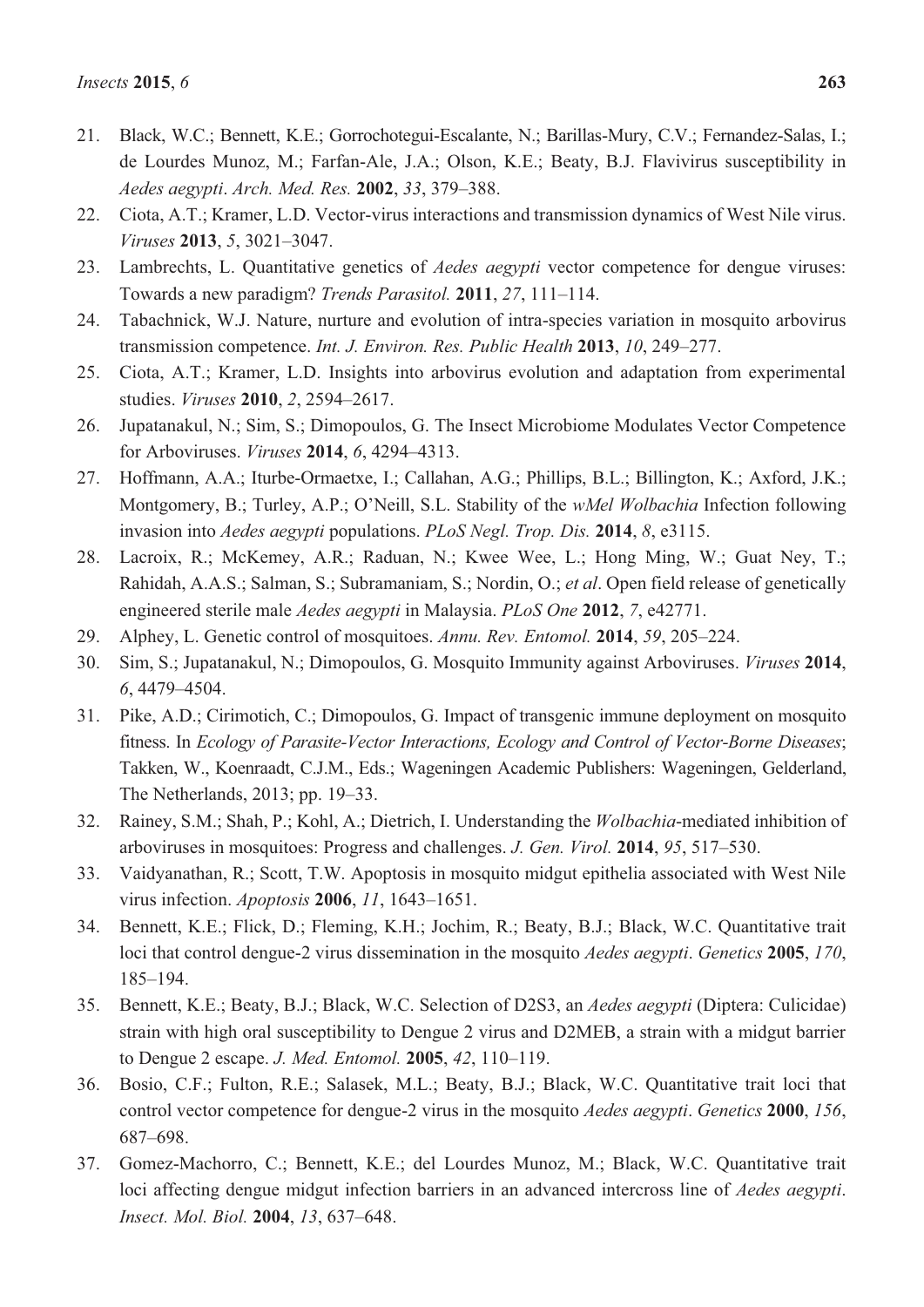- 21. Black, W.C.; Bennett, K.E.; Gorrochotegui-Escalante, N.; Barillas-Mury, C.V.; Fernandez-Salas, I.; de Lourdes Munoz, M.; Farfan-Ale, J.A.; Olson, K.E.; Beaty, B.J. Flavivirus susceptibility in *Aedes aegypti*. *Arch. Med. Res.* **2002**, *33*, 379–388.
- 22. Ciota, A.T.; Kramer, L.D. Vector-virus interactions and transmission dynamics of West Nile virus. *Viruses* **2013**, *5*, 3021–3047.
- 23. Lambrechts, L. Quantitative genetics of *Aedes aegypti* vector competence for dengue viruses: Towards a new paradigm? *Trends Parasitol.* **2011**, *27*, 111–114.
- 24. Tabachnick, W.J. Nature, nurture and evolution of intra-species variation in mosquito arbovirus transmission competence. *Int. J. Environ. Res. Public Health* **2013**, *10*, 249–277.
- 25. Ciota, A.T.; Kramer, L.D. Insights into arbovirus evolution and adaptation from experimental studies. *Viruses* **2010**, *2*, 2594–2617.
- 26. Jupatanakul, N.; Sim, S.; Dimopoulos, G. The Insect Microbiome Modulates Vector Competence for Arboviruses. *Viruses* **2014**, *6*, 4294–4313.
- 27. Hoffmann, A.A.; Iturbe-Ormaetxe, I.; Callahan, A.G.; Phillips, B.L.; Billington, K.; Axford, J.K.; Montgomery, B.; Turley, A.P.; O'Neill, S.L. Stability of the *wMel Wolbachia* Infection following invasion into *Aedes aegypti* populations. *PLoS Negl. Trop. Dis.* **2014**, *8*, e3115.
- 28. Lacroix, R.; McKemey, A.R.; Raduan, N.; Kwee Wee, L.; Hong Ming, W.; Guat Ney, T.; Rahidah, A.A.S.; Salman, S.; Subramaniam, S.; Nordin, O.; *et al*. Open field release of genetically engineered sterile male *Aedes aegypti* in Malaysia. *PLoS One* **2012**, *7*, e42771.
- 29. Alphey, L. Genetic control of mosquitoes. *Annu. Rev. Entomol.* **2014**, *59*, 205–224.
- 30. Sim, S.; Jupatanakul, N.; Dimopoulos, G. Mosquito Immunity against Arboviruses. *Viruses* **2014**, *6*, 4479–4504.
- 31. Pike, A.D.; Cirimotich, C.; Dimopoulos, G. Impact of transgenic immune deployment on mosquito fitness. In *Ecology of Parasite-Vector Interactions, Ecology and Control of Vector-Borne Diseases*; Takken, W., Koenraadt, C.J.M., Eds.; Wageningen Academic Publishers: Wageningen, Gelderland, The Netherlands, 2013; pp. 19–33.
- 32. Rainey, S.M.; Shah, P.; Kohl, A.; Dietrich, I. Understanding the *Wolbachia*-mediated inhibition of arboviruses in mosquitoes: Progress and challenges. *J. Gen. Virol.* **2014**, *95*, 517–530.
- 33. Vaidyanathan, R.; Scott, T.W. Apoptosis in mosquito midgut epithelia associated with West Nile virus infection. *Apoptosis* **2006**, *11*, 1643–1651.
- 34. Bennett, K.E.; Flick, D.; Fleming, K.H.; Jochim, R.; Beaty, B.J.; Black, W.C. Quantitative trait loci that control dengue-2 virus dissemination in the mosquito *Aedes aegypti*. *Genetics* **2005**, *170*, 185–194.
- 35. Bennett, K.E.; Beaty, B.J.; Black, W.C. Selection of D2S3, an *Aedes aegypti* (Diptera: Culicidae) strain with high oral susceptibility to Dengue 2 virus and D2MEB, a strain with a midgut barrier to Dengue 2 escape. *J. Med. Entomol.* **2005**, *42*, 110–119.
- 36. Bosio, C.F.; Fulton, R.E.; Salasek, M.L.; Beaty, B.J.; Black, W.C. Quantitative trait loci that control vector competence for dengue-2 virus in the mosquito *Aedes aegypti*. *Genetics* **2000**, *156*, 687–698.
- 37. Gomez-Machorro, C.; Bennett, K.E.; del Lourdes Munoz, M.; Black, W.C. Quantitative trait loci affecting dengue midgut infection barriers in an advanced intercross line of *Aedes aegypti*. *Insect. Mol. Biol.* **2004**, *13*, 637–648.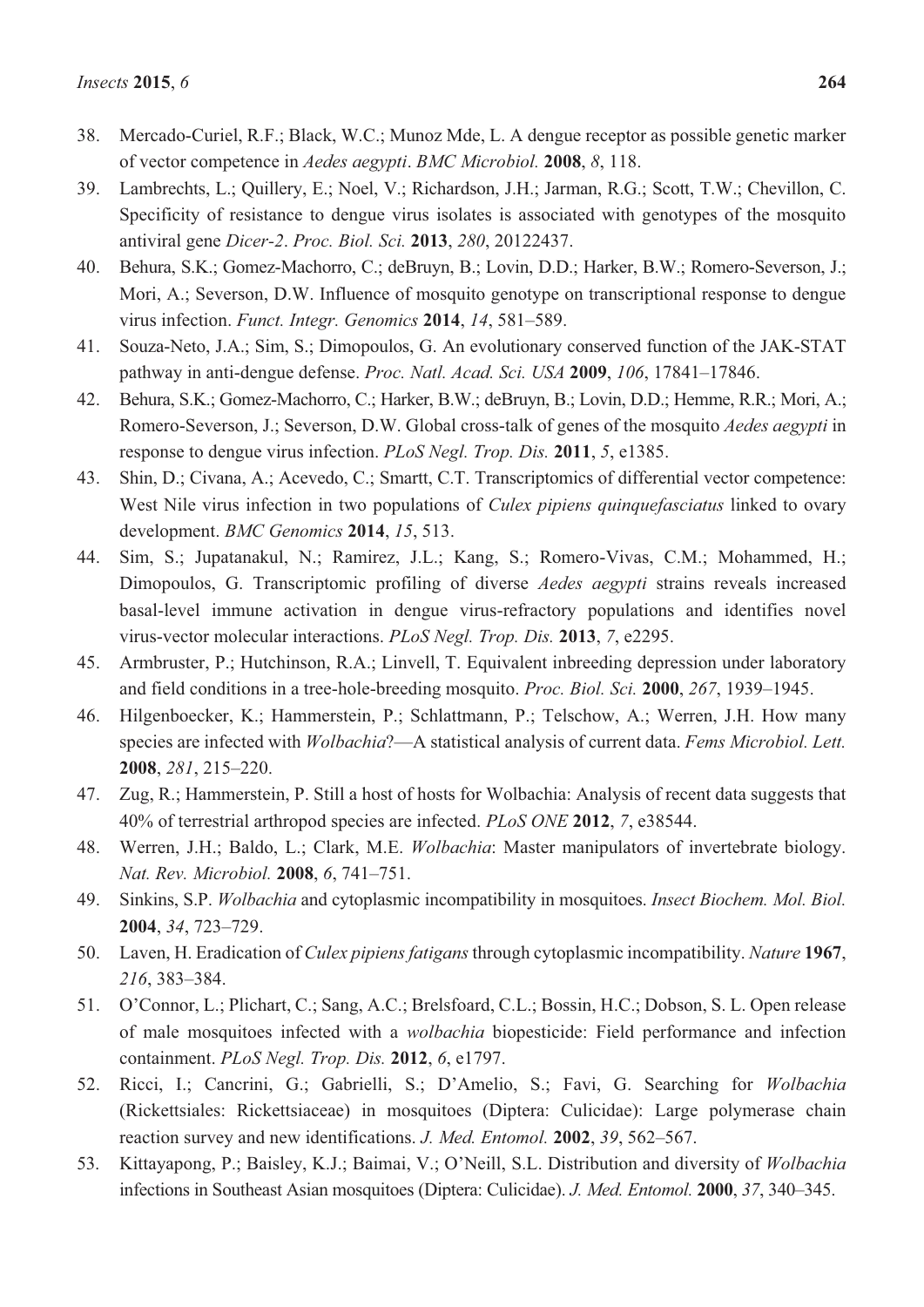- 38. Mercado-Curiel, R.F.; Black, W.C.; Munoz Mde, L. A dengue receptor as possible genetic marker of vector competence in *Aedes aegypti*. *BMC Microbiol.* **2008**, *8*, 118.
- 39. Lambrechts, L.; Quillery, E.; Noel, V.; Richardson, J.H.; Jarman, R.G.; Scott, T.W.; Chevillon, C. Specificity of resistance to dengue virus isolates is associated with genotypes of the mosquito antiviral gene *Dicer-2*. *Proc. Biol. Sci.* **2013**, *280*, 20122437.
- 40. Behura, S.K.; Gomez-Machorro, C.; deBruyn, B.; Lovin, D.D.; Harker, B.W.; Romero-Severson, J.; Mori, A.; Severson, D.W. Influence of mosquito genotype on transcriptional response to dengue virus infection. *Funct. Integr. Genomics* **2014**, *14*, 581–589.
- 41. Souza-Neto, J.A.; Sim, S.; Dimopoulos, G. An evolutionary conserved function of the JAK-STAT pathway in anti-dengue defense. *Proc. Natl. Acad. Sci. USA* **2009**, *106*, 17841–17846.
- 42. Behura, S.K.; Gomez-Machorro, C.; Harker, B.W.; deBruyn, B.; Lovin, D.D.; Hemme, R.R.; Mori, A.; Romero-Severson, J.; Severson, D.W. Global cross-talk of genes of the mosquito *Aedes aegypti* in response to dengue virus infection. *PLoS Negl. Trop. Dis.* **2011**, *5*, e1385.
- 43. Shin, D.; Civana, A.; Acevedo, C.; Smartt, C.T. Transcriptomics of differential vector competence: West Nile virus infection in two populations of *Culex pipiens quinquefasciatus* linked to ovary development. *BMC Genomics* **2014**, *15*, 513.
- 44. Sim, S.; Jupatanakul, N.; Ramirez, J.L.; Kang, S.; Romero-Vivas, C.M.; Mohammed, H.; Dimopoulos, G. Transcriptomic profiling of diverse *Aedes aegypti* strains reveals increased basal-level immune activation in dengue virus-refractory populations and identifies novel virus-vector molecular interactions. *PLoS Negl. Trop. Dis.* **2013**, *7*, e2295.
- 45. Armbruster, P.; Hutchinson, R.A.; Linvell, T. Equivalent inbreeding depression under laboratory and field conditions in a tree-hole-breeding mosquito. *Proc. Biol. Sci.* **2000**, *267*, 1939–1945.
- 46. Hilgenboecker, K.; Hammerstein, P.; Schlattmann, P.; Telschow, A.; Werren, J.H. How many species are infected with *Wolbachia*?—A statistical analysis of current data. *Fems Microbiol. Lett.* **2008**, *281*, 215–220.
- 47. Zug, R.; Hammerstein, P. Still a host of hosts for Wolbachia: Analysis of recent data suggests that 40% of terrestrial arthropod species are infected. *PLoS ONE* **2012**, *7*, e38544.
- 48. Werren, J.H.; Baldo, L.; Clark, M.E. *Wolbachia*: Master manipulators of invertebrate biology. *Nat. Rev. Microbiol.* **2008**, *6*, 741–751.
- 49. Sinkins, S.P. *Wolbachia* and cytoplasmic incompatibility in mosquitoes. *Insect Biochem. Mol. Biol.* **2004**, *34*, 723–729.
- 50. Laven, H. Eradication of *Culex pipiens fatigans* through cytoplasmic incompatibility. *Nature* **1967**, *216*, 383–384.
- 51. O'Connor, L.; Plichart, C.; Sang, A.C.; Brelsfoard, C.L.; Bossin, H.C.; Dobson, S. L. Open release of male mosquitoes infected with a *wolbachia* biopesticide: Field performance and infection containment. *PLoS Negl. Trop. Dis.* **2012**, *6*, e1797.
- 52. Ricci, I.; Cancrini, G.; Gabrielli, S.; D'Amelio, S.; Favi, G. Searching for *Wolbachia* (Rickettsiales: Rickettsiaceae) in mosquitoes (Diptera: Culicidae): Large polymerase chain reaction survey and new identifications. *J. Med. Entomol.* **2002**, *39*, 562–567.
- 53. Kittayapong, P.; Baisley, K.J.; Baimai, V.; O'Neill, S.L. Distribution and diversity of *Wolbachia*  infections in Southeast Asian mosquitoes (Diptera: Culicidae). *J. Med. Entomol.* **2000**, *37*, 340–345.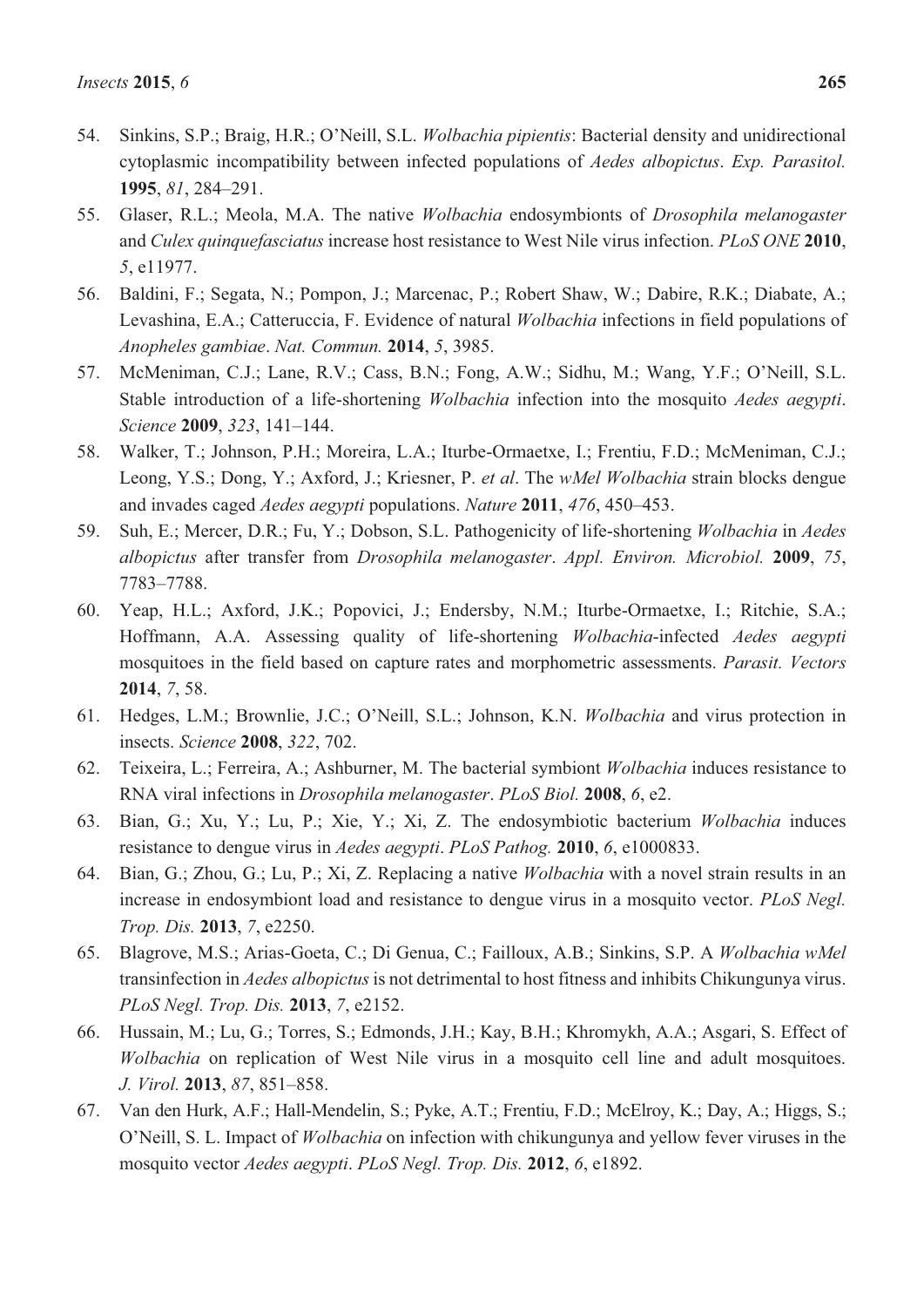- 54. Sinkins, S.P.; Braig, H.R.; O'Neill, S.L. *Wolbachia pipientis*: Bacterial density and unidirectional cytoplasmic incompatibility between infected populations of *Aedes albopictus*. *Exp. Parasitol.* **1995**, *81*, 284–291.
- 55. Glaser, R.L.; Meola, M.A. The native *Wolbachia* endosymbionts of *Drosophila melanogaster*  and *Culex quinquefasciatus* increase host resistance to West Nile virus infection. *PLoS ONE* **2010**, *5*, e11977.
- 56. Baldini, F.; Segata, N.; Pompon, J.; Marcenac, P.; Robert Shaw, W.; Dabire, R.K.; Diabate, A.; Levashina, E.A.; Catteruccia, F. Evidence of natural *Wolbachia* infections in field populations of *Anopheles gambiae*. *Nat. Commun.* **2014**, *5*, 3985.
- 57. McMeniman, C.J.; Lane, R.V.; Cass, B.N.; Fong, A.W.; Sidhu, M.; Wang, Y.F.; O'Neill, S.L. Stable introduction of a life-shortening *Wolbachia* infection into the mosquito *Aedes aegypti*. *Science* **2009**, *323*, 141–144.
- 58. Walker, T.; Johnson, P.H.; Moreira, L.A.; Iturbe-Ormaetxe, I.; Frentiu, F.D.; McMeniman, C.J.; Leong, Y.S.; Dong, Y.; Axford, J.; Kriesner, P. *et al*. The *wMel Wolbachia* strain blocks dengue and invades caged *Aedes aegypti* populations. *Nature* **2011**, *476*, 450–453.
- 59. Suh, E.; Mercer, D.R.; Fu, Y.; Dobson, S.L. Pathogenicity of life-shortening *Wolbachia* in *Aedes albopictus* after transfer from *Drosophila melanogaster*. *Appl. Environ. Microbiol.* **2009**, *75*, 7783–7788.
- 60. Yeap, H.L.; Axford, J.K.; Popovici, J.; Endersby, N.M.; Iturbe-Ormaetxe, I.; Ritchie, S.A.; Hoffmann, A.A. Assessing quality of life-shortening *Wolbachia*-infected *Aedes aegypti*  mosquitoes in the field based on capture rates and morphometric assessments. *Parasit. Vectors* **2014**, *7*, 58.
- 61. Hedges, L.M.; Brownlie, J.C.; O'Neill, S.L.; Johnson, K.N. *Wolbachia* and virus protection in insects. *Science* **2008**, *322*, 702.
- 62. Teixeira, L.; Ferreira, A.; Ashburner, M. The bacterial symbiont *Wolbachia* induces resistance to RNA viral infections in *Drosophila melanogaster*. *PLoS Biol.* **2008**, *6*, e2.
- 63. Bian, G.; Xu, Y.; Lu, P.; Xie, Y.; Xi, Z. The endosymbiotic bacterium *Wolbachia* induces resistance to dengue virus in *Aedes aegypti*. *PLoS Pathog.* **2010**, *6*, e1000833.
- 64. Bian, G.; Zhou, G.; Lu, P.; Xi, Z. Replacing a native *Wolbachia* with a novel strain results in an increase in endosymbiont load and resistance to dengue virus in a mosquito vector. *PLoS Negl. Trop. Dis.* **2013**, *7*, e2250.
- 65. Blagrove, M.S.; Arias-Goeta, C.; Di Genua, C.; Failloux, A.B.; Sinkins, S.P. A *Wolbachia wMel*  transinfection in *Aedes albopictus* is not detrimental to host fitness and inhibits Chikungunya virus. *PLoS Negl. Trop. Dis.* **2013**, *7*, e2152.
- 66. Hussain, M.; Lu, G.; Torres, S.; Edmonds, J.H.; Kay, B.H.; Khromykh, A.A.; Asgari, S. Effect of *Wolbachia* on replication of West Nile virus in a mosquito cell line and adult mosquitoes. *J. Virol.* **2013**, *87*, 851–858.
- 67. Van den Hurk, A.F.; Hall-Mendelin, S.; Pyke, A.T.; Frentiu, F.D.; McElroy, K.; Day, A.; Higgs, S.; O'Neill, S. L. Impact of *Wolbachia* on infection with chikungunya and yellow fever viruses in the mosquito vector *Aedes aegypti*. *PLoS Negl. Trop. Dis.* **2012**, *6*, e1892.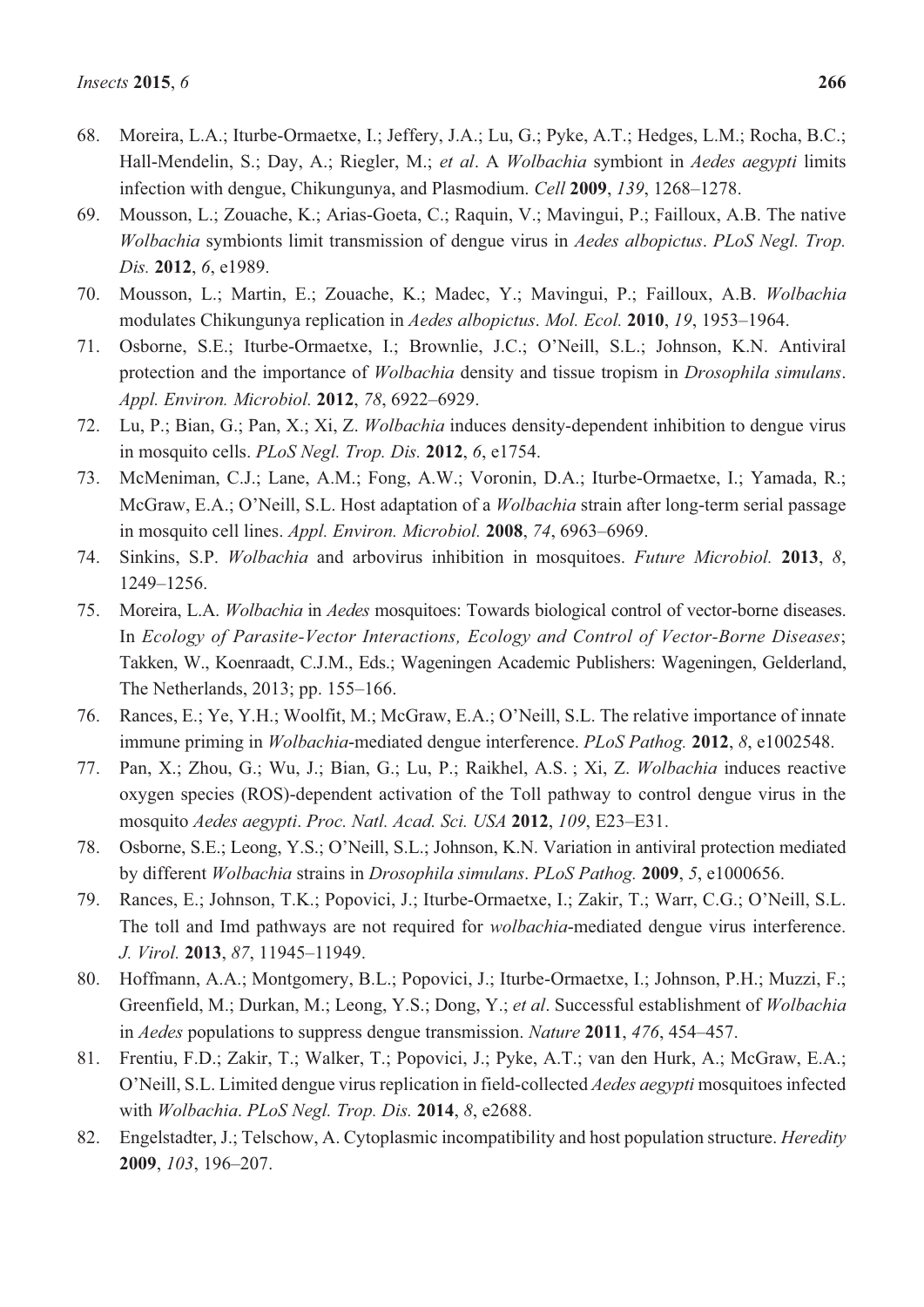- 68. Moreira, L.A.; Iturbe-Ormaetxe, I.; Jeffery, J.A.; Lu, G.; Pyke, A.T.; Hedges, L.M.; Rocha, B.C.; Hall-Mendelin, S.; Day, A.; Riegler, M.; *et al*. A *Wolbachia* symbiont in *Aedes aegypti* limits infection with dengue, Chikungunya, and Plasmodium. *Cell* **2009**, *139*, 1268–1278.
- 69. Mousson, L.; Zouache, K.; Arias-Goeta, C.; Raquin, V.; Mavingui, P.; Failloux, A.B. The native *Wolbachia* symbionts limit transmission of dengue virus in *Aedes albopictus*. *PLoS Negl. Trop. Dis.* **2012**, *6*, e1989.
- 70. Mousson, L.; Martin, E.; Zouache, K.; Madec, Y.; Mavingui, P.; Failloux, A.B. *Wolbachia* modulates Chikungunya replication in *Aedes albopictus*. *Mol. Ecol.* **2010**, *19*, 1953–1964.
- 71. Osborne, S.E.; Iturbe-Ormaetxe, I.; Brownlie, J.C.; O'Neill, S.L.; Johnson, K.N. Antiviral protection and the importance of *Wolbachia* density and tissue tropism in *Drosophila simulans*. *Appl. Environ. Microbiol.* **2012**, *78*, 6922–6929.
- 72. Lu, P.; Bian, G.; Pan, X.; Xi, Z. *Wolbachia* induces density-dependent inhibition to dengue virus in mosquito cells. *PLoS Negl. Trop. Dis.* **2012**, *6*, e1754.
- 73. McMeniman, C.J.; Lane, A.M.; Fong, A.W.; Voronin, D.A.; Iturbe-Ormaetxe, I.; Yamada, R.; McGraw, E.A.; O'Neill, S.L. Host adaptation of a *Wolbachia* strain after long-term serial passage in mosquito cell lines. *Appl. Environ. Microbiol.* **2008**, *74*, 6963–6969.
- 74. Sinkins, S.P. *Wolbachia* and arbovirus inhibition in mosquitoes. *Future Microbiol.* **2013**, *8*, 1249–1256.
- 75. Moreira, L.A. *Wolbachia* in *Aedes* mosquitoes: Towards biological control of vector-borne diseases. In *Ecology of Parasite-Vector Interactions, Ecology and Control of Vector-Borne Diseases*; Takken, W., Koenraadt, C.J.M., Eds.; Wageningen Academic Publishers: Wageningen, Gelderland, The Netherlands, 2013; pp. 155–166.
- 76. Rances, E.; Ye, Y.H.; Woolfit, M.; McGraw, E.A.; O'Neill, S.L. The relative importance of innate immune priming in *Wolbachia*-mediated dengue interference. *PLoS Pathog.* **2012**, *8*, e1002548.
- 77. Pan, X.; Zhou, G.; Wu, J.; Bian, G.; Lu, P.; Raikhel, A.S. ; Xi, Z. *Wolbachia* induces reactive oxygen species (ROS)-dependent activation of the Toll pathway to control dengue virus in the mosquito *Aedes aegypti*. *Proc. Natl. Acad. Sci. USA* **2012**, *109*, E23–E31.
- 78. Osborne, S.E.; Leong, Y.S.; O'Neill, S.L.; Johnson, K.N. Variation in antiviral protection mediated by different *Wolbachia* strains in *Drosophila simulans*. *PLoS Pathog.* **2009**, *5*, e1000656.
- 79. Rances, E.; Johnson, T.K.; Popovici, J.; Iturbe-Ormaetxe, I.; Zakir, T.; Warr, C.G.; O'Neill, S.L. The toll and Imd pathways are not required for *wolbachia*-mediated dengue virus interference. *J. Virol.* **2013**, *87*, 11945–11949.
- 80. Hoffmann, A.A.; Montgomery, B.L.; Popovici, J.; Iturbe-Ormaetxe, I.; Johnson, P.H.; Muzzi, F.; Greenfield, M.; Durkan, M.; Leong, Y.S.; Dong, Y.; *et al*. Successful establishment of *Wolbachia* in *Aedes* populations to suppress dengue transmission. *Nature* **2011**, *476*, 454–457.
- 81. Frentiu, F.D.; Zakir, T.; Walker, T.; Popovici, J.; Pyke, A.T.; van den Hurk, A.; McGraw, E.A.; O'Neill, S.L. Limited dengue virus replication in field-collected *Aedes aegypti* mosquitoes infected with *Wolbachia*. *PLoS Negl. Trop. Dis.* **2014**, *8*, e2688.
- 82. Engelstadter, J.; Telschow, A. Cytoplasmic incompatibility and host population structure. *Heredity* **2009**, *103*, 196–207.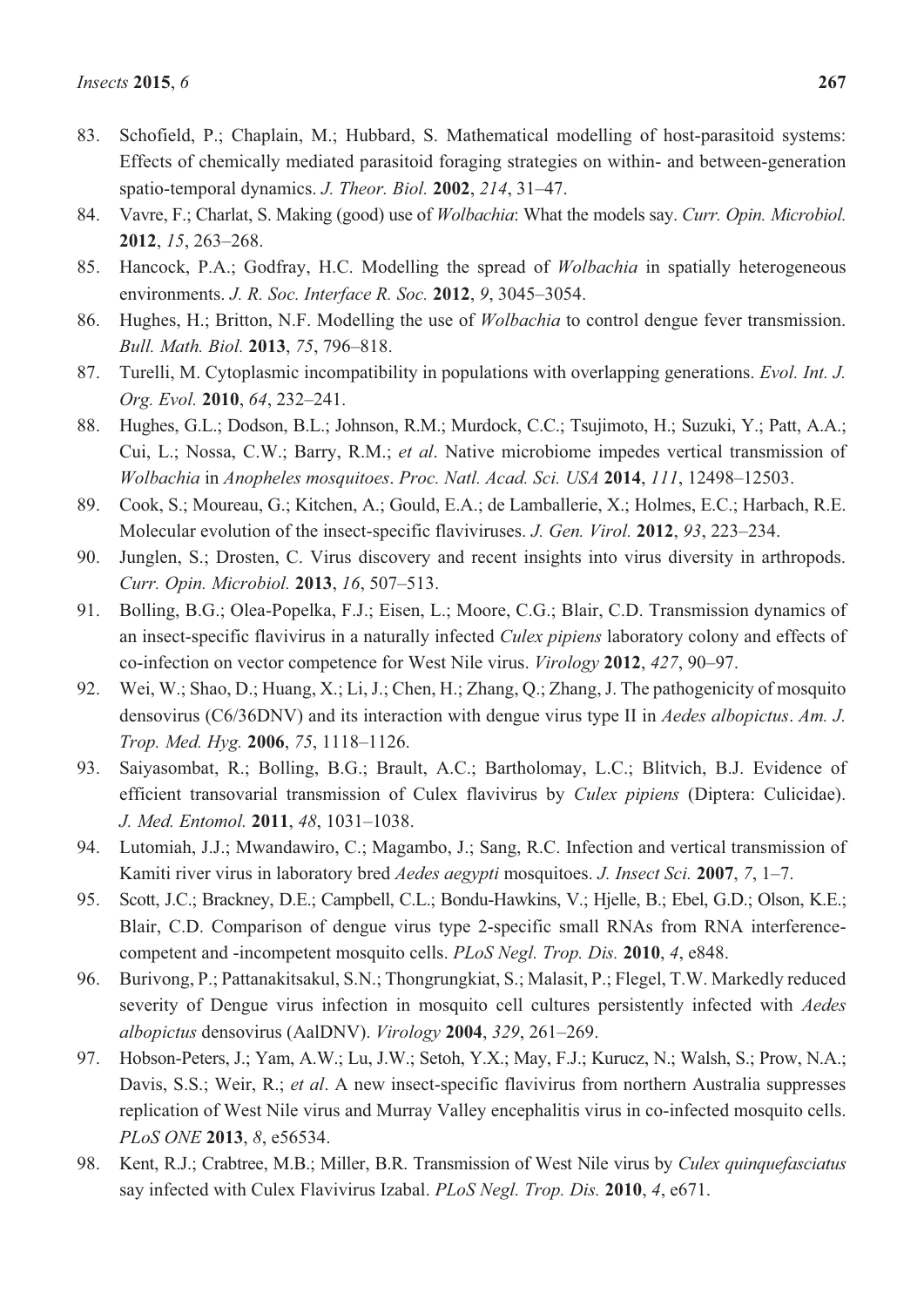- 83. Schofield, P.; Chaplain, M.; Hubbard, S. Mathematical modelling of host-parasitoid systems: Effects of chemically mediated parasitoid foraging strategies on within- and between-generation spatio-temporal dynamics. *J. Theor. Biol.* **2002**, *214*, 31–47.
- 84. Vavre, F.; Charlat, S. Making (good) use of *Wolbachia*: What the models say. *Curr. Opin. Microbiol.* **2012**, *15*, 263–268.
- 85. Hancock, P.A.; Godfray, H.C. Modelling the spread of *Wolbachia* in spatially heterogeneous environments. *J. R. Soc. Interface R. Soc.* **2012**, *9*, 3045–3054.
- 86. Hughes, H.; Britton, N.F. Modelling the use of *Wolbachia* to control dengue fever transmission. *Bull. Math. Biol.* **2013**, *75*, 796–818.
- 87. Turelli, M. Cytoplasmic incompatibility in populations with overlapping generations. *Evol. Int. J. Org. Evol.* **2010**, *64*, 232–241.
- 88. Hughes, G.L.; Dodson, B.L.; Johnson, R.M.; Murdock, C.C.; Tsujimoto, H.; Suzuki, Y.; Patt, A.A.; Cui, L.; Nossa, C.W.; Barry, R.M.; *et al*. Native microbiome impedes vertical transmission of *Wolbachia* in *Anopheles mosquitoes*. *Proc. Natl. Acad. Sci. USA* **2014**, *111*, 12498–12503.
- 89. Cook, S.; Moureau, G.; Kitchen, A.; Gould, E.A.; de Lamballerie, X.; Holmes, E.C.; Harbach, R.E. Molecular evolution of the insect-specific flaviviruses. *J. Gen. Virol.* **2012**, *93*, 223–234.
- 90. Junglen, S.; Drosten, C. Virus discovery and recent insights into virus diversity in arthropods. *Curr. Opin. Microbiol.* **2013**, *16*, 507–513.
- 91. Bolling, B.G.; Olea-Popelka, F.J.; Eisen, L.; Moore, C.G.; Blair, C.D. Transmission dynamics of an insect-specific flavivirus in a naturally infected *Culex pipiens* laboratory colony and effects of co-infection on vector competence for West Nile virus. *Virology* **2012**, *427*, 90–97.
- 92. Wei, W.; Shao, D.; Huang, X.; Li, J.; Chen, H.; Zhang, Q.; Zhang, J. The pathogenicity of mosquito densovirus (C6/36DNV) and its interaction with dengue virus type II in *Aedes albopictus*. *Am. J. Trop. Med. Hyg.* **2006**, *75*, 1118–1126.
- 93. Saiyasombat, R.; Bolling, B.G.; Brault, A.C.; Bartholomay, L.C.; Blitvich, B.J. Evidence of efficient transovarial transmission of Culex flavivirus by *Culex pipiens* (Diptera: Culicidae). *J. Med. Entomol.* **2011**, *48*, 1031–1038.
- 94. Lutomiah, J.J.; Mwandawiro, C.; Magambo, J.; Sang, R.C. Infection and vertical transmission of Kamiti river virus in laboratory bred *Aedes aegypti* mosquitoes. *J. Insect Sci.* **2007**, *7*, 1–7.
- 95. Scott, J.C.; Brackney, D.E.; Campbell, C.L.; Bondu-Hawkins, V.; Hjelle, B.; Ebel, G.D.; Olson, K.E.; Blair, C.D. Comparison of dengue virus type 2-specific small RNAs from RNA interferencecompetent and -incompetent mosquito cells. *PLoS Negl. Trop. Dis.* **2010**, *4*, e848.
- 96. Burivong, P.; Pattanakitsakul, S.N.; Thongrungkiat, S.; Malasit, P.; Flegel, T.W. Markedly reduced severity of Dengue virus infection in mosquito cell cultures persistently infected with *Aedes albopictus* densovirus (AalDNV). *Virology* **2004**, *329*, 261–269.
- 97. Hobson-Peters, J.; Yam, A.W.; Lu, J.W.; Setoh, Y.X.; May, F.J.; Kurucz, N.; Walsh, S.; Prow, N.A.; Davis, S.S.; Weir, R.; *et al*. A new insect-specific flavivirus from northern Australia suppresses replication of West Nile virus and Murray Valley encephalitis virus in co-infected mosquito cells. *PLoS ONE* **2013**, *8*, e56534.
- 98. Kent, R.J.; Crabtree, M.B.; Miller, B.R. Transmission of West Nile virus by *Culex quinquefasciatus* say infected with Culex Flavivirus Izabal. *PLoS Negl. Trop. Dis.* **2010**, *4*, e671.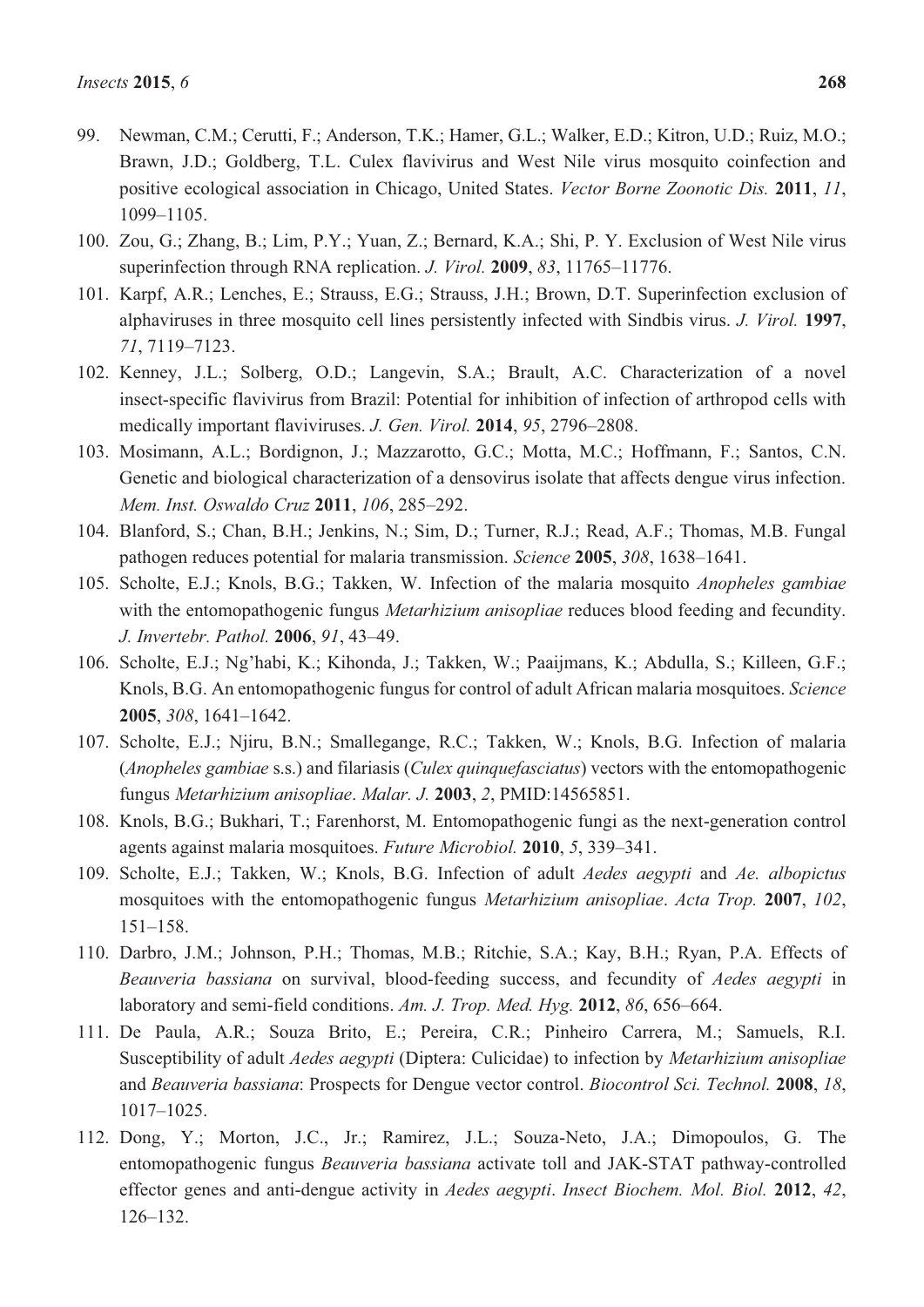- 99. Newman, C.M.; Cerutti, F.; Anderson, T.K.; Hamer, G.L.; Walker, E.D.; Kitron, U.D.; Ruiz, M.O.; Brawn, J.D.; Goldberg, T.L. Culex flavivirus and West Nile virus mosquito coinfection and positive ecological association in Chicago, United States. *Vector Borne Zoonotic Dis.* **2011**, *11*, 1099–1105.
- 100. Zou, G.; Zhang, B.; Lim, P.Y.; Yuan, Z.; Bernard, K.A.; Shi, P. Y. Exclusion of West Nile virus superinfection through RNA replication. *J. Virol.* **2009**, *83*, 11765–11776.
- 101. Karpf, A.R.; Lenches, E.; Strauss, E.G.; Strauss, J.H.; Brown, D.T. Superinfection exclusion of alphaviruses in three mosquito cell lines persistently infected with Sindbis virus. *J. Virol.* **1997**, *71*, 7119–7123.
- 102. Kenney, J.L.; Solberg, O.D.; Langevin, S.A.; Brault, A.C. Characterization of a novel insect-specific flavivirus from Brazil: Potential for inhibition of infection of arthropod cells with medically important flaviviruses. *J. Gen. Virol.* **2014**, *95*, 2796–2808.
- 103. Mosimann, A.L.; Bordignon, J.; Mazzarotto, G.C.; Motta, M.C.; Hoffmann, F.; Santos, C.N. Genetic and biological characterization of a densovirus isolate that affects dengue virus infection. *Mem. Inst. Oswaldo Cruz* **2011**, *106*, 285–292.
- 104. Blanford, S.; Chan, B.H.; Jenkins, N.; Sim, D.; Turner, R.J.; Read, A.F.; Thomas, M.B. Fungal pathogen reduces potential for malaria transmission. *Science* **2005**, *308*, 1638–1641.
- 105. Scholte, E.J.; Knols, B.G.; Takken, W. Infection of the malaria mosquito *Anopheles gambiae*  with the entomopathogenic fungus *Metarhizium anisopliae* reduces blood feeding and fecundity. *J. Invertebr. Pathol.* **2006**, *91*, 43–49.
- 106. Scholte, E.J.; Ng'habi, K.; Kihonda, J.; Takken, W.; Paaijmans, K.; Abdulla, S.; Killeen, G.F.; Knols, B.G. An entomopathogenic fungus for control of adult African malaria mosquitoes. *Science* **2005**, *308*, 1641–1642.
- 107. Scholte, E.J.; Njiru, B.N.; Smallegange, R.C.; Takken, W.; Knols, B.G. Infection of malaria (*Anopheles gambiae* s.s.) and filariasis (*Culex quinquefasciatus*) vectors with the entomopathogenic fungus *Metarhizium anisopliae*. *Malar. J.* **2003**, *2*, PMID:14565851.
- 108. Knols, B.G.; Bukhari, T.; Farenhorst, M. Entomopathogenic fungi as the next-generation control agents against malaria mosquitoes. *Future Microbiol.* **2010**, *5*, 339–341.
- 109. Scholte, E.J.; Takken, W.; Knols, B.G. Infection of adult *Aedes aegypti* and *Ae. albopictus* mosquitoes with the entomopathogenic fungus *Metarhizium anisopliae*. *Acta Trop.* **2007**, *102*, 151–158.
- 110. Darbro, J.M.; Johnson, P.H.; Thomas, M.B.; Ritchie, S.A.; Kay, B.H.; Ryan, P.A. Effects of *Beauveria bassiana* on survival, blood-feeding success, and fecundity of *Aedes aegypti* in laboratory and semi-field conditions. *Am. J. Trop. Med. Hyg.* **2012**, *86*, 656–664.
- 111. De Paula, A.R.; Souza Brito, E.; Pereira, C.R.; Pinheiro Carrera, M.; Samuels, R.I. Susceptibility of adult *Aedes aegypti* (Diptera: Culicidae) to infection by *Metarhizium anisopliae* and *Beauveria bassiana*: Prospects for Dengue vector control. *Biocontrol Sci. Technol.* **2008**, *18*, 1017–1025.
- 112. Dong, Y.; Morton, J.C., Jr.; Ramirez, J.L.; Souza-Neto, J.A.; Dimopoulos, G. The entomopathogenic fungus *Beauveria bassiana* activate toll and JAK-STAT pathway-controlled effector genes and anti-dengue activity in *Aedes aegypti*. *Insect Biochem. Mol. Biol.* **2012**, *42*, 126–132.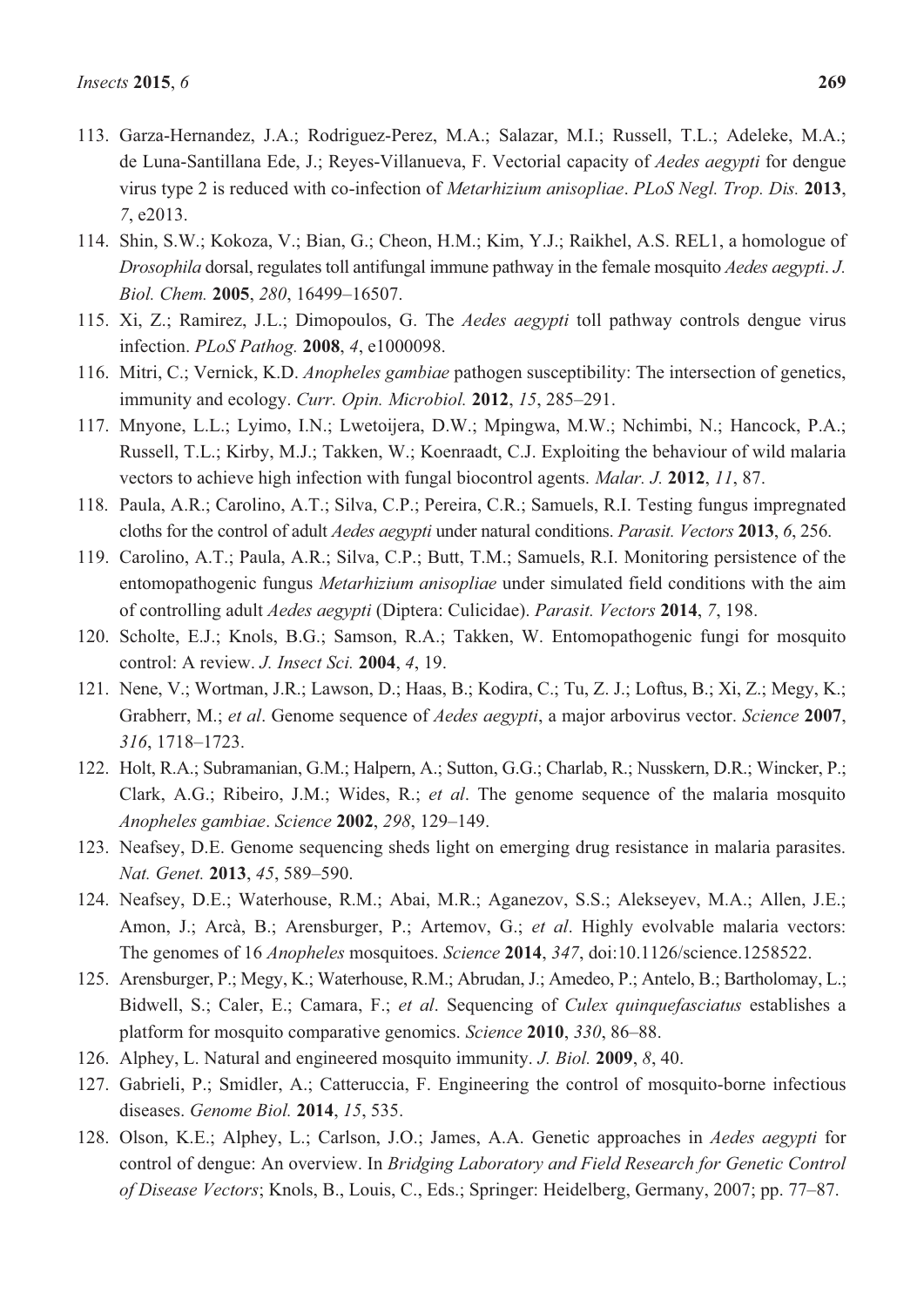- 113. Garza-Hernandez, J.A.; Rodriguez-Perez, M.A.; Salazar, M.I.; Russell, T.L.; Adeleke, M.A.; de Luna-Santillana Ede, J.; Reyes-Villanueva, F. Vectorial capacity of *Aedes aegypti* for dengue virus type 2 is reduced with co-infection of *Metarhizium anisopliae*. *PLoS Negl. Trop. Dis.* **2013**, *7*, e2013.
- 114. Shin, S.W.; Kokoza, V.; Bian, G.; Cheon, H.M.; Kim, Y.J.; Raikhel, A.S. REL1, a homologue of *Drosophila* dorsal, regulates toll antifungal immune pathway in the female mosquito *Aedes aegypti*. *J. Biol. Chem.* **2005**, *280*, 16499–16507.
- 115. Xi, Z.; Ramirez, J.L.; Dimopoulos, G. The *Aedes aegypti* toll pathway controls dengue virus infection. *PLoS Pathog.* **2008**, *4*, e1000098.
- 116. Mitri, C.; Vernick, K.D. *Anopheles gambiae* pathogen susceptibility: The intersection of genetics, immunity and ecology. *Curr. Opin. Microbiol.* **2012**, *15*, 285–291.
- 117. Mnyone, L.L.; Lyimo, I.N.; Lwetoijera, D.W.; Mpingwa, M.W.; Nchimbi, N.; Hancock, P.A.; Russell, T.L.; Kirby, M.J.; Takken, W.; Koenraadt, C.J. Exploiting the behaviour of wild malaria vectors to achieve high infection with fungal biocontrol agents. *Malar. J.* **2012**, *11*, 87.
- 118. Paula, A.R.; Carolino, A.T.; Silva, C.P.; Pereira, C.R.; Samuels, R.I. Testing fungus impregnated cloths for the control of adult *Aedes aegypti* under natural conditions. *Parasit. Vectors* **2013**, *6*, 256.
- 119. Carolino, A.T.; Paula, A.R.; Silva, C.P.; Butt, T.M.; Samuels, R.I. Monitoring persistence of the entomopathogenic fungus *Metarhizium anisopliae* under simulated field conditions with the aim of controlling adult *Aedes aegypti* (Diptera: Culicidae). *Parasit. Vectors* **2014**, *7*, 198.
- 120. Scholte, E.J.; Knols, B.G.; Samson, R.A.; Takken, W. Entomopathogenic fungi for mosquito control: A review. *J. Insect Sci.* **2004**, *4*, 19.
- 121. Nene, V.; Wortman, J.R.; Lawson, D.; Haas, B.; Kodira, C.; Tu, Z. J.; Loftus, B.; Xi, Z.; Megy, K.; Grabherr, M.; *et al*. Genome sequence of *Aedes aegypti*, a major arbovirus vector. *Science* **2007**, *316*, 1718–1723.
- 122. Holt, R.A.; Subramanian, G.M.; Halpern, A.; Sutton, G.G.; Charlab, R.; Nusskern, D.R.; Wincker, P.; Clark, A.G.; Ribeiro, J.M.; Wides, R.; *et al*. The genome sequence of the malaria mosquito *Anopheles gambiae*. *Science* **2002**, *298*, 129–149.
- 123. Neafsey, D.E. Genome sequencing sheds light on emerging drug resistance in malaria parasites. *Nat. Genet.* **2013**, *45*, 589–590.
- 124. Neafsey, D.E.; Waterhouse, R.M.; Abai, M.R.; Aganezov, S.S.; Alekseyev, M.A.; Allen, J.E.; Amon, J.; Arcà, B.; Arensburger, P.; Artemov, G.; *et al*. Highly evolvable malaria vectors: The genomes of 16 *Anopheles* mosquitoes. *Science* **2014**, *347*, doi:10.1126/science.1258522.
- 125. Arensburger, P.; Megy, K.; Waterhouse, R.M.; Abrudan, J.; Amedeo, P.; Antelo, B.; Bartholomay, L.; Bidwell, S.; Caler, E.; Camara, F.; *et al*. Sequencing of *Culex quinquefasciatus* establishes a platform for mosquito comparative genomics. *Science* **2010**, *330*, 86–88.
- 126. Alphey, L. Natural and engineered mosquito immunity. *J. Biol.* **2009**, *8*, 40.
- 127. Gabrieli, P.; Smidler, A.; Catteruccia, F. Engineering the control of mosquito-borne infectious diseases. *Genome Biol.* **2014**, *15*, 535.
- 128. Olson, K.E.; Alphey, L.; Carlson, J.O.; James, A.A. Genetic approaches in *Aedes aegypti* for control of dengue: An overview. In *Bridging Laboratory and Field Research for Genetic Control of Disease Vectors*; Knols, B., Louis, C., Eds.; Springer: Heidelberg, Germany, 2007; pp. 77–87.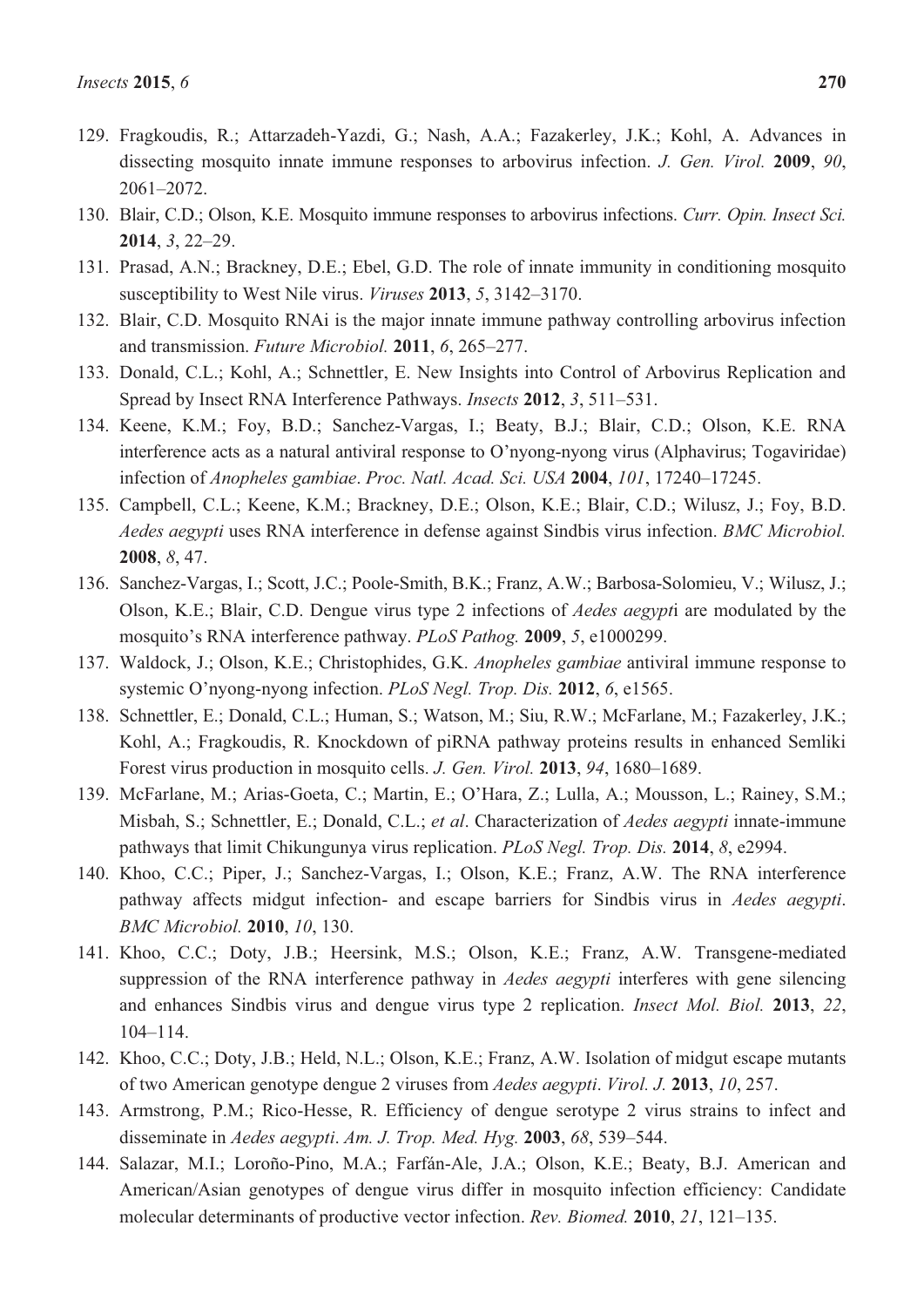- 129. Fragkoudis, R.; Attarzadeh-Yazdi, G.; Nash, A.A.; Fazakerley, J.K.; Kohl, A. Advances in dissecting mosquito innate immune responses to arbovirus infection. *J. Gen. Virol.* **2009**, *90*, 2061–2072.
- 130. Blair, C.D.; Olson, K.E. Mosquito immune responses to arbovirus infections. *Curr. Opin. Insect Sci.* **2014**, *3*, 22–29.
- 131. Prasad, A.N.; Brackney, D.E.; Ebel, G.D. The role of innate immunity in conditioning mosquito susceptibility to West Nile virus. *Viruses* **2013**, *5*, 3142–3170.
- 132. Blair, C.D. Mosquito RNAi is the major innate immune pathway controlling arbovirus infection and transmission. *Future Microbiol.* **2011**, *6*, 265–277.
- 133. Donald, C.L.; Kohl, A.; Schnettler, E. New Insights into Control of Arbovirus Replication and Spread by Insect RNA Interference Pathways. *Insects* **2012**, *3*, 511–531.
- 134. Keene, K.M.; Foy, B.D.; Sanchez-Vargas, I.; Beaty, B.J.; Blair, C.D.; Olson, K.E. RNA interference acts as a natural antiviral response to O'nyong-nyong virus (Alphavirus; Togaviridae) infection of *Anopheles gambiae*. *Proc. Natl. Acad. Sci. USA* **2004**, *101*, 17240–17245.
- 135. Campbell, C.L.; Keene, K.M.; Brackney, D.E.; Olson, K.E.; Blair, C.D.; Wilusz, J.; Foy, B.D. *Aedes aegypti* uses RNA interference in defense against Sindbis virus infection. *BMC Microbiol.* **2008**, *8*, 47.
- 136. Sanchez-Vargas, I.; Scott, J.C.; Poole-Smith, B.K.; Franz, A.W.; Barbosa-Solomieu, V.; Wilusz, J.; Olson, K.E.; Blair, C.D. Dengue virus type 2 infections of *Aedes aegypt*i are modulated by the mosquito's RNA interference pathway. *PLoS Pathog.* **2009**, *5*, e1000299.
- 137. Waldock, J.; Olson, K.E.; Christophides, G.K. *Anopheles gambiae* antiviral immune response to systemic O'nyong-nyong infection. *PLoS Negl. Trop. Dis.* **2012**, *6*, e1565.
- 138. Schnettler, E.; Donald, C.L.; Human, S.; Watson, M.; Siu, R.W.; McFarlane, M.; Fazakerley, J.K.; Kohl, A.; Fragkoudis, R. Knockdown of piRNA pathway proteins results in enhanced Semliki Forest virus production in mosquito cells. *J. Gen. Virol.* **2013**, *94*, 1680–1689.
- 139. McFarlane, M.; Arias-Goeta, C.; Martin, E.; O'Hara, Z.; Lulla, A.; Mousson, L.; Rainey, S.M.; Misbah, S.; Schnettler, E.; Donald, C.L.; *et al*. Characterization of *Aedes aegypti* innate-immune pathways that limit Chikungunya virus replication. *PLoS Negl. Trop. Dis.* **2014**, *8*, e2994.
- 140. Khoo, C.C.; Piper, J.; Sanchez-Vargas, I.; Olson, K.E.; Franz, A.W. The RNA interference pathway affects midgut infection- and escape barriers for Sindbis virus in *Aedes aegypti*. *BMC Microbiol.* **2010**, *10*, 130.
- 141. Khoo, C.C.; Doty, J.B.; Heersink, M.S.; Olson, K.E.; Franz, A.W. Transgene-mediated suppression of the RNA interference pathway in *Aedes aegypti* interferes with gene silencing and enhances Sindbis virus and dengue virus type 2 replication. *Insect Mol. Biol.* **2013**, *22*, 104–114.
- 142. Khoo, C.C.; Doty, J.B.; Held, N.L.; Olson, K.E.; Franz, A.W. Isolation of midgut escape mutants of two American genotype dengue 2 viruses from *Aedes aegypti*. *Virol. J.* **2013**, *10*, 257.
- 143. Armstrong, P.M.; Rico-Hesse, R. Efficiency of dengue serotype 2 virus strains to infect and disseminate in *Aedes aegypti*. *Am. J. Trop. Med. Hyg.* **2003**, *68*, 539–544.
- 144. Salazar, M.I.; Loroño-Pino, M.A.; Farfán-Ale, J.A.; Olson, K.E.; Beaty, B.J. American and American/Asian genotypes of dengue virus differ in mosquito infection efficiency: Candidate molecular determinants of productive vector infection. *Rev. Biomed.* **2010**, *21*, 121–135.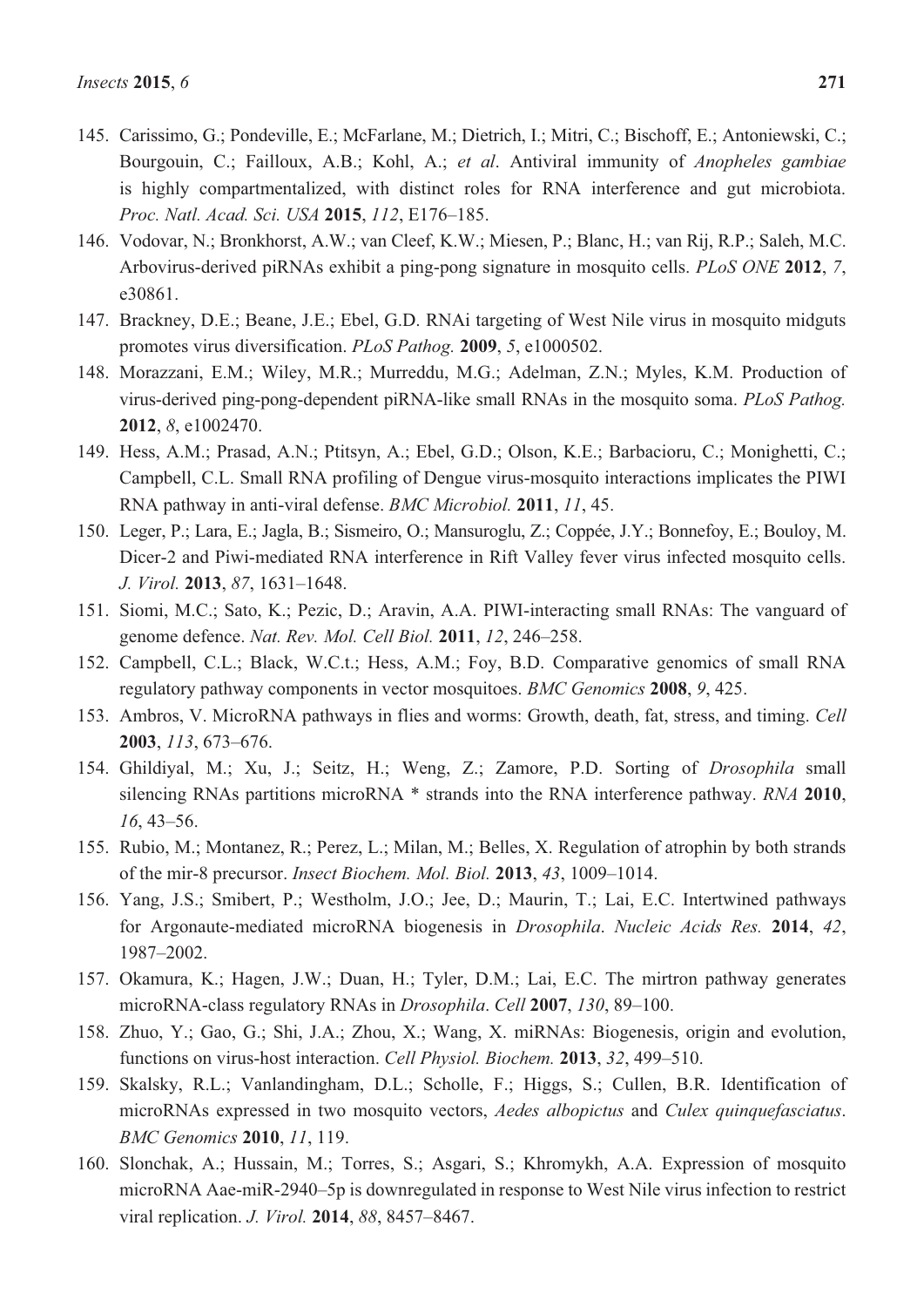- 145. Carissimo, G.; Pondeville, E.; McFarlane, M.; Dietrich, I.; Mitri, C.; Bischoff, E.; Antoniewski, C.; Bourgouin, C.; Failloux, A.B.; Kohl, A.; *et al*. Antiviral immunity of *Anopheles gambiae*  is highly compartmentalized, with distinct roles for RNA interference and gut microbiota. *Proc. Natl. Acad. Sci. USA* **2015**, *112*, E176–185.
- 146. Vodovar, N.; Bronkhorst, A.W.; van Cleef, K.W.; Miesen, P.; Blanc, H.; van Rij, R.P.; Saleh, M.C. Arbovirus-derived piRNAs exhibit a ping-pong signature in mosquito cells. *PLoS ONE* **2012**, *7*, e30861.
- 147. Brackney, D.E.; Beane, J.E.; Ebel, G.D. RNAi targeting of West Nile virus in mosquito midguts promotes virus diversification. *PLoS Pathog.* **2009**, *5*, e1000502.
- 148. Morazzani, E.M.; Wiley, M.R.; Murreddu, M.G.; Adelman, Z.N.; Myles, K.M. Production of virus-derived ping-pong-dependent piRNA-like small RNAs in the mosquito soma. *PLoS Pathog.* **2012**, *8*, e1002470.
- 149. Hess, A.M.; Prasad, A.N.; Ptitsyn, A.; Ebel, G.D.; Olson, K.E.; Barbacioru, C.; Monighetti, C.; Campbell, C.L. Small RNA profiling of Dengue virus-mosquito interactions implicates the PIWI RNA pathway in anti-viral defense. *BMC Microbiol.* **2011**, *11*, 45.
- 150. Leger, P.; Lara, E.; Jagla, B.; Sismeiro, O.; Mansuroglu, Z.; Coppée, J.Y.; Bonnefoy, E.; Bouloy, M. Dicer-2 and Piwi-mediated RNA interference in Rift Valley fever virus infected mosquito cells. *J. Virol.* **2013**, *87*, 1631–1648.
- 151. Siomi, M.C.; Sato, K.; Pezic, D.; Aravin, A.A. PIWI-interacting small RNAs: The vanguard of genome defence. *Nat. Rev. Mol. Cell Biol.* **2011**, *12*, 246–258.
- 152. Campbell, C.L.; Black, W.C.t.; Hess, A.M.; Foy, B.D. Comparative genomics of small RNA regulatory pathway components in vector mosquitoes. *BMC Genomics* **2008**, *9*, 425.
- 153. Ambros, V. MicroRNA pathways in flies and worms: Growth, death, fat, stress, and timing. *Cell* **2003**, *113*, 673–676.
- 154. Ghildiyal, M.; Xu, J.; Seitz, H.; Weng, Z.; Zamore, P.D. Sorting of *Drosophila* small silencing RNAs partitions microRNA \* strands into the RNA interference pathway. *RNA* **2010**, *16*, 43–56.
- 155. Rubio, M.; Montanez, R.; Perez, L.; Milan, M.; Belles, X. Regulation of atrophin by both strands of the mir-8 precursor. *Insect Biochem. Mol. Biol.* **2013**, *43*, 1009–1014.
- 156. Yang, J.S.; Smibert, P.; Westholm, J.O.; Jee, D.; Maurin, T.; Lai, E.C. Intertwined pathways for Argonaute-mediated microRNA biogenesis in *Drosophila*. *Nucleic Acids Res.* **2014**, *42*, 1987–2002.
- 157. Okamura, K.; Hagen, J.W.; Duan, H.; Tyler, D.M.; Lai, E.C. The mirtron pathway generates microRNA-class regulatory RNAs in *Drosophila*. *Cell* **2007**, *130*, 89–100.
- 158. Zhuo, Y.; Gao, G.; Shi, J.A.; Zhou, X.; Wang, X. miRNAs: Biogenesis, origin and evolution, functions on virus-host interaction. *Cell Physiol. Biochem.* **2013**, *32*, 499–510.
- 159. Skalsky, R.L.; Vanlandingham, D.L.; Scholle, F.; Higgs, S.; Cullen, B.R. Identification of microRNAs expressed in two mosquito vectors, *Aedes albopictus* and *Culex quinquefasciatus*. *BMC Genomics* **2010**, *11*, 119.
- 160. Slonchak, A.; Hussain, M.; Torres, S.; Asgari, S.; Khromykh, A.A. Expression of mosquito microRNA Aae-miR-2940–5p is downregulated in response to West Nile virus infection to restrict viral replication. *J. Virol.* **2014**, *88*, 8457–8467.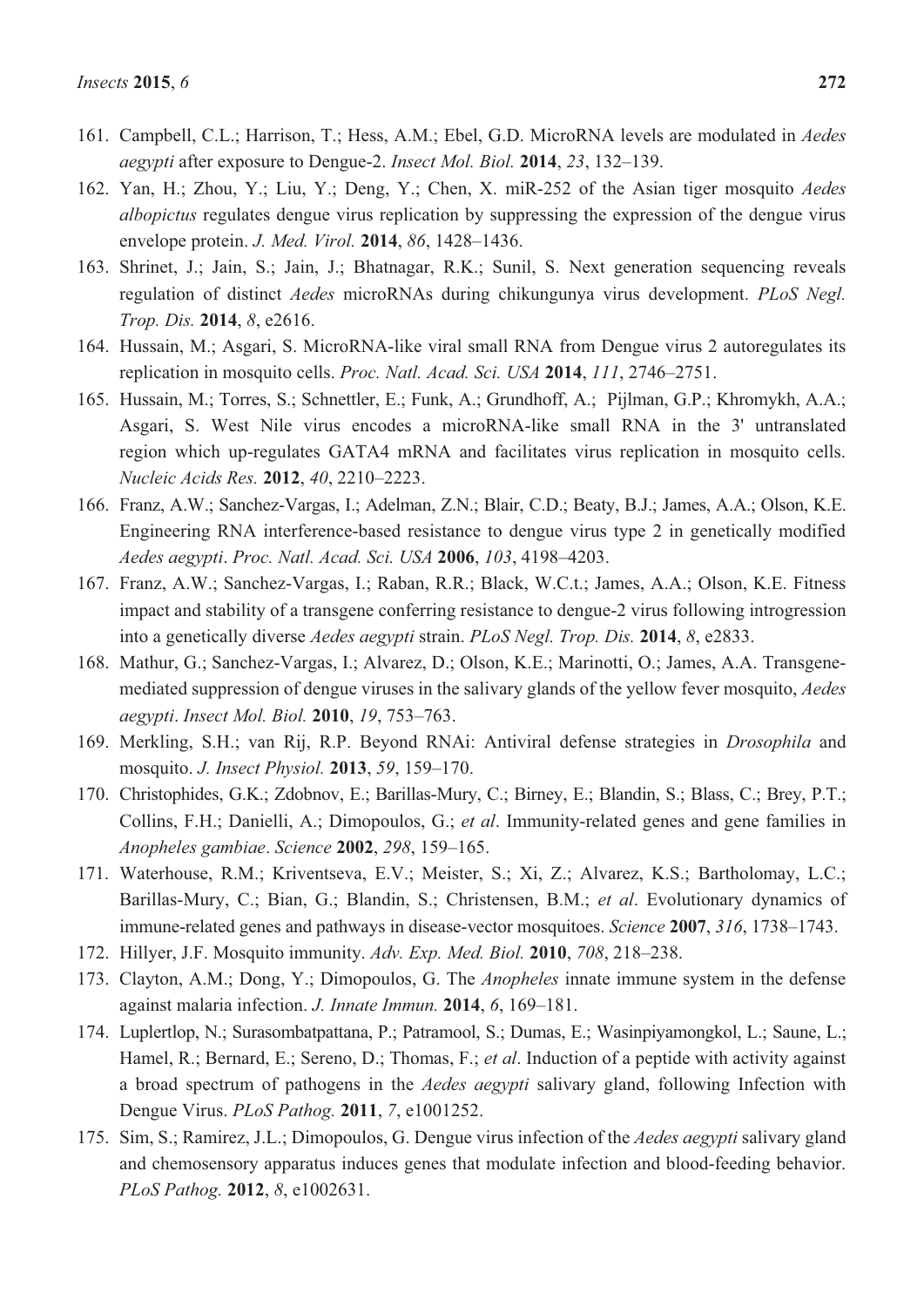- 161. Campbell, C.L.; Harrison, T.; Hess, A.M.; Ebel, G.D. MicroRNA levels are modulated in *Aedes aegypti* after exposure to Dengue-2. *Insect Mol. Biol.* **2014**, *23*, 132–139.
- 162. Yan, H.; Zhou, Y.; Liu, Y.; Deng, Y.; Chen, X. miR-252 of the Asian tiger mosquito *Aedes albopictus* regulates dengue virus replication by suppressing the expression of the dengue virus envelope protein. *J. Med. Virol.* **2014**, *86*, 1428–1436.
- 163. Shrinet, J.; Jain, S.; Jain, J.; Bhatnagar, R.K.; Sunil, S. Next generation sequencing reveals regulation of distinct *Aedes* microRNAs during chikungunya virus development. *PLoS Negl. Trop. Dis.* **2014**, *8*, e2616.
- 164. Hussain, M.; Asgari, S. MicroRNA-like viral small RNA from Dengue virus 2 autoregulates its replication in mosquito cells. *Proc. Natl. Acad. Sci. USA* **2014**, *111*, 2746–2751.
- 165. Hussain, M.; Torres, S.; Schnettler, E.; Funk, A.; Grundhoff, A.; Pijlman, G.P.; Khromykh, A.A.; Asgari, S. West Nile virus encodes a microRNA-like small RNA in the 3' untranslated region which up-regulates GATA4 mRNA and facilitates virus replication in mosquito cells. *Nucleic Acids Res.* **2012**, *40*, 2210–2223.
- 166. Franz, A.W.; Sanchez-Vargas, I.; Adelman, Z.N.; Blair, C.D.; Beaty, B.J.; James, A.A.; Olson, K.E. Engineering RNA interference-based resistance to dengue virus type 2 in genetically modified *Aedes aegypti*. *Proc. Natl. Acad. Sci. USA* **2006**, *103*, 4198–4203.
- 167. Franz, A.W.; Sanchez-Vargas, I.; Raban, R.R.; Black, W.C.t.; James, A.A.; Olson, K.E. Fitness impact and stability of a transgene conferring resistance to dengue-2 virus following introgression into a genetically diverse *Aedes aegypti* strain. *PLoS Negl. Trop. Dis.* **2014**, *8*, e2833.
- 168. Mathur, G.; Sanchez-Vargas, I.; Alvarez, D.; Olson, K.E.; Marinotti, O.; James, A.A. Transgenemediated suppression of dengue viruses in the salivary glands of the yellow fever mosquito, *Aedes aegypti*. *Insect Mol. Biol.* **2010**, *19*, 753–763.
- 169. Merkling, S.H.; van Rij, R.P. Beyond RNAi: Antiviral defense strategies in *Drosophila* and mosquito. *J. Insect Physiol.* **2013**, *59*, 159–170.
- 170. Christophides, G.K.; Zdobnov, E.; Barillas-Mury, C.; Birney, E.; Blandin, S.; Blass, C.; Brey, P.T.; Collins, F.H.; Danielli, A.; Dimopoulos, G.; *et al*. Immunity-related genes and gene families in *Anopheles gambiae*. *Science* **2002**, *298*, 159–165.
- 171. Waterhouse, R.M.; Kriventseva, E.V.; Meister, S.; Xi, Z.; Alvarez, K.S.; Bartholomay, L.C.; Barillas-Mury, C.; Bian, G.; Blandin, S.; Christensen, B.M.; *et al*. Evolutionary dynamics of immune-related genes and pathways in disease-vector mosquitoes. *Science* **2007**, *316*, 1738–1743.
- 172. Hillyer, J.F. Mosquito immunity. *Adv. Exp. Med. Biol.* **2010**, *708*, 218–238.
- 173. Clayton, A.M.; Dong, Y.; Dimopoulos, G. The *Anopheles* innate immune system in the defense against malaria infection. *J. Innate Immun.* **2014**, *6*, 169–181.
- 174. Luplertlop, N.; Surasombatpattana, P.; Patramool, S.; Dumas, E.; Wasinpiyamongkol, L.; Saune, L.; Hamel, R.; Bernard, E.; Sereno, D.; Thomas, F.; *et al*. Induction of a peptide with activity against a broad spectrum of pathogens in the *Aedes aegypti* salivary gland, following Infection with Dengue Virus. *PLoS Pathog.* **2011**, *7*, e1001252.
- 175. Sim, S.; Ramirez, J.L.; Dimopoulos, G. Dengue virus infection of the *Aedes aegypti* salivary gland and chemosensory apparatus induces genes that modulate infection and blood-feeding behavior. *PLoS Pathog.* **2012**, *8*, e1002631.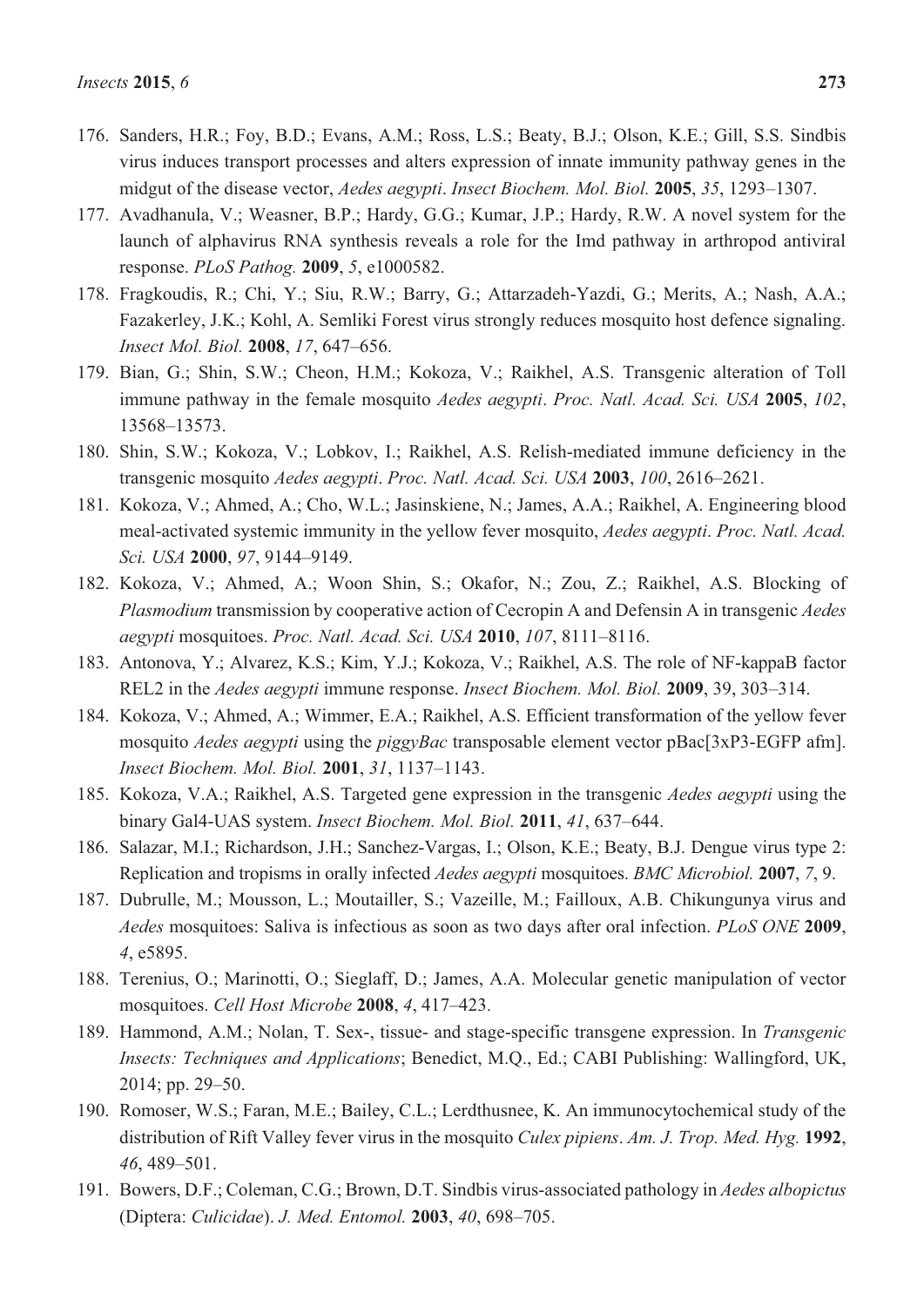- 177. Avadhanula, V.; Weasner, B.P.; Hardy, G.G.; Kumar, J.P.; Hardy, R.W. A novel system for the launch of alphavirus RNA synthesis reveals a role for the Imd pathway in arthropod antiviral response. *PLoS Pathog.* **2009**, *5*, e1000582.
- 178. Fragkoudis, R.; Chi, Y.; Siu, R.W.; Barry, G.; Attarzadeh-Yazdi, G.; Merits, A.; Nash, A.A.; Fazakerley, J.K.; Kohl, A. Semliki Forest virus strongly reduces mosquito host defence signaling. *Insect Mol. Biol.* **2008**, *17*, 647–656.
- 179. Bian, G.; Shin, S.W.; Cheon, H.M.; Kokoza, V.; Raikhel, A.S. Transgenic alteration of Toll immune pathway in the female mosquito *Aedes aegypti*. *Proc. Natl. Acad. Sci. USA* **2005**, *102*, 13568–13573.
- 180. Shin, S.W.; Kokoza, V.; Lobkov, I.; Raikhel, A.S. Relish-mediated immune deficiency in the transgenic mosquito *Aedes aegypti*. *Proc. Natl. Acad. Sci. USA* **2003**, *100*, 2616–2621.
- 181. Kokoza, V.; Ahmed, A.; Cho, W.L.; Jasinskiene, N.; James, A.A.; Raikhel, A. Engineering blood meal-activated systemic immunity in the yellow fever mosquito, *Aedes aegypti*. *Proc. Natl. Acad. Sci. USA* **2000**, *97*, 9144–9149.
- 182. Kokoza, V.; Ahmed, A.; Woon Shin, S.; Okafor, N.; Zou, Z.; Raikhel, A.S. Blocking of *Plasmodium* transmission by cooperative action of Cecropin A and Defensin A in transgenic *Aedes aegypti* mosquitoes. *Proc. Natl. Acad. Sci. USA* **2010**, *107*, 8111–8116.
- 183. Antonova, Y.; Alvarez, K.S.; Kim, Y.J.; Kokoza, V.; Raikhel, A.S. The role of NF-kappaB factor REL2 in the *Aedes aegypti* immune response. *Insect Biochem. Mol. Biol.* **2009**, 39, 303–314.
- 184. Kokoza, V.; Ahmed, A.; Wimmer, E.A.; Raikhel, A.S. Efficient transformation of the yellow fever mosquito *Aedes aegypti* using the *piggyBac* transposable element vector pBac[3xP3-EGFP afm]. *Insect Biochem. Mol. Biol.* **2001**, *31*, 1137–1143.
- 185. Kokoza, V.A.; Raikhel, A.S. Targeted gene expression in the transgenic *Aedes aegypti* using the binary Gal4-UAS system. *Insect Biochem. Mol. Biol.* **2011**, *41*, 637–644.
- 186. Salazar, M.I.; Richardson, J.H.; Sanchez-Vargas, I.; Olson, K.E.; Beaty, B.J. Dengue virus type 2: Replication and tropisms in orally infected *Aedes aegypti* mosquitoes. *BMC Microbiol.* **2007**, *7*, 9.
- 187. Dubrulle, M.; Mousson, L.; Moutailler, S.; Vazeille, M.; Failloux, A.B. Chikungunya virus and *Aedes* mosquitoes: Saliva is infectious as soon as two days after oral infection. *PLoS ONE* **2009**, *4*, e5895.
- 188. Terenius, O.; Marinotti, O.; Sieglaff, D.; James, A.A. Molecular genetic manipulation of vector mosquitoes. *Cell Host Microbe* **2008**, *4*, 417–423.
- 189. Hammond, A.M.; Nolan, T. Sex-, tissue- and stage-specific transgene expression. In *Transgenic Insects: Techniques and Applications*; Benedict, M.Q., Ed.; CABI Publishing: Wallingford, UK, 2014; pp. 29–50.
- 190. Romoser, W.S.; Faran, M.E.; Bailey, C.L.; Lerdthusnee, K. An immunocytochemical study of the distribution of Rift Valley fever virus in the mosquito *Culex pipiens*. *Am. J. Trop. Med. Hyg.* **1992**, *46*, 489–501.
- 191. Bowers, D.F.; Coleman, C.G.; Brown, D.T. Sindbis virus-associated pathology in *Aedes albopictus*  (Diptera: *Culicidae*). *J. Med. Entomol.* **2003**, *40*, 698–705.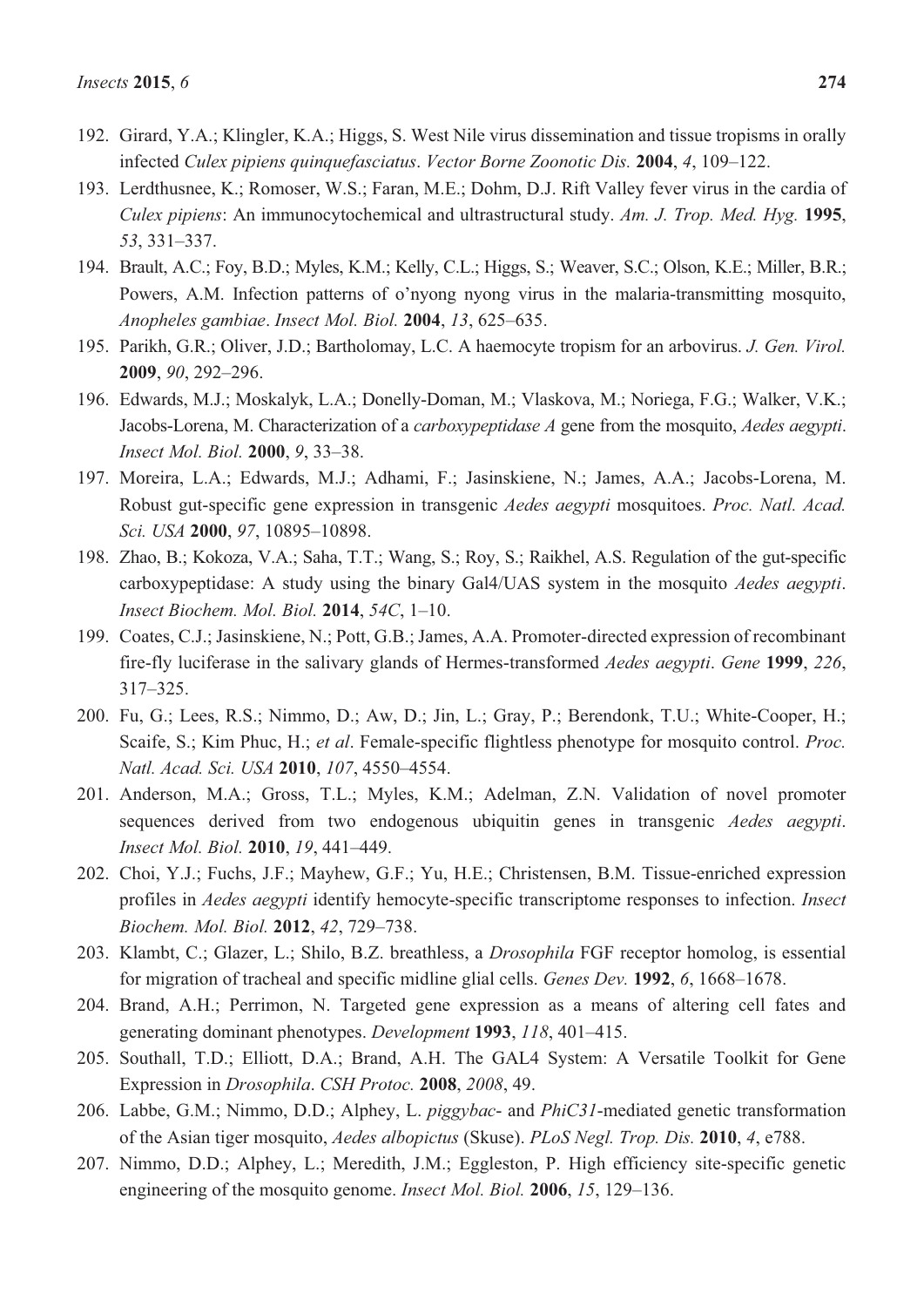- 192. Girard, Y.A.; Klingler, K.A.; Higgs, S. West Nile virus dissemination and tissue tropisms in orally infected *Culex pipiens quinquefasciatus*. *Vector Borne Zoonotic Dis.* **2004**, *4*, 109–122.
- 193. Lerdthusnee, K.; Romoser, W.S.; Faran, M.E.; Dohm, D.J. Rift Valley fever virus in the cardia of *Culex pipiens*: An immunocytochemical and ultrastructural study. *Am. J. Trop. Med. Hyg.* **1995**, *53*, 331–337.
- 194. Brault, A.C.; Foy, B.D.; Myles, K.M.; Kelly, C.L.; Higgs, S.; Weaver, S.C.; Olson, K.E.; Miller, B.R.; Powers, A.M. Infection patterns of o'nyong nyong virus in the malaria-transmitting mosquito, *Anopheles gambiae*. *Insect Mol. Biol.* **2004**, *13*, 625–635.
- 195. Parikh, G.R.; Oliver, J.D.; Bartholomay, L.C. A haemocyte tropism for an arbovirus. *J. Gen. Virol.* **2009**, *90*, 292–296.
- 196. Edwards, M.J.; Moskalyk, L.A.; Donelly-Doman, M.; Vlaskova, M.; Noriega, F.G.; Walker, V.K.; Jacobs-Lorena, M. Characterization of a *carboxypeptidase A* gene from the mosquito, *Aedes aegypti*. *Insect Mol. Biol.* **2000**, *9*, 33–38.
- 197. Moreira, L.A.; Edwards, M.J.; Adhami, F.; Jasinskiene, N.; James, A.A.; Jacobs-Lorena, M. Robust gut-specific gene expression in transgenic *Aedes aegypti* mosquitoes. *Proc. Natl. Acad. Sci. USA* **2000**, *97*, 10895–10898.
- 198. Zhao, B.; Kokoza, V.A.; Saha, T.T.; Wang, S.; Roy, S.; Raikhel, A.S. Regulation of the gut-specific carboxypeptidase: A study using the binary Gal4/UAS system in the mosquito *Aedes aegypti*. *Insect Biochem. Mol. Biol.* **2014**, *54C*, 1–10.
- 199. Coates, C.J.; Jasinskiene, N.; Pott, G.B.; James, A.A. Promoter-directed expression of recombinant fire-fly luciferase in the salivary glands of Hermes-transformed *Aedes aegypti*. *Gene* **1999**, *226*, 317–325.
- 200. Fu, G.; Lees, R.S.; Nimmo, D.; Aw, D.; Jin, L.; Gray, P.; Berendonk, T.U.; White-Cooper, H.; Scaife, S.; Kim Phuc, H.; *et al*. Female-specific flightless phenotype for mosquito control. *Proc. Natl. Acad. Sci. USA* **2010**, *107*, 4550–4554.
- 201. Anderson, M.A.; Gross, T.L.; Myles, K.M.; Adelman, Z.N. Validation of novel promoter sequences derived from two endogenous ubiquitin genes in transgenic *Aedes aegypti*. *Insect Mol. Biol.* **2010**, *19*, 441–449.
- 202. Choi, Y.J.; Fuchs, J.F.; Mayhew, G.F.; Yu, H.E.; Christensen, B.M. Tissue-enriched expression profiles in *Aedes aegypti* identify hemocyte-specific transcriptome responses to infection. *Insect Biochem. Mol. Biol.* **2012**, *42*, 729–738.
- 203. Klambt, C.; Glazer, L.; Shilo, B.Z. breathless, a *Drosophila* FGF receptor homolog, is essential for migration of tracheal and specific midline glial cells. *Genes Dev.* **1992**, *6*, 1668–1678.
- 204. Brand, A.H.; Perrimon, N. Targeted gene expression as a means of altering cell fates and generating dominant phenotypes. *Development* **1993**, *118*, 401–415.
- 205. Southall, T.D.; Elliott, D.A.; Brand, A.H. The GAL4 System: A Versatile Toolkit for Gene Expression in *Drosophila*. *CSH Protoc.* **2008**, *2008*, 49.
- 206. Labbe, G.M.; Nimmo, D.D.; Alphey, L. *piggybac* and *PhiC31*-mediated genetic transformation of the Asian tiger mosquito, *Aedes albopictus* (Skuse). *PLoS Negl. Trop. Dis.* **2010**, *4*, e788.
- 207. Nimmo, D.D.; Alphey, L.; Meredith, J.M.; Eggleston, P. High efficiency site-specific genetic engineering of the mosquito genome. *Insect Mol. Biol.* **2006**, *15*, 129–136.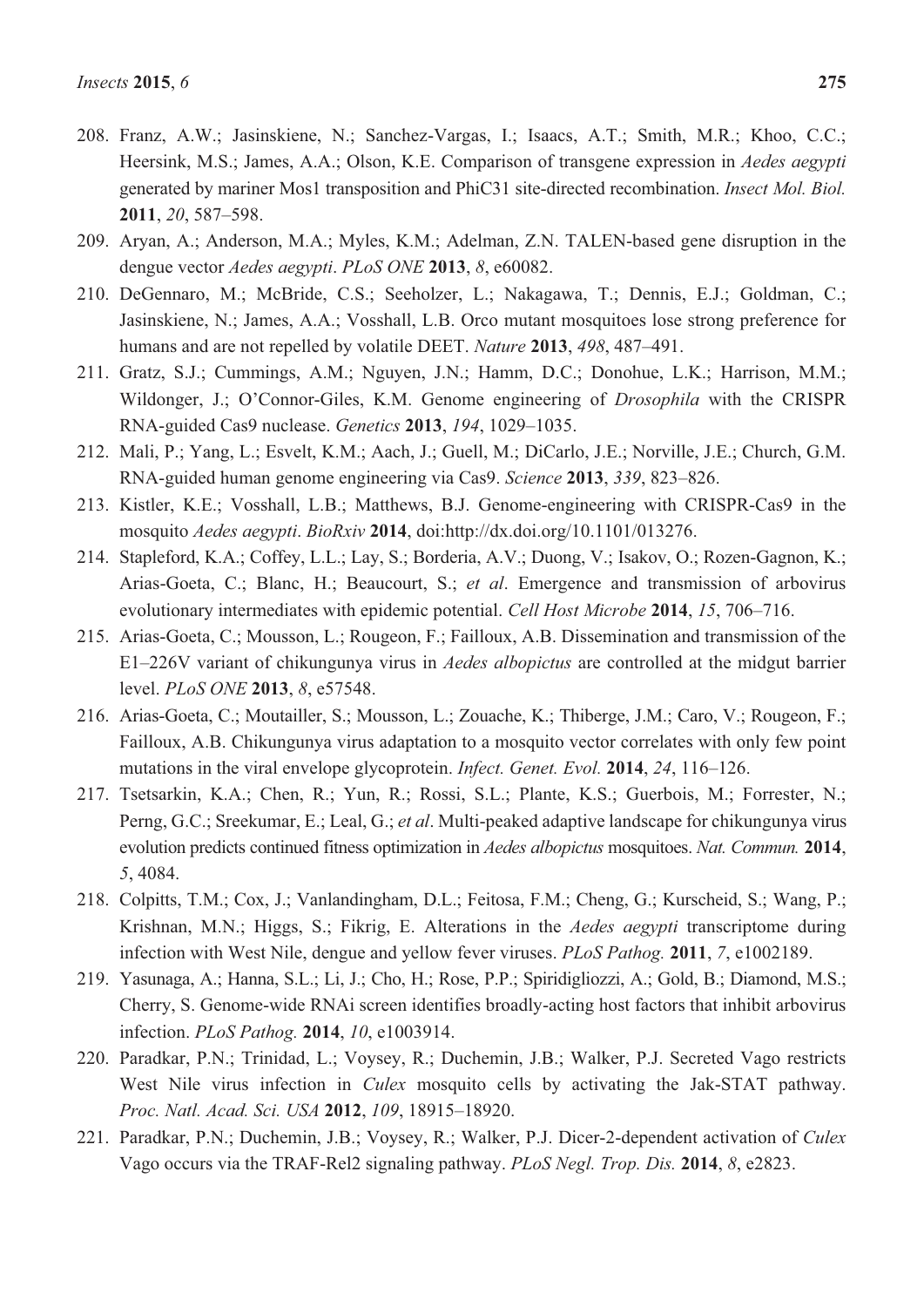- 208. Franz, A.W.; Jasinskiene, N.; Sanchez-Vargas, I.; Isaacs, A.T.; Smith, M.R.; Khoo, C.C.; Heersink, M.S.; James, A.A.; Olson, K.E. Comparison of transgene expression in *Aedes aegypti*  generated by mariner Mos1 transposition and PhiC31 site-directed recombination. *Insect Mol. Biol.* **2011**, *20*, 587–598.
- 209. Aryan, A.; Anderson, M.A.; Myles, K.M.; Adelman, Z.N. TALEN-based gene disruption in the dengue vector *Aedes aegypti*. *PLoS ONE* **2013**, *8*, e60082.
- 210. DeGennaro, M.; McBride, C.S.; Seeholzer, L.; Nakagawa, T.; Dennis, E.J.; Goldman, C.; Jasinskiene, N.; James, A.A.; Vosshall, L.B. Orco mutant mosquitoes lose strong preference for humans and are not repelled by volatile DEET. *Nature* **2013**, *498*, 487–491.
- 211. Gratz, S.J.; Cummings, A.M.; Nguyen, J.N.; Hamm, D.C.; Donohue, L.K.; Harrison, M.M.; Wildonger, J.; O'Connor-Giles, K.M. Genome engineering of *Drosophila* with the CRISPR RNA-guided Cas9 nuclease. *Genetics* **2013**, *194*, 1029–1035.
- 212. Mali, P.; Yang, L.; Esvelt, K.M.; Aach, J.; Guell, M.; DiCarlo, J.E.; Norville, J.E.; Church, G.M. RNA-guided human genome engineering via Cas9. *Science* **2013**, *339*, 823–826.
- 213. Kistler, K.E.; Vosshall, L.B.; Matthews, B.J. Genome-engineering with CRISPR-Cas9 in the mosquito *Aedes aegypti*. *BioRxiv* **2014**, doi:http://dx.doi.org/10.1101/013276.
- 214. Stapleford, K.A.; Coffey, L.L.; Lay, S.; Borderia, A.V.; Duong, V.; Isakov, O.; Rozen-Gagnon, K.; Arias-Goeta, C.; Blanc, H.; Beaucourt, S.; *et al*. Emergence and transmission of arbovirus evolutionary intermediates with epidemic potential. *Cell Host Microbe* **2014**, *15*, 706–716.
- 215. Arias-Goeta, C.; Mousson, L.; Rougeon, F.; Failloux, A.B. Dissemination and transmission of the E1–226V variant of chikungunya virus in *Aedes albopictus* are controlled at the midgut barrier level. *PLoS ONE* **2013**, *8*, e57548.
- 216. Arias-Goeta, C.; Moutailler, S.; Mousson, L.; Zouache, K.; Thiberge, J.M.; Caro, V.; Rougeon, F.; Failloux, A.B. Chikungunya virus adaptation to a mosquito vector correlates with only few point mutations in the viral envelope glycoprotein. *Infect. Genet. Evol.* **2014**, *24*, 116–126.
- 217. Tsetsarkin, K.A.; Chen, R.; Yun, R.; Rossi, S.L.; Plante, K.S.; Guerbois, M.; Forrester, N.; Perng, G.C.; Sreekumar, E.; Leal, G.; *et al*. Multi-peaked adaptive landscape for chikungunya virus evolution predicts continued fitness optimization in *Aedes albopictus* mosquitoes. *Nat. Commun.* **2014**, *5*, 4084.
- 218. Colpitts, T.M.; Cox, J.; Vanlandingham, D.L.; Feitosa, F.M.; Cheng, G.; Kurscheid, S.; Wang, P.; Krishnan, M.N.; Higgs, S.; Fikrig, E. Alterations in the *Aedes aegypti* transcriptome during infection with West Nile, dengue and yellow fever viruses. *PLoS Pathog.* **2011**, *7*, e1002189.
- 219. Yasunaga, A.; Hanna, S.L.; Li, J.; Cho, H.; Rose, P.P.; Spiridigliozzi, A.; Gold, B.; Diamond, M.S.; Cherry, S. Genome-wide RNAi screen identifies broadly-acting host factors that inhibit arbovirus infection. *PLoS Pathog.* **2014**, *10*, e1003914.
- 220. Paradkar, P.N.; Trinidad, L.; Voysey, R.; Duchemin, J.B.; Walker, P.J. Secreted Vago restricts West Nile virus infection in *Culex* mosquito cells by activating the Jak-STAT pathway. *Proc. Natl. Acad. Sci. USA* **2012**, *109*, 18915–18920.
- 221. Paradkar, P.N.; Duchemin, J.B.; Voysey, R.; Walker, P.J. Dicer-2-dependent activation of *Culex*  Vago occurs via the TRAF-Rel2 signaling pathway. *PLoS Negl. Trop. Dis.* **2014**, *8*, e2823.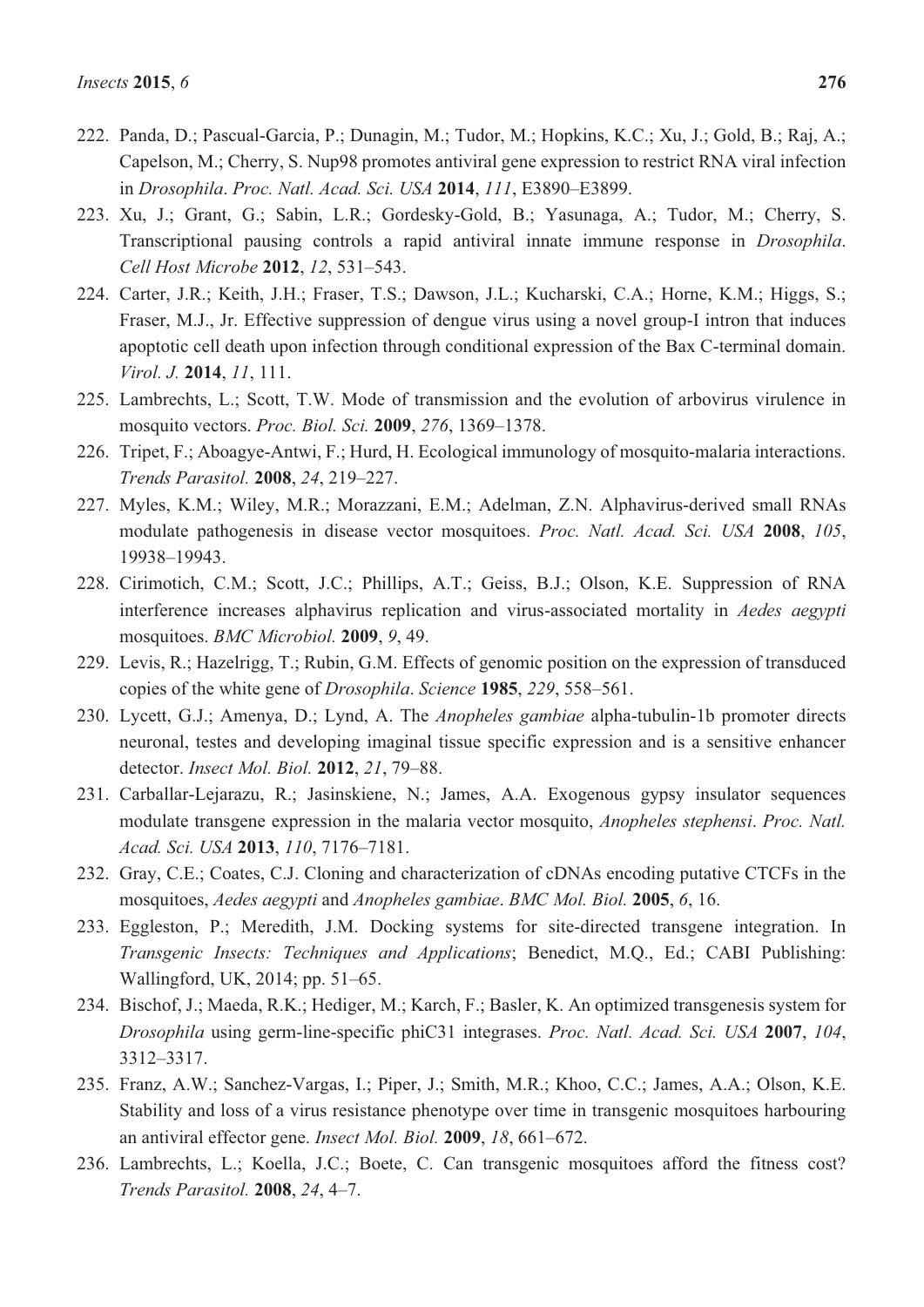- 222. Panda, D.; Pascual-Garcia, P.; Dunagin, M.; Tudor, M.; Hopkins, K.C.; Xu, J.; Gold, B.; Raj, A.; Capelson, M.; Cherry, S. Nup98 promotes antiviral gene expression to restrict RNA viral infection in *Drosophila*. *Proc. Natl. Acad. Sci. USA* **2014**, *111*, E3890–E3899.
- 223. Xu, J.; Grant, G.; Sabin, L.R.; Gordesky-Gold, B.; Yasunaga, A.; Tudor, M.; Cherry, S. Transcriptional pausing controls a rapid antiviral innate immune response in *Drosophila*. *Cell Host Microbe* **2012**, *12*, 531–543.
- 224. Carter, J.R.; Keith, J.H.; Fraser, T.S.; Dawson, J.L.; Kucharski, C.A.; Horne, K.M.; Higgs, S.; Fraser, M.J., Jr. Effective suppression of dengue virus using a novel group-I intron that induces apoptotic cell death upon infection through conditional expression of the Bax C-terminal domain. *Virol. J.* **2014**, *11*, 111.
- 225. Lambrechts, L.; Scott, T.W. Mode of transmission and the evolution of arbovirus virulence in mosquito vectors. *Proc. Biol. Sci.* **2009**, *276*, 1369–1378.
- 226. Tripet, F.; Aboagye-Antwi, F.; Hurd, H. Ecological immunology of mosquito-malaria interactions. *Trends Parasitol.* **2008**, *24*, 219–227.
- 227. Myles, K.M.; Wiley, M.R.; Morazzani, E.M.; Adelman, Z.N. Alphavirus-derived small RNAs modulate pathogenesis in disease vector mosquitoes. *Proc. Natl. Acad. Sci. USA* **2008**, *105*, 19938–19943.
- 228. Cirimotich, C.M.; Scott, J.C.; Phillips, A.T.; Geiss, B.J.; Olson, K.E. Suppression of RNA interference increases alphavirus replication and virus-associated mortality in *Aedes aegypti*  mosquitoes. *BMC Microbiol.* **2009**, *9*, 49.
- 229. Levis, R.; Hazelrigg, T.; Rubin, G.M. Effects of genomic position on the expression of transduced copies of the white gene of *Drosophila*. *Science* **1985**, *229*, 558–561.
- 230. Lycett, G.J.; Amenya, D.; Lynd, A. The *Anopheles gambiae* alpha-tubulin-1b promoter directs neuronal, testes and developing imaginal tissue specific expression and is a sensitive enhancer detector. *Insect Mol. Biol.* **2012**, *21*, 79–88.
- 231. Carballar-Lejarazu, R.; Jasinskiene, N.; James, A.A. Exogenous gypsy insulator sequences modulate transgene expression in the malaria vector mosquito, *Anopheles stephensi*. *Proc. Natl. Acad. Sci. USA* **2013**, *110*, 7176–7181.
- 232. Gray, C.E.; Coates, C.J. Cloning and characterization of cDNAs encoding putative CTCFs in the mosquitoes, *Aedes aegypti* and *Anopheles gambiae*. *BMC Mol. Biol.* **2005**, *6*, 16.
- 233. Eggleston, P.; Meredith, J.M. Docking systems for site-directed transgene integration. In *Transgenic Insects: Techniques and Applications*; Benedict, M.Q., Ed.; CABI Publishing: Wallingford, UK, 2014; pp. 51–65.
- 234. Bischof, J.; Maeda, R.K.; Hediger, M.; Karch, F.; Basler, K. An optimized transgenesis system for *Drosophila* using germ-line-specific phiC31 integrases. *Proc. Natl. Acad. Sci. USA* **2007**, *104*, 3312–3317.
- 235. Franz, A.W.; Sanchez-Vargas, I.; Piper, J.; Smith, M.R.; Khoo, C.C.; James, A.A.; Olson, K.E. Stability and loss of a virus resistance phenotype over time in transgenic mosquitoes harbouring an antiviral effector gene. *Insect Mol. Biol.* **2009**, *18*, 661–672.
- 236. Lambrechts, L.; Koella, J.C.; Boete, C. Can transgenic mosquitoes afford the fitness cost? *Trends Parasitol.* **2008**, *24*, 4–7.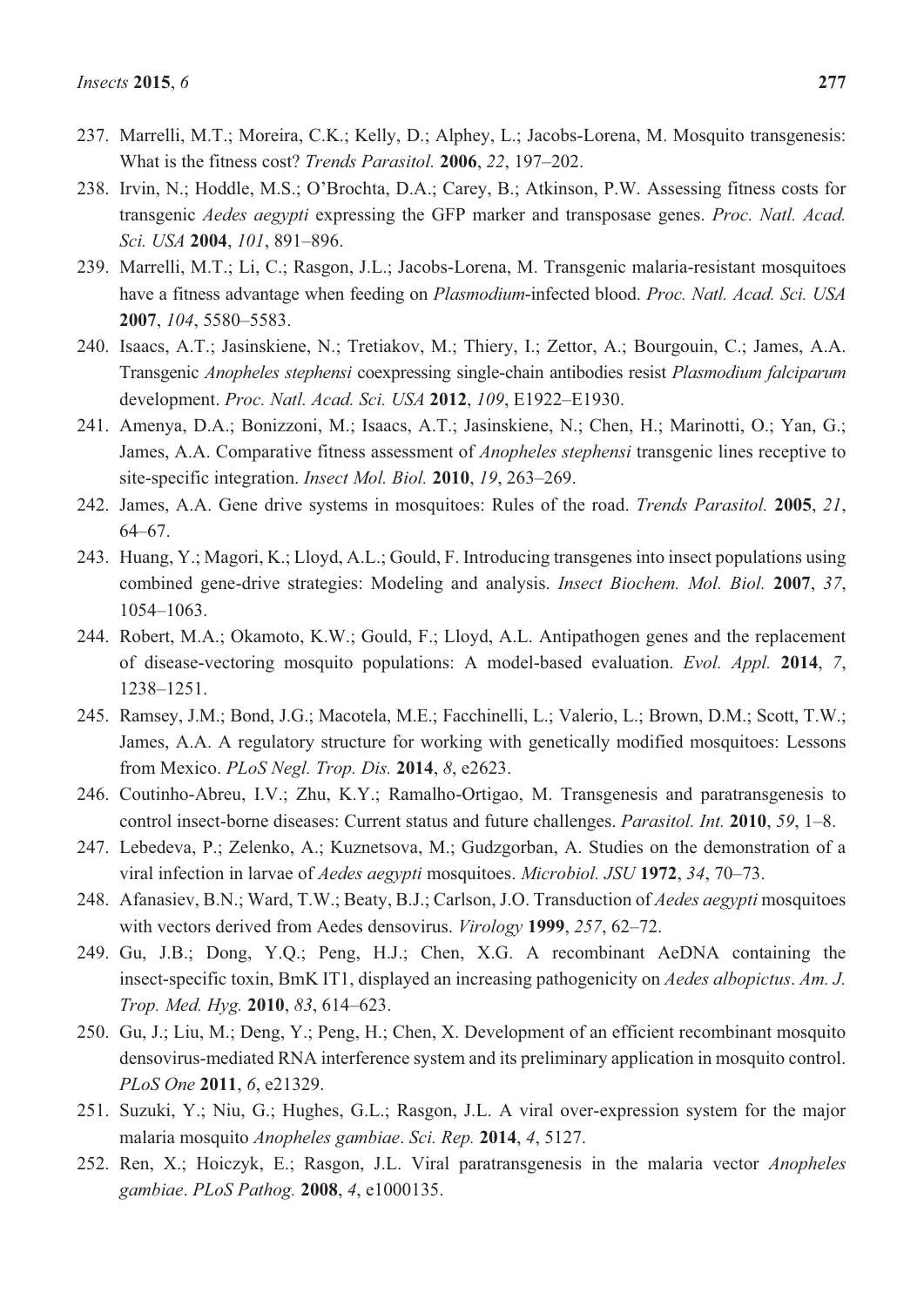- 237. Marrelli, M.T.; Moreira, C.K.; Kelly, D.; Alphey, L.; Jacobs-Lorena, M. Mosquito transgenesis: What is the fitness cost? *Trends Parasitol.* **2006**, *22*, 197–202.
- 238. Irvin, N.; Hoddle, M.S.; O'Brochta, D.A.; Carey, B.; Atkinson, P.W. Assessing fitness costs for transgenic *Aedes aegypti* expressing the GFP marker and transposase genes. *Proc. Natl. Acad. Sci. USA* **2004**, *101*, 891–896.
- 239. Marrelli, M.T.; Li, C.; Rasgon, J.L.; Jacobs-Lorena, M. Transgenic malaria-resistant mosquitoes have a fitness advantage when feeding on *Plasmodium*-infected blood. *Proc. Natl. Acad. Sci. USA* **2007**, *104*, 5580–5583.
- 240. Isaacs, A.T.; Jasinskiene, N.; Tretiakov, M.; Thiery, I.; Zettor, A.; Bourgouin, C.; James, A.A. Transgenic *Anopheles stephensi* coexpressing single-chain antibodies resist *Plasmodium falciparum*  development. *Proc. Natl. Acad. Sci. USA* **2012**, *109*, E1922–E1930.
- 241. Amenya, D.A.; Bonizzoni, M.; Isaacs, A.T.; Jasinskiene, N.; Chen, H.; Marinotti, O.; Yan, G.; James, A.A. Comparative fitness assessment of *Anopheles stephensi* transgenic lines receptive to site-specific integration. *Insect Mol. Biol.* **2010**, *19*, 263–269.
- 242. James, A.A. Gene drive systems in mosquitoes: Rules of the road. *Trends Parasitol.* **2005**, *21*, 64–67.
- 243. Huang, Y.; Magori, K.; Lloyd, A.L.; Gould, F. Introducing transgenes into insect populations using combined gene-drive strategies: Modeling and analysis. *Insect Biochem. Mol. Biol.* **2007**, *37*, 1054–1063.
- 244. Robert, M.A.; Okamoto, K.W.; Gould, F.; Lloyd, A.L. Antipathogen genes and the replacement of disease-vectoring mosquito populations: A model-based evaluation. *Evol. Appl.* **2014**, *7*, 1238–1251.
- 245. Ramsey, J.M.; Bond, J.G.; Macotela, M.E.; Facchinelli, L.; Valerio, L.; Brown, D.M.; Scott, T.W.; James, A.A. A regulatory structure for working with genetically modified mosquitoes: Lessons from Mexico. *PLoS Negl. Trop. Dis.* **2014**, *8*, e2623.
- 246. Coutinho-Abreu, I.V.; Zhu, K.Y.; Ramalho-Ortigao, M. Transgenesis and paratransgenesis to control insect-borne diseases: Current status and future challenges. *Parasitol. Int.* **2010**, *59*, 1–8.
- 247. Lebedeva, P.; Zelenko, A.; Kuznetsova, M.; Gudzgorban, A. Studies on the demonstration of a viral infection in larvae of *Aedes aegypti* mosquitoes. *Microbiol. JSU* **1972**, *34*, 70–73.
- 248. Afanasiev, B.N.; Ward, T.W.; Beaty, B.J.; Carlson, J.O. Transduction of *Aedes aegypti* mosquitoes with vectors derived from Aedes densovirus. *Virology* **1999**, *257*, 62–72.
- 249. Gu, J.B.; Dong, Y.Q.; Peng, H.J.; Chen, X.G. A recombinant AeDNA containing the insect-specific toxin, BmK IT1, displayed an increasing pathogenicity on *Aedes albopictus*. *Am. J. Trop. Med. Hyg.* **2010**, *83*, 614–623.
- 250. Gu, J.; Liu, M.; Deng, Y.; Peng, H.; Chen, X. Development of an efficient recombinant mosquito densovirus-mediated RNA interference system and its preliminary application in mosquito control. *PLoS One* **2011**, *6*, e21329.
- 251. Suzuki, Y.; Niu, G.; Hughes, G.L.; Rasgon, J.L. A viral over-expression system for the major malaria mosquito *Anopheles gambiae*. *Sci. Rep.* **2014**, *4*, 5127.
- 252. Ren, X.; Hoiczyk, E.; Rasgon, J.L. Viral paratransgenesis in the malaria vector *Anopheles gambiae*. *PLoS Pathog.* **2008**, *4*, e1000135.